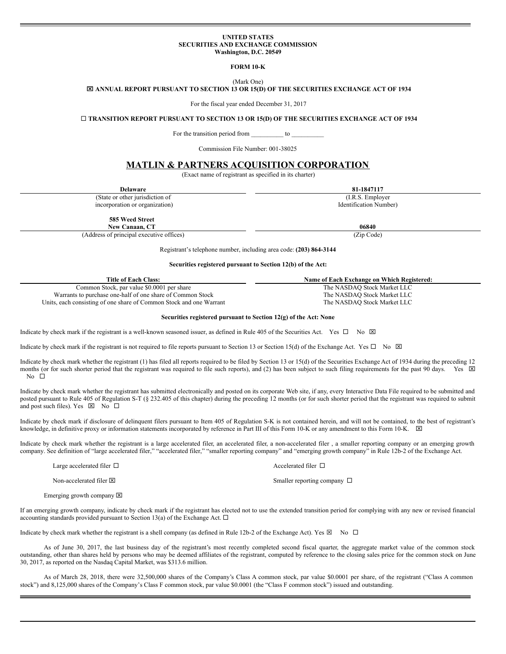## **UNITED STATES SECURITIES AND EXCHANGE COMMISSION Washington, D.C. 20549**

### **FORM 10-K**

(Mark One)

x **ANNUAL REPORT PURSUANT TO SECTION 13 OR 15(D) OF THE SECURITIES EXCHANGE ACT OF 1934**

For the fiscal year ended December 31, 2017

¨ **TRANSITION REPORT PURSUANT TO SECTION 13 OR 15(D) OF THE SECURITIES EXCHANGE ACT OF 1934**

For the transition period from \_\_\_\_\_\_\_\_\_\_\_ to \_

Commission File Number: 001-38025

## **MATLIN & PARTNERS ACQUISITION CORPORATION**

(Exact name of registrant as specified in its charter)

| <b>Delaware</b>                 | 81-1847117             |
|---------------------------------|------------------------|
| (State or other jurisdiction of | (I.R.S. Employer)      |
| incorporation or organization)  | Identification Number) |
| 585 Weed Street                 |                        |
| New Canaan, CT                  | 06840                  |

(Address of principal executive offices) (Zip Code)

Registrant's telephone number, including area code: **(203) 864-3144**

**Securities registered pursuant to Section 12(b) of the Act:**

| Title of Each Class:                                                | Name of Each Exchange on Which Registered: |  |
|---------------------------------------------------------------------|--------------------------------------------|--|
| Common Stock, par value \$0.0001 per share                          | The NASDAO Stock Market LLC                |  |
| Warrants to purchase one-half of one share of Common Stock          | The NASDAO Stock Market LLC                |  |
| Units, each consisting of one share of Common Stock and one Warrant | The NASDAO Stock Market LLC                |  |

### **Securities registered pursuant to Section 12(g) of the Act: None**

Indicate by check mark if the registrant is a well-known seasoned issuer, as defined in Rule 405 of the Securities Act. Yes  $\Box$  No  $\boxtimes$ 

Indicate by check mark if the registrant is not required to file reports pursuant to Section 13 or Section 15(d) of the Exchange Act. Yes  $\square$  No  $\square$ 

Indicate by check mark whether the registrant (1) has filed all reports required to be filed by Section 13 or 15(d) of the Securities Exchange Act of 1934 during the preceding 12 months (or for such shorter period that the registrant was required to file such reports), and (2) has been subject to such filing requirements for the past 90 days. Yes  $\boxtimes$ No  $\square$ 

Indicate by check mark whether the registrant has submitted electronically and posted on its corporate Web site, if any, every Interactive Data File required to be submitted and posted pursuant to Rule 405 of Regulation S-T (§ 232.405 of this chapter) during the preceding 12 months (or for such shorter period that the registrant was required to submit and post such files). Yes  $\boxtimes$  No  $\square$ 

Indicate by check mark if disclosure of delinquent filers pursuant to Item 405 of Regulation S-K is not contained herein, and will not be contained, to the best of registrant's knowledge, in definitive proxy or information statements incorporated by reference in Part III of this Form 10-K or any amendment to this Form 10-K.  $\boxtimes$ 

Indicate by check mark whether the registrant is a large accelerated filer, an accelerated filer, a non-accelerated filer , a smaller reporting company or an emerging growth company. See definition of "large accelerated filer," "accelerated filer," "smaller reporting company" and "emerging growth company" in Rule 12b-2 of the Exchange Act.

Large accelerated filer  $\Box$  Accelerated filer  $\Box$ 

Non-accelerated filer  $\boxtimes$  Smaller reporting company  $\Box$ 

Emerging growth company  $\boxtimes$ 

If an emerging growth company, indicate by check mark if the registrant has elected not to use the extended transition period for complying with any new or revised financial accounting standards provided pursuant to Section 13(a) of the Exchange Act.  $\Box$ 

Indicate by check mark whether the registrant is a shell company (as defined in Rule 12b-2 of the Exchange Act). Yes  $\boxtimes$  No  $\Box$ 

As of June 30, 2017, the last business day of the registrant's most recently completed second fiscal quarter, the aggregate market value of the common stock outstanding, other than shares held by persons who may be deemed affiliates of the registrant, computed by reference to the closing sales price for the common stock on June 30, 2017, as reported on the Nasdaq Capital Market, was \$313.6 million.

As of March 28, 2018, there were 32,500,000 shares of the Company's Class A common stock, par value \$0.0001 per share, of the registrant ("Class A common stock") and 8,125,000 shares of the Company's Class F common stock, par value \$0.0001 (the "Class F common stock") issued and outstanding.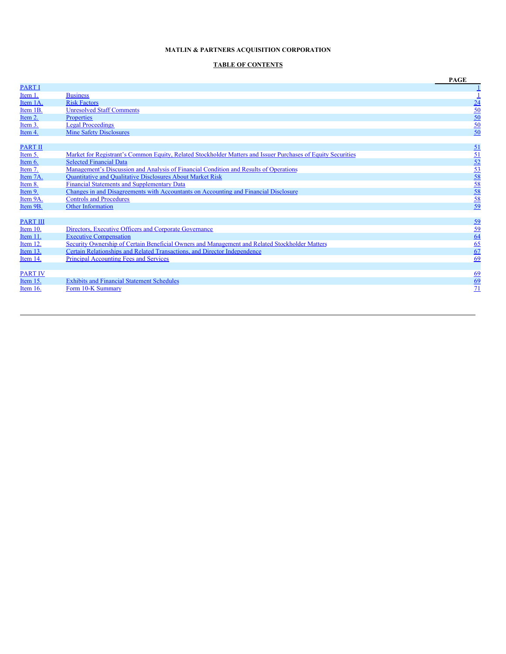# **MATLIN & PARTNERS ACQUISITION CORPORATION**

# **TABLE OF CONTENTS**

|                 |                                                                                                              | <b>PAGE</b>                                                                     |
|-----------------|--------------------------------------------------------------------------------------------------------------|---------------------------------------------------------------------------------|
| <b>PART I</b>   |                                                                                                              |                                                                                 |
| Item 1.         | <b>Business</b>                                                                                              |                                                                                 |
| Item 1A.        | <b>Risk Factors</b>                                                                                          | $\frac{1}{24}$<br>$\frac{24}{50}$<br>$\frac{50}{50}$<br>$\frac{50}{50}$         |
| Item 1B.        | <b>Unresolved Staff Comments</b>                                                                             |                                                                                 |
| Item 2.         | Properties                                                                                                   |                                                                                 |
| Item 3.         | <b>Legal Proceedings</b>                                                                                     |                                                                                 |
| Item 4.         | <b>Mine Safety Disclosures</b>                                                                               |                                                                                 |
| <b>PART II</b>  |                                                                                                              |                                                                                 |
| Item 5.         | Market for Registrant's Common Equity, Related Stockholder Matters and Issuer Purchases of Equity Securities |                                                                                 |
| Item 6.         | <b>Selected Financial Data</b>                                                                               |                                                                                 |
| Item 7.         | Management's Discussion and Analysis of Financial Condition and Results of Operations                        | $\frac{51}{52}$ $\frac{52}{52}$ $\frac{53}{58}$ $\frac{58}{58}$ $\frac{58}{59}$ |
| Item 7A.        | <b>Ouantitative and Oualitative Disclosures About Market Risk</b>                                            |                                                                                 |
| Item 8.         | <b>Financial Statements and Supplementary Data</b>                                                           |                                                                                 |
| Item 9.         | Changes in and Disagreements with Accountants on Accounting and Financial Disclosure                         |                                                                                 |
| Item 9A.        | <b>Controls and Procedures</b>                                                                               |                                                                                 |
| Item 9B.        | <b>Other Information</b>                                                                                     |                                                                                 |
| <b>PART III</b> |                                                                                                              |                                                                                 |
| Item 10.        | Directors, Executive Officers and Corporate Governance                                                       | $\frac{59}{64}$ $\frac{64}{65}$ $\frac{67}{69}$                                 |
| Item 11.        | <b>Executive Compensation</b>                                                                                |                                                                                 |
| Item 12.        | Security Ownership of Certain Beneficial Owners and Management and Related Stockholder Matters               |                                                                                 |
| Item 13.        | Certain Relationships and Related Transactions, and Director Independence                                    |                                                                                 |
| Item 14.        | <b>Principal Accounting Fees and Services</b>                                                                |                                                                                 |
| <b>PART IV</b>  |                                                                                                              |                                                                                 |
| Item 15.        | <b>Exhibits and Financial Statement Schedules</b>                                                            |                                                                                 |
| Item 16.        | Form 10-K Summary                                                                                            | $\frac{69}{69}$                                                                 |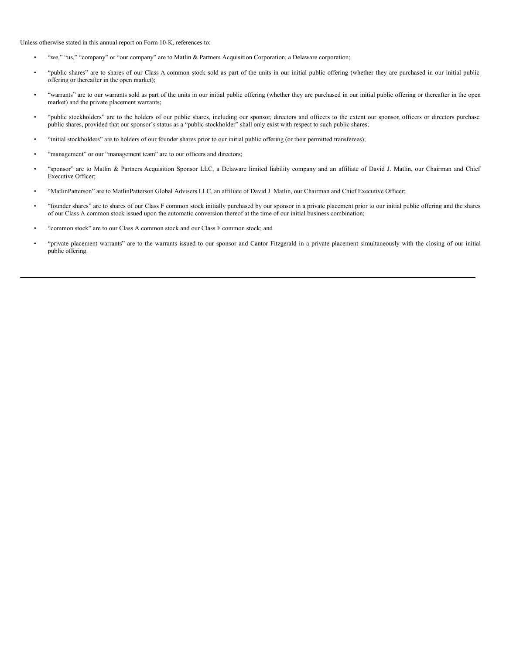Unless otherwise stated in this annual report on Form 10-K, references to:

- "we," "us," "company" or "our company" are to Matlin & Partners Acquisition Corporation, a Delaware corporation;
- "public shares" are to shares of our Class A common stock sold as part of the units in our initial public offering (whether they are purchased in our initial public offering or thereafter in the open market);
- "warrants" are to our warrants sold as part of the units in our initial public offering (whether they are purchased in our initial public offering or thereafter in the open market) and the private placement warrants;
- "public stockholders" are to the holders of our public shares, including our sponsor, directors and officers to the extent our sponsor, officers or directors purchase public shares, provided that our sponsor's status as a "public stockholder" shall only exist with respect to such public shares;
- "initial stockholders" are to holders of our founder shares prior to our initial public offering (or their permitted transferees);
- "management" or our "management team" are to our officers and directors;
- "sponsor" are to Matlin & Partners Acquisition Sponsor LLC, a Delaware limited liability company and an affiliate of David J. Matlin, our Chairman and Chief Executive Officer;
- "MatlinPatterson" are to MatlinPatterson Global Advisers LLC, an affiliate of David J. Matlin, our Chairman and Chief Executive Officer;
- "founder shares" are to shares of our Class F common stock initially purchased by our sponsor in a private placement prior to our initial public offering and the shares of our Class A common stock issued upon the automatic conversion thereof at the time of our initial business combination;
- "common stock" are to our Class A common stock and our Class F common stock; and
- "private placement warrants" are to the warrants issued to our sponsor and Cantor Fitzgerald in a private placement simultaneously with the closing of our initial public offering.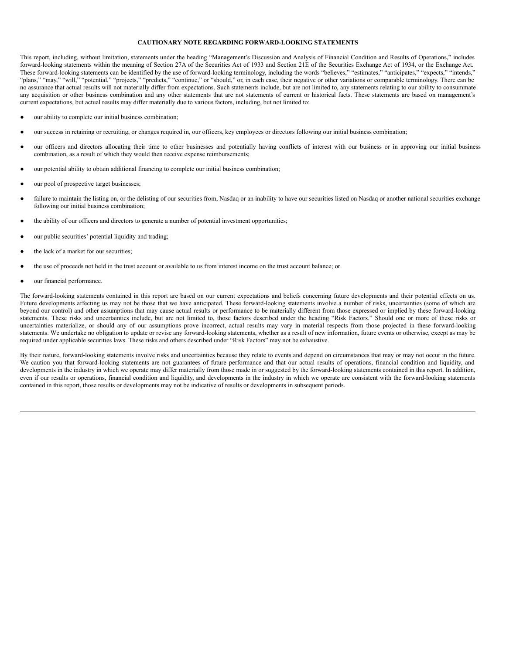## **CAUTIONARY NOTE REGARDING FORWARD-LOOKING STATEMENTS**

This report, including, without limitation, statements under the heading "Management's Discussion and Analysis of Financial Condition and Results of Operations," includes forward-looking statements within the meaning of Section 27A of the Securities Act of 1933 and Section 21E of the Securities Exchange Act of 1934, or the Exchange Act. These forward-looking statements can be identified by the use of forward-looking terminology, including the words "believes," "estimates," "anticipates," "expects," "intends," "plans," "may," "will," "potential," "projects," "predicts," "continue," or "should," or, in each case, their negative or other variations or comparable terminology. There can be no assurance that actual results will not materially differ from expectations. Such statements include, but are not limited to, any statements relating to our ability to consummate any acquisition or other business combination and any other statements that are not statements of current or historical facts. These statements are based on management's current expectations, but actual results may differ materially due to various factors, including, but not limited to:

- our ability to complete our initial business combination;
- our success in retaining or recruiting, or changes required in, our officers, key employees or directors following our initial business combination;
- our officers and directors allocating their time to other businesses and potentially having conflicts of interest with our business or in approving our initial business combination, as a result of which they would then receive expense reimbursements;
- our potential ability to obtain additional financing to complete our initial business combination;
- our pool of prospective target businesses;
- failure to maintain the listing on, or the delisting of our securities from, Nasdaq or an inability to have our securities listed on Nasdaq or another national securities exchange following our initial business combination;
- the ability of our officers and directors to generate a number of potential investment opportunities;
- our public securities' potential liquidity and trading;
- the lack of a market for our securities;
- the use of proceeds not held in the trust account or available to us from interest income on the trust account balance; or
- our financial performance.

The forward-looking statements contained in this report are based on our current expectations and beliefs concerning future developments and their potential effects on us. Future developments affecting us may not be those that we have anticipated. These forward-looking statements involve a number of risks, uncertainties (some of which are beyond our control) and other assumptions that may cause actual results or performance to be materially different from those expressed or implied by these forward-looking statements. These risks and uncertainties include, but are not limited to, those factors described under the heading "Risk Factors." Should one or more of these risks or uncertainties materialize, or should any of our assumptions prove incorrect, actual results may vary in material respects from those projected in these forward-looking statements. We undertake no obligation to update or revise any forward-looking statements, whether as a result of new information, future events or otherwise, except as may be required under applicable securities laws. These risks and others described under "Risk Factors" may not be exhaustive.

By their nature, forward-looking statements involve risks and uncertainties because they relate to events and depend on circumstances that may or may not occur in the future. We caution you that forward-looking statements are not guarantees of future performance and that our actual results of operations, financial condition and liquidity, and developments in the industry in which we operate may differ materially from those made in or suggested by the forward-looking statements contained in this report. In addition, even if our results or operations, financial condition and liquidity, and developments in the industry in which we operate are consistent with the forward-looking statements contained in this report, those results or developments may not be indicative of results or developments in subsequent periods.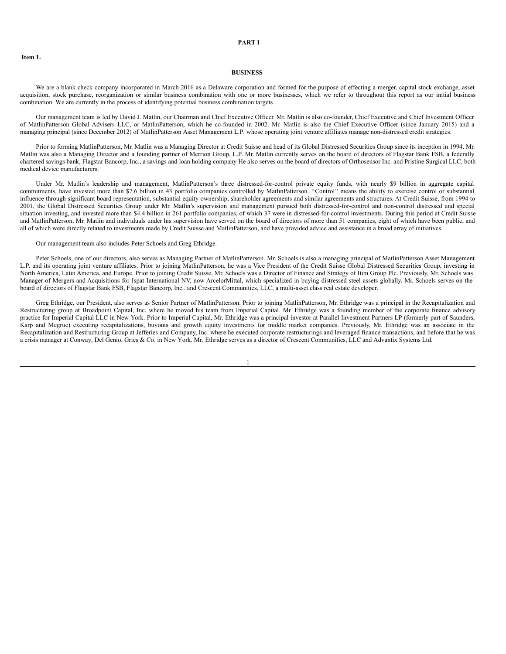## <span id="page-4-1"></span>**Item 1.**

## <span id="page-4-0"></span>**PART I**

## **BUSINESS**

We are a blank check company incorporated in March 2016 as a Delaware corporation and formed for the purpose of effecting a merger, capital stock exchange, asset acquisition, stock purchase, reorganization or similar business combination with one or more businesses, which we refer to throughout this report as our initial business combination. We are currently in the process of identifying potential business combination targets.

Our management team is led by David J. Matlin, our Chairman and Chief Executive Officer. Mr. Matlin is also co-founder, Chief Executive and Chief Investment Officer of MatlinPatterson Global Advisers LLC, or MatlinPatterson, which he co-founded in 2002. Mr. Matlin is also the Chief Executive Officer (since January 2015) and a managing principal (since December 2012) of MatlinPatterson Asset Management L.P. whose operating joint venture affiliates manage non-distressed credit strategies.

Prior to forming MatlinPatterson, Mr. Matlin was a Managing Director at Credit Suisse and head of its Global Distressed Securities Group since its inception in 1994. Mr. Matlin was also a Managing Director and a founding partner of Merrion Group, L.P. Mr. Matlin currently serves on the board of directors of Flagstar Bank FSB, a federally chartered savings bank, Flagstar Bancorp, Inc., a savings and loan holding company He also serves on the board of directors of Orthosensor Inc. and Pristine Surgical LLC, both medical device manufacturers.

Under Mr. Matlin's leadership and management, MatlinPatterson's three distressed-for-control private equity funds, with nearly \$9 billion in aggregate capital commitments, have invested more than \$7.6 billion in 43 portfolio companies controlled by MatlinPatterson. ''Control'' means the ability to exercise control or substantial influence through significant board representation, substantial equity ownership, shareholder agreements and similar agreements and structures. At Credit Suisse, from 1994 to 2001, the Global Distressed Securities Group under Mr. Matlin's supervision and management pursued both distressed-for-control and non-control distressed and special situation investing, and invested more than \$4.4 billion in 261 portfolio companies, of which 37 were in distressed-for-control investments. During this period at Credit Suisse and MatlinPatterson, Mr. Matlin and individuals under his supervision have served on the board of directors of more than 51 companies, eight of which have been public, and all of which were directly related to investments made by Credit Suisse and MatlinPatterson, and have provided advice and assistance in a broad array of initiatives.

Our management team also includes Peter Schoels and Greg Ethridge.

Peter Schoels, one of our directors, also serves as Managing Partner of MatlinPatterson. Mr. Schoels is also a managing principal of MatlinPatterson Asset Management L.P. and its operating joint venture affiliates. Prior to joining MatlinPatterson, he was a Vice President of the Credit Suisse Global Distressed Securities Group, investing in North America, Latin America, and Europe. Prior to joining Credit Suisse, Mr. Schoels was a Director of Finance and Strategy of Itim Group Plc. Previously, Mr. Schoels was Manager of Mergers and Acquisitions for Ispat International NV, now ArcelorMittal, which specialized in buying distressed steel assets globally. Mr. Schoels serves on the board of directors of Flagstar Bank FSB, Flagstar Bancorp, Inc.. and Crescent Communities, LLC, a multi-asset class real estate developer.

Greg Ethridge, our President, also serves as Senior Partner of MatlinPatterson. Prior to joining MatlinPatterson, Mr. Ethridge was a principal in the Recapitalization and Restructuring group at Broadpoint Capital, Inc. where he moved his team from Imperial Capital. Mr. Ethridge was a founding member of the corporate finance advisory practice for Imperial Capital LLC in New York. Prior to Imperial Capital, Mr. Ethridge was a principal investor at Parallel Investment Partners LP (formerly part of Saunders, Karp and Megrue) executing recapitalizations, buyouts and growth equity investments for middle market companies. Previously, Mr. Ethridge was an associate in the Recapitalization and Restructuring Group at Jefferies and Company, Inc. where he executed corporate restructurings and leveraged finance transactions, and before that he was a crisis manager at Conway, Del Genio, Gries & Co. in New York. Mr. Ethridge serves as a director of Crescent Communities, LLC and Advantix Systems Ltd.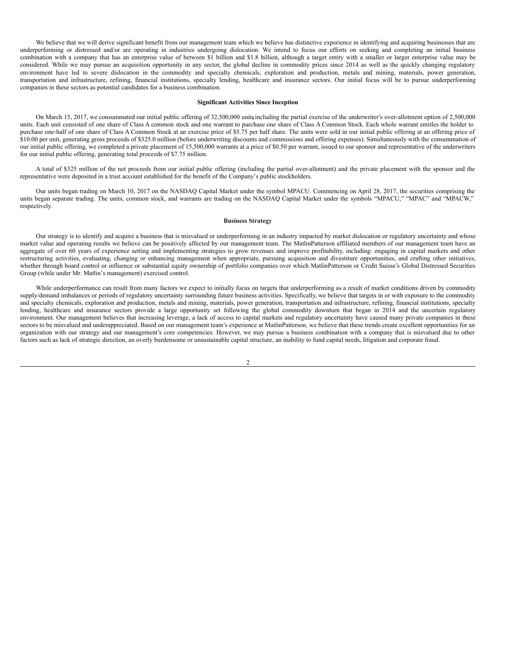We believe that we will derive significant benefit from our management team which we believe has distinctive experience in identifying and acquiring businesses that are underperforming or distressed and/or are operating in industries undergoing dislocation. We intend to focus our efforts on seeking and completing an initial business combination with a company that has an enterprise value of between \$1 billion and \$1.8 billion, although a target entity with a smaller or larger enterprise value may be considered. While we may pursue an acquisition opportunity in any sector, the global decline in commodity prices since 2014 as well as the quickly changing regulatory environment have led to severe dislocation in the commodity and specialty chemicals, exploration and production, metals and mining, materials, power generation, transportation and infrastructure, refining, financial institutions, specialty lending, healthcare and insurance sectors. Our initial focus will be to pursue underperforming companies in these sectors as potential candidates for a business combination.

#### **Significant Activities Since Inception**

On March 15, 2017, we consummated our initial public offering of 32,500,000 units, including the partial exercise of the underwriter's over-allotment option of 2,500,000 units. Each unit consisted of one share of Class A common stock and one warrant to purchase one share of Class A Common Stock. Each whole warrant entitles the holder to purchase one-half of one share of Class A Common Stock at an exercise price of \$5.75 per half share. The units were sold in our initial public offering at an offering price of \$10.00 per unit, generating gross proceeds of \$325.0 million (before underwriting discounts and commissions and offering expenses). Simultaneously with the consummation of our initial public offering, we completed a private placement of 15,500,000 warrants at a price of \$0.50 per warrant, issued to our sponsor and representative of the underwriters for our initial public offering, generating total proceeds of \$7.75 million.

A total of \$325 million of the net proceeds from our initial public offering (including the partial over-allotment) and the private placement with the sponsor and the representative were deposited in a trust account established for the benefit of the Company's public stockholders.

Our units began trading on March 10, 2017 on the NASDAQ Capital Market under the symbol MPACU. Commencing on April 28, 2017, the securities comprising the units began separate trading. The units, common stock, and warrants are trading on the NASDAQ Capital Market under the symbols "MPACU," "MPAC" and "MPACW," respectively.

### **Business Strategy**

Our strategy is to identify and acquire a business that is misvalued or underperforming in an industry impacted by market dislocation or regulatory uncertainty and whose market value and operating results we believe can be positively affected by our management team. The MatlinPatterson affiliated members of our management team have an aggregate of over 60 years of experience setting and implementing strategies to grow revenues and improve profitability, including: engaging in capital markets and other restructuring activities, evaluating, changing or enhancing management when appropriate, pursuing acquisition and divestiture opportunities, and crafting other initiatives, whether through board control or influence or substantial equity ownership of portfolio companies over which MatlinPatterson or Credit Suisse's Global Distressed Securities Group (while under Mr. Matlin's management) exercised control.

While underperformance can result from many factors we expect to initially focus on targets that underperforming as a result of market conditions driven by commodity supply/demand imbalances or periods of regulatory uncertainty surrounding future business activities. Specifically, we believe that targets in or with exposure to the commodity and specialty chemicals, exploration and production, metals and mining, materials, power generation, transportation and infrastructure, refining, financial institutions, specialty lending, healthcare and insurance sectors provide a large opportunity set following the global commodity downturn that began in 2014 and the uncertain regulatory environment. Our management believes that increasing leverage, a lack of access to capital markets and regulatory uncertainty have caused many private companies in these sectors to be misvalued and underappreciated. Based on our management team's experience at MatlinPatterson, we believe that these trends create excellent opportunities for an organization with our strategy and our management's core competencies. However, we may pursue a business combination with a company that is misvalued due to other factors such as lack of strategic direction, an overly burdensome or unsustainable capital structure, an inability to fund capital needs, litigation and corporate fraud.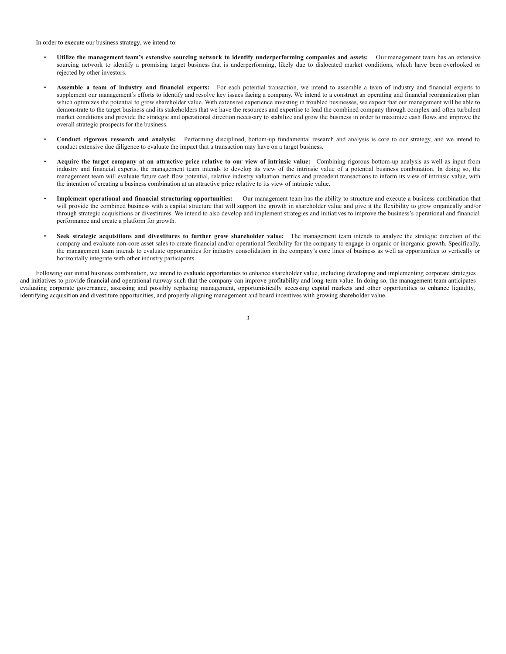In order to execute our business strategy, we intend to:

- Utilize the management team's extensive sourcing network to identify underperforming companies and assets: Our management team has an extensive sourcing network to identify a promising target business that is underperforming, likely due to dislocated market conditions, which have been overlooked or rejected by other investors.
- **Assemble a team of industry and financial experts:** For each potential transaction, we intend to assemble a team of industry and financial experts to supplement our management's efforts to identify and resolve key issues facing a company. We intend to a construct an operating and financial reorganization plan which optimizes the potential to grow shareholder value. With extensive experience investing in troubled businesses, we expect that our management will be able to demonstrate to the target business and its stakeholders that we have the resources and expertise to lead the combined company through complex and often turbulent market conditions and provide the strategic and operational direction necessary to stabilize and grow the business in order to maximize cash flows and improve the overall strategic prospects for the business.
- **Conduct rigorous research and analysis:** Performing disciplined, bottom-up fundamental research and analysis is core to our strategy, and we intend to conduct extensive due diligence to evaluate the impact that a transaction may have on a target business.
- Acquire the target company at an attractive price relative to our view of intrinsic value: Combining rigorous bottom-up analysis as well as input from industry and financial experts, the management team intends to develop its view of the intrinsic value of a potential business combination. In doing so, the management team will evaluate future cash flow potential, relative industry valuation metrics and precedent transactions to inform its view of intrinsic value, with the intention of creating a business combination at an attractive price relative to its view of intrinsic value.
- **Implement operational and financial structuring opportunities:** Our management team has the ability to structure and execute a business combination that will provide the combined business with a capital structure that will support the growth in shareholder value and give it the flexibility to grow organically and/or through strategic acquisitions or divestitures. We intend to also develop and implement strategies and initiatives to improve the business's operational and financial performance and create a platform for growth.
- **Seek strategic acquisitions and divestitures to further grow shareholder value:** The management team intends to analyze the strategic direction of the company and evaluate non-core asset sales to create financial and/or operational flexibility for the company to engage in organic or inorganic growth. Specifically, the management team intends to evaluate opportunities for industry consolidation in the company's core lines of business as well as opportunities to vertically or horizontally integrate with other industry participants.

Following our initial business combination, we intend to evaluate opportunities to enhance shareholder value, including developing and implementing corporate strategies and initiatives to provide financial and operational runway such that the company can improve profitability and long-term value. In doing so, the management team anticipates evaluating corporate governance, assessing and possibly replacing management, opportunistically accessing capital markets and other opportunities to enhance liquidity, identifying acquisition and divestiture opportunities, and properly aligning management and board incentives with growing shareholder value.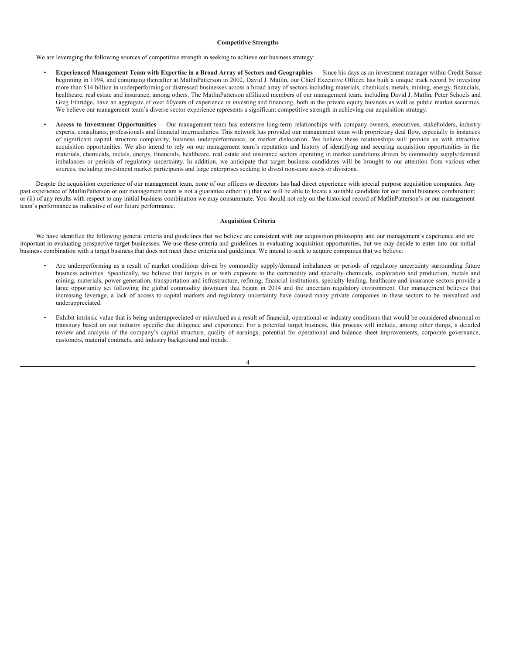### **Competitive Strengths**

We are leveraging the following sources of competitive strength in seeking to achieve our business strategy:

- Experienced Management Team with Expertise in a Broad Array of Sectors and Geographies Since his days as an investment manager within Credit Suisse beginning in 1994, and continuing thereafter at MatlinPatterson in 2002, David J. Matlin, our Chief Executive Officer, has built a unique track record by investing more than \$14 billion in underperforming or distressed businesses across a broad array of sectors including materials, chemicals, metals, mining, energy, financials, healthcare, real estate and insurance, among others. The MatlinPatterson affiliated members of our management team, including David J. Matlin, Peter Schoels and Greg Ethridge, have an aggregate of over 60years of experience in investing and financing, both in the private equity business as well as public market securities. We believe our management team's diverse sector experience represents a significant competitive strength in achieving our acquisition strategy.
- **Access to Investment Opportunities —** Our management team has extensive long-term relationships with company owners, executives, stakeholders, industry experts, consultants, professionals and financial intermediaries. This network has provided our management team with proprietary deal flow, especially in instances of significant capital structure complexity, business underperformance, or market dislocation. We believe these relationships will provide us with attractive acquisition opportunities. We also intend to rely on our management team's reputation and history of identifying and securing acquisition opportunities in the materials, chemicals, metals, energy, financials, healthcare, real estate and insurance sectors operating in market conditions driven by commodity supply/demand imbalances or periods of regulatory uncertainty. In addition, we anticipate that target business candidates will be brought to our attention from various other sources, including investment market participants and large enterprises seeking to divest non-core assets or divisions.

Despite the acquisition experience of our management team, none of our officers or directors has had direct experience with special purpose acquisition companies. Any past experience of MatlinPatterson or our management team is not a guarantee either: (i) that we will be able to locate a suitable candidate for our initial business combination; or (ii) of any results with respect to any initial business combination we may consummate. You should not rely on the historical record of MatlinPatterson's or our management team's performance as indicative of our future performance.

## **Acquisition Criteria**

We have identified the following general criteria and guidelines that we believe are consistent with our acquisition philosophy and our management's experience and are important in evaluating prospective target businesses. We use these criteria and guidelines in evaluating acquisition opportunities, but we may decide to enter into our initial business combination with a target business that does not meet these criteria and guidelines. We intend to seek to acquire companies that we believe:

- Are underperforming as a result of market conditions driven by commodity supply/demand imbalances or periods of regulatory uncertainty surrounding future business activities. Specifically, we believe that targets in or with exposure to the commodity and specialty chemicals, exploration and production, metals and mining, materials, power generation, transportation and infrastructure, refining, financial institutions, specialty lending, healthcare and insurance sectors provide a large opportunity set following the global commodity downturn that began in 2014 and the uncertain regulatory environment. Our management believes that increasing leverage, a lack of access to capital markets and regulatory uncertainty have caused many private companies in these sectors to be misvalued and underappreciated.
- Exhibit intrinsic value that is being underappreciated or misvalued as a result of financial, operational or industry conditions that would be considered abnormal or transitory based on our industry specific due diligence and experience. For a potential target business, this process will include, among other things, a detailed review and analysis of the company's capital structure, quality of earnings, potential for operational and balance sheet improvements, corporate governance, customers, material contracts, and industry background and trends.

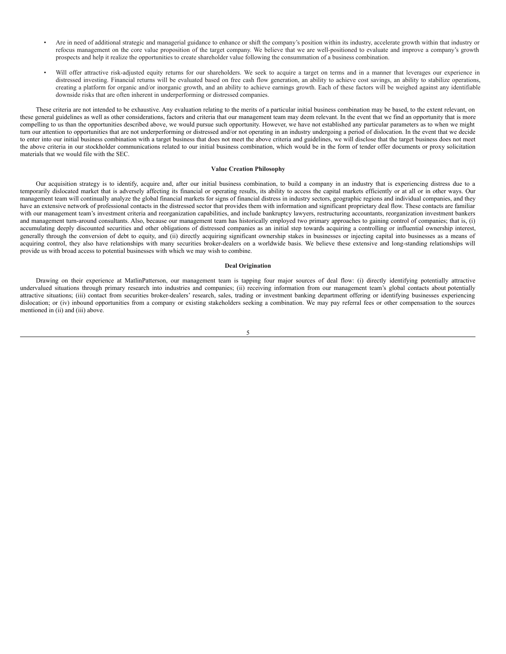- Are in need of additional strategic and managerial guidance to enhance or shift the company's position within its industry, accelerate growth within that industry or refocus management on the core value proposition of the target company. We believe that we are well-positioned to evaluate and improve a company's growth prospects and help it realize the opportunities to create shareholder value following the consummation of a business combination.
- Will offer attractive risk-adjusted equity returns for our shareholders. We seek to acquire a target on terms and in a manner that leverages our experience in distressed investing. Financial returns will be evaluated based on free cash flow generation, an ability to achieve cost savings, an ability to stabilize operations, creating a platform for organic and/or inorganic growth, and an ability to achieve earnings growth. Each of these factors will be weighed against any identifiable downside risks that are often inherent in underperforming or distressed companies.

These criteria are not intended to be exhaustive. Any evaluation relating to the merits of a particular initial business combination may be based, to the extent relevant, on these general guidelines as well as other considerations, factors and criteria that our management team may deem relevant. In the event that we find an opportunity that is more compelling to us than the opportunities described above, we would pursue such opportunity. However, we have not established any particular parameters as to when we might turn our attention to opportunities that are not underperforming or distressed and/or not operating in an industry undergoing a period of dislocation. In the event that we decide to enter into our initial business combination with a target business that does not meet the above criteria and guidelines, we will disclose that the target business does not meet the above criteria in our stockholder communications related to our initial business combination, which would be in the form of tender offer documents or proxy solicitation materials that we would file with the SEC.

## **Value Creation Philosophy**

Our acquisition strategy is to identify, acquire and, after our initial business combination, to build a company in an industry that is experiencing distress due to a temporarily dislocated market that is adversely affecting its financial or operating results, its ability to access the capital markets efficiently or at all or in other ways. Our management team will continually analyze the global financial markets for signs of financial distress in industry sectors, geographic regions and individual companies, and they have an extensive network of professional contacts in the distressed sector that provides them with information and significant proprietary deal flow. These contacts are familiar with our management team's investment criteria and reorganization capabilities, and include bankruptcy lawyers, restructuring accountants, reorganization investment bankers and management turn-around consultants. Also, because our management team has historically employed two primary approaches to gaining control of companies; that is, (i) accumulating deeply discounted securities and other obligations of distressed companies as an initial step towards acquiring a controlling or influential ownership interest, generally through the conversion of debt to equity, and (ii) directly acquiring significant ownership stakes in businesses or injecting capital into businesses as a means of acquiring control, they also have relationships with many securities broker-dealers on a worldwide basis. We believe these extensive and long-standing relationships will provide us with broad access to potential businesses with which we may wish to combine.

### **Deal Origination**

Drawing on their experience at MatlinPatterson, our management team is tapping four major sources of deal flow: (i) directly identifying potentially attractive undervalued situations through primary research into industries and companies; (ii) receiving information from our management team's global contacts about potentially attractive situations; (iii) contact from securities broker-dealers' research, sales, trading or investment banking department offering or identifying businesses experiencing dislocation; or (iv) inbound opportunities from a company or existing stakeholders seeking a combination. We may pay referral fees or other compensation to the sources mentioned in (ii) and (iii) above.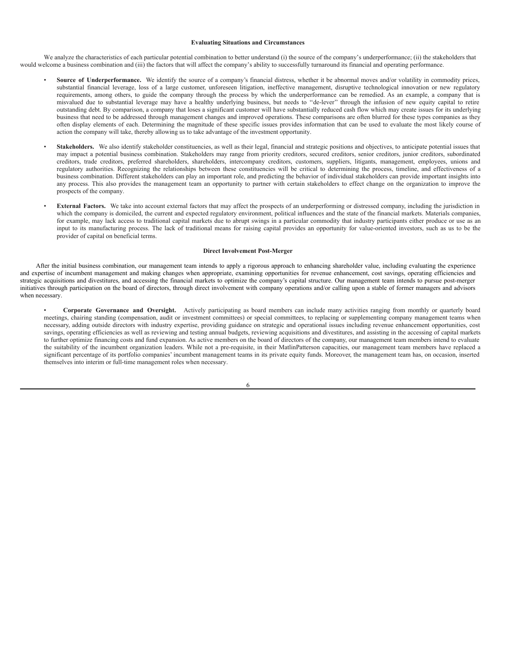### **Evaluating Situations and Circumstances**

We analyze the characteristics of each particular potential combination to better understand (i) the source of the company's underperformance; (ii) the stakeholders that would welcome a business combination and (iii) the factors that will affect the company's ability to successfully turnaround its financial and operating performance.

- Source of Underperformance. We identify the source of a company's financial distress, whether it be abnormal moves and/or volatility in commodity prices, substantial financial leverage, loss of a large customer, unforeseen litigation, ineffective management, disruptive technological innovation or new regulatory requirements, among others, to guide the company through the process by which the underperformance can be remedied. As an example, a company that is misvalued due to substantial leverage may have a healthy underlying business, but needs to ''de-lever'' through the infusion of new equity capital to retire outstanding debt. By comparison, a company that loses a significant customer will have substantially reduced cash flow which may create issues for its underlying business that need to be addressed through management changes and improved operations. These comparisons are often blurred for these types companies as they often display elements of each. Determining the magnitude of these specific issues provides information that can be used to evaluate the most likely course of action the company will take, thereby allowing us to take advantage of the investment opportunity.
- **Stakeholders.** We also identify stakeholder constituencies, as well as their legal, financial and strategic positions and objectives, to anticipate potential issues that may impact a potential business combination. Stakeholders may range from priority creditors, secured creditors, senior creditors, junior creditors, subordinated creditors, trade creditors, preferred shareholders, shareholders, intercompany creditors, customers, suppliers, litigants, management, employees, unions and regulatory authorities. Recognizing the relationships between these constituencies will be critical to determining the process, timeline, and effectiveness of a business combination. Different stakeholders can play an important role, and predicting the behavior of individual stakeholders can provide important insights into any process. This also provides the management team an opportunity to partner with certain stakeholders to effect change on the organization to improve the prospects of the company.
- **External Factors.** We take into account external factors that may affect the prospects of an underperforming or distressed company, including the jurisdiction in which the company is domiciled, the current and expected regulatory environment, political influences and the state of the financial markets. Materials companies, for example, may lack access to traditional capital markets due to abrupt swings in a particular commodity that industry participants either produce or use as an input to its manufacturing process. The lack of traditional means for raising capital provides an opportunity for value-oriented investors, such as us to be the provider of capital on beneficial terms.

## **Direct Involvement Post-Merger**

After the initial business combination, our management team intends to apply a rigorous approach to enhancing shareholder value, including evaluating the experience and expertise of incumbent management and making changes when appropriate, examining opportunities for revenue enhancement, cost savings, operating efficiencies and strategic acquisitions and divestitures, and accessing the financial markets to optimize the company's capital structure. Our management team intends to pursue post-merger initiatives through participation on the board of directors, through direct involvement with company operations and/or calling upon a stable of former managers and advisors when necessary.

• **Corporate Governance and Oversight.** Actively participating as board members can include many activities ranging from monthly or quarterly board meetings, chairing standing (compensation, audit or investment committees) or special committees, to replacing or supplementing company management teams when necessary, adding outside directors with industry expertise, providing guidance on strategic and operational issues including revenue enhancement opportunities, cost savings, operating efficiencies as well as reviewing and testing annual budgets, reviewing acquisitions and divestitures, and assisting in the accessing of capital markets to further optimize financing costs and fund expansion. As active members on the board of directors of the company, our management team members intend to evaluate the suitability of the incumbent organization leaders. While not a pre-requisite, in their MatlinPatterson capacities, our management team members have replaced a significant percentage of its portfolio companies' incumbent management teams in its private equity funds. Moreover, the management team has, on occasion, inserted themselves into interim or full-time management roles when necessary.

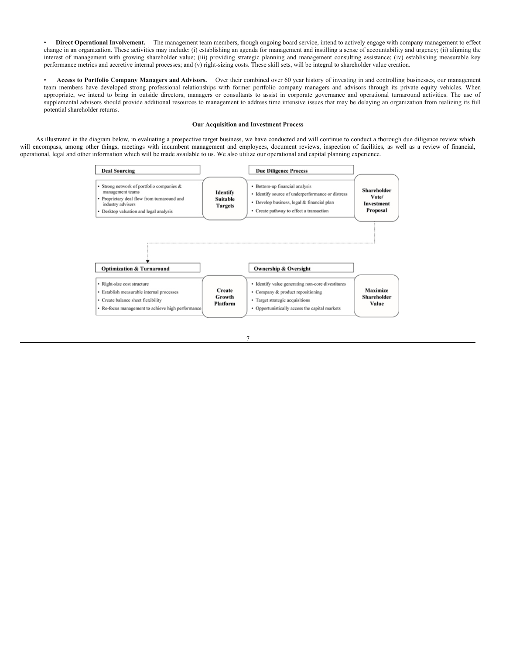• **Direct Operational Involvement.** The management team members, though ongoing board service, intend to actively engage with company management to effect change in an organization. These activities may include: (i) establishing an agenda for management and instilling a sense of accountability and urgency; (ii) aligning the interest of management with growing shareholder value; (iii) providing strategic planning and management consulting assistance; (iv) establishing measurable key performance metrics and accretive internal processes; and (v) right-sizing costs. These skill sets, will be integral to shareholder value creation.

• **Access to Portfolio Company Managers and Advisors.** Over their combined over 60 year history of investing in and controlling businesses, our management team members have developed strong professional relationships with former portfolio company managers and advisors through its private equity vehicles. When appropriate, we intend to bring in outside directors, managers or consultants to assist in corporate governance and operational turnaround activities. The use of supplemental advisors should provide additional resources to management to address time intensive issues that may be delaying an organization from realizing its full potential shareholder returns.

## **Our Acquisition and Investment Process**

As illustrated in the diagram below, in evaluating a prospective target business, we have conducted and will continue to conduct a thorough due diligence review which will encompass, among other things, meetings with incumbent management and employees, document reviews, inspection of facilities, as well as a review of financial, operational, legal and other information which will be made available to us. We also utilize our operational and capital planning experience.

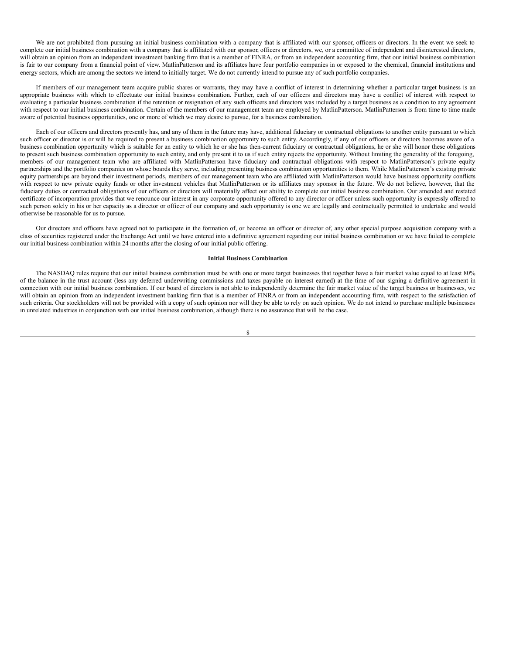We are not prohibited from pursuing an initial business combination with a company that is affiliated with our sponsor, officers or directors. In the event we seek to complete our initial business combination with a company that is affiliated with our sponsor, officers or directors, we, or a committee of independent and disinterested directors, will obtain an opinion from an independent investment banking firm that is a member of FINRA, or from an independent accounting firm, that our initial business combination is fair to our company from a financial point of view. MatlinPatterson and its affiliates have four portfolio companies in or exposed to the chemical, financial institutions and energy sectors, which are among the sectors we intend to initially target. We do not currently intend to pursue any of such portfolio companies.

If members of our management team acquire public shares or warrants, they may have a conflict of interest in determining whether a particular target business is an appropriate business with which to effectuate our initial business combination. Further, each of our officers and directors may have a conflict of interest with respect to evaluating a particular business combination if the retention or resignation of any such officers and directors was included by a target business as a condition to any agreement with respect to our initial business combination. Certain of the members of our management team are employed by MatlinPatterson. MatlinPatterson is from time to time made aware of potential business opportunities, one or more of which we may desire to pursue, for a business combination.

Each of our officers and directors presently has, and any of them in the future may have, additional fiduciary or contractual obligations to another entity pursuant to which such officer or director is or will be required to present a business combination opportunity to such entity. Accordingly, if any of our officers or directors becomes aware of a business combination opportunity which is suitable for an entity to which he or she has then-current fiduciary or contractual obligations, he or she will honor these obligations to present such business combination opportunity to such entity, and only present it to us if such entity rejects the opportunity. Without limiting the generality of the foregoing, members of our management team who are affiliated with MatlinPatterson have fiduciary and contractual obligations with respect to MatlinPatterson's private equity partnerships and the portfolio companies on whose boards they serve, including presenting business combination opportunities to them. While MatlinPatterson's existing private equity partnerships are beyond their investment periods, members of our management team who are affiliated with MatlinPatterson would have business opportunity conflicts with respect to new private equity funds or other investment vehicles that MatlinPatterson or its affiliates may sponsor in the future. We do not believe, however, that the fiduciary duties or contractual obligations of our officers or directors will materially affect our ability to complete our initial business combination. Our amended and restated certificate of incorporation provides that we renounce our interest in any corporate opportunity offered to any director or officer unless such opportunity is expressly offered to such person solely in his or her capacity as a director or officer of our company and such opportunity is one we are legally and contractually permitted to undertake and would otherwise be reasonable for us to pursue.

Our directors and officers have agreed not to participate in the formation of, or become an officer or director of, any other special purpose acquisition company with a class of securities registered under the Exchange Act until we have entered into a definitive agreement regarding our initial business combination or we have failed to complete our initial business combination within 24 months after the closing of our initial public offering.

## **Initial Business Combination**

The NASDAQ rules require that our initial business combination must be with one or more target businesses that together have a fair market value equal to at least 80% of the balance in the trust account (less any deferred underwriting commissions and taxes payable on interest earned) at the time of our signing a definitive agreement in connection with our initial business combination. If our board of directors is not able to independently determine the fair market value of the target business or businesses, we will obtain an opinion from an independent investment banking firm that is a member of FINRA or from an independent accounting firm, with respect to the satisfaction of such criteria. Our stockholders will not be provided with a copy of such opinion nor will they be able to rely on such opinion. We do not intend to purchase multiple businesses in unrelated industries in conjunction with our initial business combination, although there is no assurance that will be the case.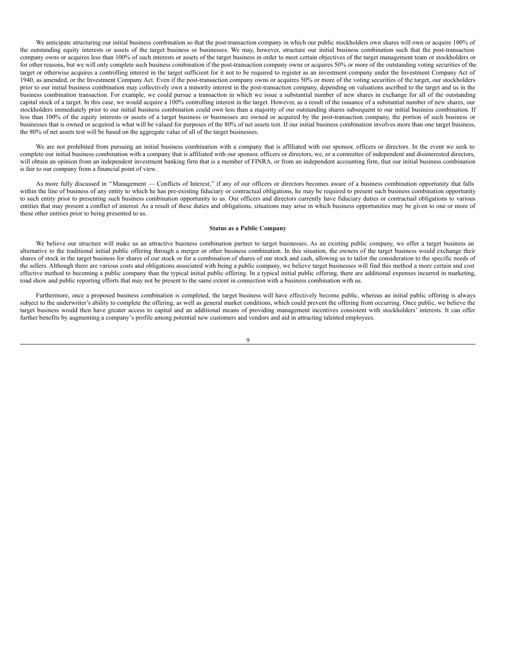We anticipate structuring our initial business combination so that the post-transaction company in which our public stockholders own shares will own or acquire 100% of the outstanding equity interests or assets of the target business or businesses. We may, however, structure our initial business combination such that the post-transaction company owns or acquires less than 100% of such interests or assets of the target business in order to meet certain objectives of the target management team or stockholders or for other reasons, but we will only complete such business combination if the post-transaction company owns or acquires 50% or more of the outstanding voting securities of the target or otherwise acquires a controlling interest in the target sufficient for it not to be required to register as an investment company under the Investment Company Act of 1940, as amended, or the Investment Company Act. Even if the post-transaction company owns or acquires 50% or more of the voting securities of the target, our stockholders prior to our initial business combination may collectively own a minority interest in the post-transaction company, depending on valuations ascribed to the target and us in the business combination transaction. For example, we could pursue a transaction in which we issue a substantial number of new shares in exchange for all of the outstanding capital stock of a target. In this case, we would acquire a 100% controlling interest in the target. However, as a result of the issuance of a substantial number of new shares, our stockholders immediately prior to our initial business combination could own less than a majority of our outstanding shares subsequent to our initial business combination. If less than 100% of the equity interests or assets of a target business or businesses are owned or acquired by the post-transaction company, the portion of such business or businesses that is owned or acquired is what will be valued for purposes of the 80% of net assets test. If our initial business combination involves more than one target business, the 80% of net assets test will be based on the aggregate value of all of the target businesses.

We are not prohibited from pursuing an initial business combination with a company that is affiliated with our sponsor, officers or directors. In the event we seek to complete our initial business combination with a company that is affiliated with our sponsor, officers or directors, we, or a committee of independent and disinterested directors, will obtain an opinion from an independent investment banking firm that is a member of FINRA, or from an independent accounting firm, that our initial business combination is fair to our company from a financial point of view.

As more fully discussed in "Management — Conflicts of Interest." if any of our officers or directors becomes aware of a business combination opportunity that falls within the line of business of any entity to which he has pre-existing fiduciary or contractual obligations, he may be required to present such business combination opportunity to such entity prior to presenting such business combination opportunity to us. Our officers and directors currently have fiduciary duties or contractual obligations to various entities that may present a conflict of interest. As a result of these duties and obligations, situations may arise in which business opportunities may be given to one or more of these other entities prior to being presented to us.

### **Status as a Public Company**

We believe our structure will make us an attractive business combination partner to target businesses. As an existing public company, we offer a target business an alternative to the traditional initial public offering through a merger or other business combination. In this situation, the owners of the target business would exchange their shares of stock in the target business for shares of our stock or for a combination of shares of our stock and cash, allowing us to tailor the consideration to the specific needs of the sellers. Although there are various costs and obligations associated with being a public company, we believe target businesses will find this method a more certain and cost effective method to becoming a public company than the typical initial public offering. In a typical initial public offering, there are additional expenses incurred in marketing, road show and public reporting efforts that may not be present to the same extent in connection with a business combination with us.

Furthermore, once a proposed business combination is completed, the target business will have effectively become public, whereas an initial public offering is always subject to the underwriter's ability to complete the offering, as well as general market conditions, which could prevent the offering from occurring. Once public, we believe the target business would then have greater access to capital and an additional means of providing management incentives consistent with stockholders' interests. It can offer further benefits by augmenting a company's profile among potential new customers and vendors and aid in attracting talented employees.

 $\overline{Q}$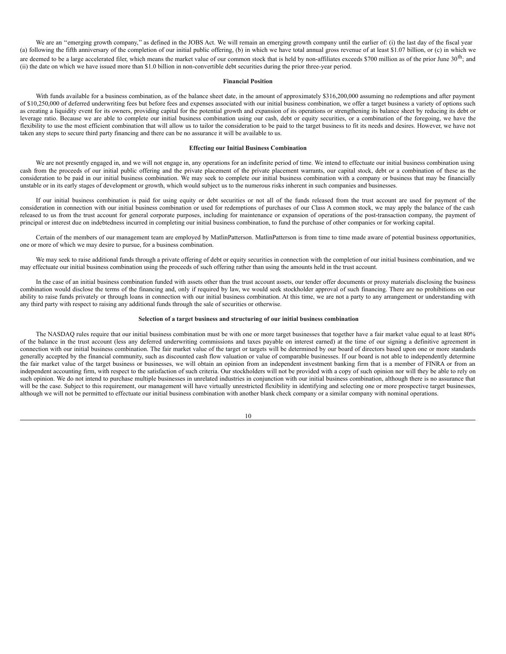We are an "emerging growth company," as defined in the JOBS Act. We will remain an emerging growth company until the earlier of: (i) the last day of the fiscal year (a) following the fifth anniversary of the completion of our initial public offering, (b) in which we have total annual gross revenue of at least \$1.07 billion, or (c) in which we are deemed to be a large accelerated filer, which means the market value of our common stock that is held by non-affiliates exceeds \$700 million as of the prior June  $30^{\text{th}}$ ; and (ii) the date on which we have issued more than \$1.0 billion in non-convertible debt securities during the prior three-year period.

## **Financial Position**

With funds available for a business combination, as of the balance sheet date, in the amount of approximately \$316,200,000 assuming no redemptions and after payment of \$10,250,000 of deferred underwriting fees but before fees and expenses associated with our initial business combination, we offer a target business a variety of options such as creating a liquidity event for its owners, providing capital for the potential growth and expansion of its operations or strengthening its balance sheet by reducing its debt or leverage ratio. Because we are able to complete our initial business combination using our cash, debt or equity securities, or a combination of the foregoing, we have the flexibility to use the most efficient combination that will allow us to tailor the consideration to be paid to the target business to fit its needs and desires. However, we have not taken any steps to secure third party financing and there can be no assurance it will be available to us.

## **Effecting our Initial Business Combination**

We are not presently engaged in, and we will not engage in, any operations for an indefinite period of time. We intend to effectuate our initial business combination using cash from the proceeds of our initial public offering and the private placement of the private placement warrants, our capital stock, debt or a combination of these as the consideration to be paid in our initial business combination. We may seek to complete our initial business combination with a company or business that may be financially unstable or in its early stages of development or growth, which would subject us to the numerous risks inherent in such companies and businesses.

If our initial business combination is paid for using equity or debt securities or not all of the funds released from the trust account are used for payment of the consideration in connection with our initial business combination or used for redemptions of purchases of our Class A common stock, we may apply the balance of the cash released to us from the trust account for general corporate purposes, including for maintenance or expansion of operations of the post-transaction company, the payment of principal or interest due on indebtedness incurred in completing our initial business combination, to fund the purchase of other companies or for working capital.

Certain of the members of our management team are employed by MatlinPatterson. MatlinPatterson is from time to time made aware of potential business opportunities, one or more of which we may desire to pursue, for a business combination.

We may seek to raise additional funds through a private offering of debt or equity securities in connection with the completion of our initial business combination, and we may effectuate our initial business combination using the proceeds of such offering rather than using the amounts held in the trust account.

In the case of an initial business combination funded with assets other than the trust account assets, our tender offer documents or proxy materials disclosing the business combination would disclose the terms of the financing and, only if required by law, we would seek stockholder approval of such financing. There are no prohibitions on our ability to raise funds privately or through loans in connection with our initial business combination. At this time, we are not a party to any arrangement or understanding with any third party with respect to raising any additional funds through the sale of securities or otherwise.

## **Selection of a target business and structuring of our initial business combination**

The NASDAQ rules require that our initial business combination must be with one or more target businesses that together have a fair market value equal to at least 80% of the balance in the trust account (less any deferred underwriting commissions and taxes payable on interest earned) at the time of our signing a definitive agreement in connection with our initial business combination. The fair market value of the target or targets will be determined by our board of directors based upon one or more standards generally accepted by the financial community, such as discounted cash flow valuation or value of comparable businesses. If our board is not able to independently determine the fair market value of the target business or businesses, we will obtain an opinion from an independent investment banking firm that is a member of FINRA or from an independent accounting firm, with respect to the satisfaction of such criteria. Our stockholders will not be provided with a copy of such opinion nor will they be able to rely on such opinion. We do not intend to purchase multiple businesses in unrelated industries in conjunction with our initial business combination, although there is no assurance that will be the case. Subject to this requirement, our management will have virtually unrestricted flexibility in identifying and selecting one or more prospective target businesses, although we will not be permitted to effectuate our initial business combination with another blank check company or a similar company with nominal operations.

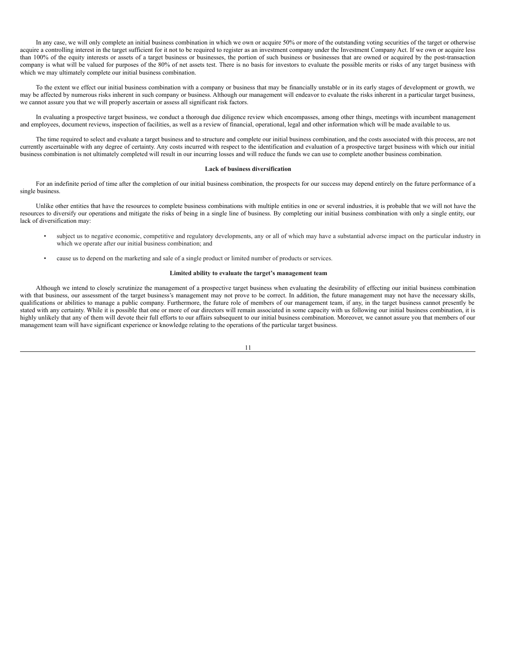In any case, we will only complete an initial business combination in which we own or acquire 50% or more of the outstanding voting securities of the target or otherwise acquire a controlling interest in the target sufficient for it not to be required to register as an investment company under the Investment Company Act. If we own or acquire less than 100% of the equity interests or assets of a target business or businesses, the portion of such business or businesses that are owned or acquired by the post-transaction company is what will be valued for purposes of the 80% of net assets test. There is no basis for investors to evaluate the possible merits or risks of any target business with which we may ultimately complete our initial business combination.

To the extent we effect our initial business combination with a company or business that may be financially unstable or in its early stages of development or growth, we may be affected by numerous risks inherent in such company or business. Although our management will endeavor to evaluate the risks inherent in a particular target business, we cannot assure you that we will properly ascertain or assess all significant risk factors.

In evaluating a prospective target business, we conduct a thorough due diligence review which encompasses, among other things, meetings with incumbent management and employees, document reviews, inspection of facilities, as well as a review of financial, operational, legal and other information which will be made available to us.

The time required to select and evaluate a target business and to structure and complete our initial business combination, and the costs associated with this process, are not currently ascertainable with any degree of certainty. Any costs incurred with respect to the identification and evaluation of a prospective target business with which our initial business combination is not ultimately completed will result in our incurring losses and will reduce the funds we can use to complete another business combination.

### **Lack of business diversification**

For an indefinite period of time after the completion of our initial business combination, the prospects for our success may depend entirely on the future performance of a single business.

Unlike other entities that have the resources to complete business combinations with multiple entities in one or several industries, it is probable that we will not have the resources to diversify our operations and mitigate the risks of being in a single line of business. By completing our initial business combination with only a single entity, our lack of diversification may:

- subject us to negative economic, competitive and regulatory developments, any or all of which may have a substantial adverse impact on the particular industry in which we operate after our initial business combination; and
- cause us to depend on the marketing and sale of a single product or limited number of products or services.

## **Limited ability to evaluate the target's management team**

Although we intend to closely scrutinize the management of a prospective target business when evaluating the desirability of effecting our initial business combination with that business, our assessment of the target business's management may not prove to be correct. In addition, the future management may not have the necessary skills, qualifications or abilities to manage a public company. Furthermore, the future role of members of our management team, if any, in the target business cannot presently be stated with any certainty. While it is possible that one or more of our directors will remain associated in some capacity with us following our initial business combination, it is highly unlikely that any of them will devote their full efforts to our affairs subsequent to our initial business combination. Moreover, we cannot assure you that members of our management team will have significant experience or knowledge relating to the operations of the particular target business.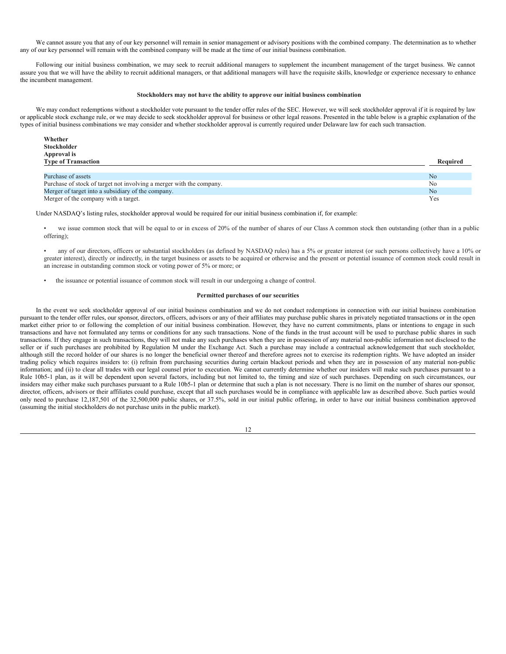We cannot assure you that any of our key personnel will remain in senior management or advisory positions with the combined company. The determination as to whether any of our key personnel will remain with the combined company will be made at the time of our initial business combination.

Following our initial business combination, we may seek to recruit additional managers to supplement the incumbent management of the target business. We cannot assure you that we will have the ability to recruit additional managers, or that additional managers will have the requisite skills, knowledge or experience necessary to enhance the incumbent management.

## **Stockholders may not have the ability to approve our initial business combination**

We may conduct redemptions without a stockholder vote pursuant to the tender offer rules of the SEC. However, we will seek stockholder approval if it is required by law or applicable stock exchange rule, or we may decide to seek stockholder approval for business or other legal reasons. Presented in the table below is a graphic explanation of the types of initial business combinations we may consider and whether stockholder approval is currently required under Delaware law for each such transaction.

| Whether<br><b>Stockholder</b><br>Approval is                         |                |
|----------------------------------------------------------------------|----------------|
| <b>Type of Transaction</b>                                           | Required       |
|                                                                      |                |
| Purchase of assets                                                   | N <sub>0</sub> |
| Purchase of stock of target not involving a merger with the company. | N <sub>0</sub> |
| Merger of target into a subsidiary of the company.                   | N <sub>o</sub> |

Merger of the company with a target.

Under NASDAQ's listing rules, stockholder approval would be required for our initial business combination if, for example:

we issue common stock that will be equal to or in excess of 20% of the number of shares of our Class A common stock then outstanding (other than in a public offering);

any of our directors, officers or substantial stockholders (as defined by NASDAQ rules) has a 5% or greater interest (or such persons collectively have a 10% or greater interest), directly or indirectly, in the target business or assets to be acquired or otherwise and the present or potential issuance of common stock could result in an increase in outstanding common stock or voting power of 5% or more; or

• the issuance or potential issuance of common stock will result in our undergoing a change of control.

## **Permitted purchases of our securities**

In the event we seek stockholder approval of our initial business combination and we do not conduct redemptions in connection with our initial business combination pursuant to the tender offer rules, our sponsor, directors, officers, advisors or any of their affiliates may purchase public shares in privately negotiated transactions or in the open market either prior to or following the completion of our initial business combination. However, they have no current commitments, plans or intentions to engage in such transactions and have not formulated any terms or conditions for any such transactions. None of the funds in the trust account will be used to purchase public shares in such transactions. If they engage in such transactions, they will not make any such purchases when they are in possession of any material non-public information not disclosed to the seller or if such purchases are prohibited by Regulation M under the Exchange Act. Such a purchase may include a contractual acknowledgement that such stockholder, although still the record holder of our shares is no longer the beneficial owner thereof and therefore agrees not to exercise its redemption rights. We have adopted an insider trading policy which requires insiders to: (i) refrain from purchasing securities during certain blackout periods and when they are in possession of any material non-public information; and (ii) to clear all trades with our legal counsel prior to execution. We cannot currently determine whether our insiders will make such purchases pursuant to a Rule 10b5-1 plan, as it will be dependent upon several factors, including but not limited to, the timing and size of such purchases. Depending on such circumstances, our insiders may either make such purchases pursuant to a Rule 10b5-1 plan or determine that such a plan is not necessary. There is no limit on the number of shares our sponsor, director, officers, advisors or their affiliates could purchase, except that all such purchases would be in compliance with applicable law as described above. Such parties would only need to purchase 12,187,501 of the 32,500,000 public shares, or 37.5%, sold in our initial public offering, in order to have our initial business combination approved (assuming the initial stockholders do not purchase units in the public market).

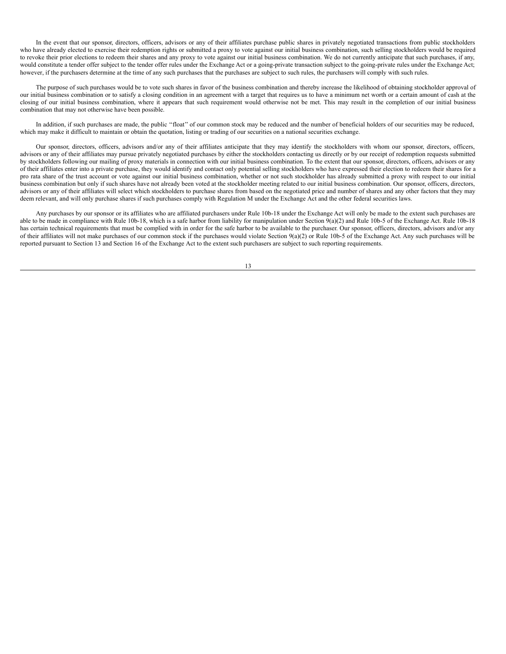In the event that our sponsor, directors, officers, advisors or any of their affiliates purchase public shares in privately negotiated transactions from public stockholders who have already elected to exercise their redemption rights or submitted a proxy to vote against our initial business combination, such selling stockholders would be required to revoke their prior elections to redeem their shares and any proxy to vote against our initial business combination. We do not currently anticipate that such purchases, if any, would constitute a tender offer subject to the tender offer rules under the Exchange Act or a going-private transaction subject to the going-private rules under the Exchange Act; however, if the purchasers determine at the time of any such purchases that the purchases are subject to such rules, the purchasers will comply with such rules.

The purpose of such purchases would be to vote such shares in favor of the business combination and thereby increase the likelihood of obtaining stockholder approval of our initial business combination or to satisfy a closing condition in an agreement with a target that requires us to have a minimum net worth or a certain amount of cash at the closing of our initial business combination, where it appears that such requirement would otherwise not be met. This may result in the completion of our initial business combination that may not otherwise have been possible.

In addition, if such purchases are made, the public ''float'' of our common stock may be reduced and the number of beneficial holders of our securities may be reduced, which may make it difficult to maintain or obtain the quotation, listing or trading of our securities on a national securities exchange.

Our sponsor, directors, officers, advisors and/or any of their affiliates anticipate that they may identify the stockholders with whom our sponsor, directors, officers, advisors or any of their affiliates may pursue privately negotiated purchases by either the stockholders contacting us directly or by our receipt of redemption requests submitted by stockholders following our mailing of proxy materials in connection with our initial business combination. To the extent that our sponsor, directors, officers, advisors or any of their affiliates enter into a private purchase, they would identify and contact only potential selling stockholders who have expressed their election to redeem their shares for a pro rata share of the trust account or vote against our initial business combination, whether or not such stockholder has already submitted a proxy with respect to our initial business combination but only if such shares have not already been voted at the stockholder meeting related to our initial business combination. Our sponsor, officers, directors, advisors or any of their affiliates will select which stockholders to purchase shares from based on the negotiated price and number of shares and any other factors that they may deem relevant, and will only purchase shares if such purchases comply with Regulation M under the Exchange Act and the other federal securities laws.

Any purchases by our sponsor or its affiliates who are affiliated purchasers under Rule 10b-18 under the Exchange Act will only be made to the extent such purchases are able to be made in compliance with Rule 10b-18, which is a safe harbor from liability for manipulation under Section  $9(a)(2)$  and Rule 10b-5 of the Exchange Act. Rule 10b-18 has certain technical requirements that must be complied with in order for the safe harbor to be available to the purchaser. Our sponsor, officers, directors, advisors and/or any of their affiliates will not make purchases of our common stock if the purchases would violate Section 9(a)(2) or Rule 10b-5 of the Exchange Act. Any such purchases will be reported pursuant to Section 13 and Section 16 of the Exchange Act to the extent such purchasers are subject to such reporting requirements.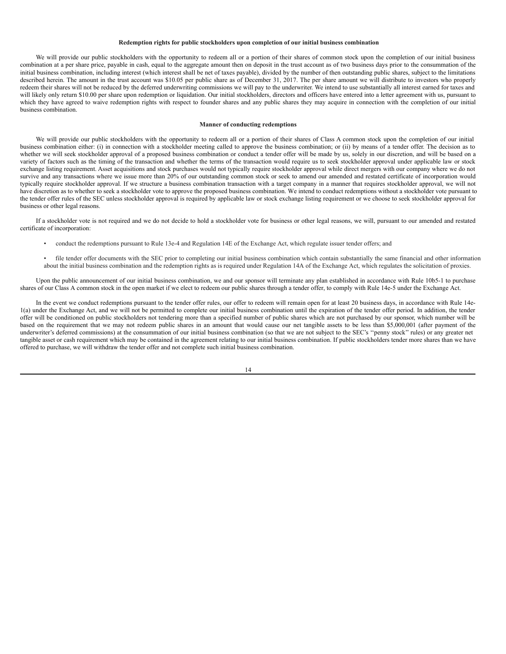#### **Redemption rights for public stockholders upon completion of our initial business combination**

We will provide our public stockholders with the opportunity to redeem all or a portion of their shares of common stock upon the completion of our initial business combination at a per share price, payable in cash, equal to the aggregate amount then on deposit in the trust account as of two business days prior to the consummation of the initial business combination, including interest (which interest shall be net of taxes payable), divided by the number of then outstanding public shares, subject to the limitations described herein. The amount in the trust account was \$10.05 per public share as of December 31, 2017. The per share amount we will distribute to investors who properly redeem their shares will not be reduced by the deferred underwriting commissions we will pay to the underwriter. We intend to use substantially all interest earned for taxes and will likely only return \$10.00 per share upon redemption or liquidation. Our initial stockholders, directors and officers have entered into a letter agreement with us, pursuant to which they have agreed to waive redemption rights with respect to founder shares and any public shares they may acquire in connection with the completion of our initial business combination.

## **Manner of conducting redemptions**

We will provide our public stockholders with the opportunity to redeem all or a portion of their shares of Class A common stock upon the completion of our initial business combination either: (i) in connection with a stockholder meeting called to approve the business combination; or (ii) by means of a tender offer. The decision as to whether we will seek stockholder approval of a proposed business combination or conduct a tender offer will be made by us, solely in our discretion, and will be based on a variety of factors such as the timing of the transaction and whether the terms of the transaction would require us to seek stockholder approval under applicable law or stock exchange listing requirement. Asset acquisitions and stock purchases would not typically require stockholder approval while direct mergers with our company where we do not survive and any transactions where we issue more than 20% of our outstanding common stock or seek to amend our amended and restated certificate of incorporation would typically require stockholder approval. If we structure a business combination transaction with a target company in a manner that requires stockholder approval, we will not have discretion as to whether to seek a stockholder vote to approve the proposed business combination. We intend to conduct redemptions without a stockholder vote pursuant to the tender offer rules of the SEC unless stockholder approval is required by applicable law or stock exchange listing requirement or we choose to seek stockholder approval for business or other legal reasons.

If a stockholder vote is not required and we do not decide to hold a stockholder vote for business or other legal reasons, we will, pursuant to our amended and restated certificate of incorporation:

- conduct the redemptions pursuant to Rule 13e-4 and Regulation 14E of the Exchange Act, which regulate issuer tender offers; and
- file tender offer documents with the SEC prior to completing our initial business combination which contain substantially the same financial and other information about the initial business combination and the redemption rights as is required under Regulation 14A of the Exchange Act, which regulates the solicitation of proxies.

Upon the public announcement of our initial business combination, we and our sponsor will terminate any plan established in accordance with Rule 10b5-1 to purchase shares of our Class A common stock in the open market if we elect to redeem our public shares through a tender offer, to comply with Rule 14e-5 under the Exchange Act.

In the event we conduct redemptions pursuant to the tender offer rules, our offer to redeem will remain open for at least 20 business days, in accordance with Rule 14e-1(a) under the Exchange Act, and we will not be permitted to complete our initial business combination until the expiration of the tender offer period. In addition, the tender offer will be conditioned on public stockholders not tendering more than a specified number of public shares which are not purchased by our sponsor, which number will be based on the requirement that we may not redeem public shares in an amount that would cause our net tangible assets to be less than \$5,000,001 (after payment of the underwriter's deferred commissions) at the consummation of our initial business combination (so that we are not subject to the SEC's ''penny stock'' rules) or any greater net tangible asset or cash requirement which may be contained in the agreement relating to our initial business combination. If public stockholders tender more shares than we have offered to purchase, we will withdraw the tender offer and not complete such initial business combination.

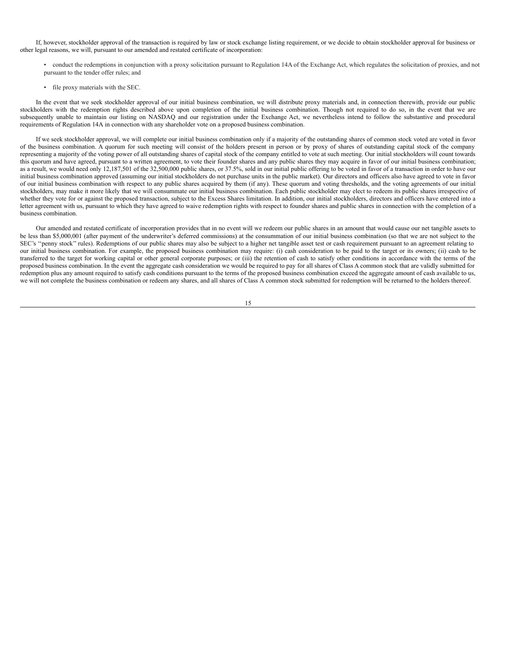If, however, stockholder approval of the transaction is required by law or stock exchange listing requirement, or we decide to obtain stockholder approval for business or other legal reasons, we will, pursuant to our amended and restated certificate of incorporation:

- conduct the redemptions in conjunction with a proxy solicitation pursuant to Regulation 14A of the Exchange Act, which regulates the solicitation of proxies, and not pursuant to the tender offer rules; and
- file proxy materials with the SEC.

In the event that we seek stockholder approval of our initial business combination, we will distribute proxy materials and, in connection therewith, provide our public stockholders with the redemption rights described above upon completion of the initial business combination. Though not required to do so, in the event that we are subsequently unable to maintain our listing on NASDAQ and our registration under the Exchange Act, we nevertheless intend to follow the substantive and procedural requirements of Regulation 14A in connection with any shareholder vote on a proposed business combination.

If we seek stockholder approval, we will complete our initial business combination only if a majority of the outstanding shares of common stock voted are voted in favor of the business combination. A quorum for such meeting will consist of the holders present in person or by proxy of shares of outstanding capital stock of the company representing a majority of the voting power of all outstanding shares of capital stock of the company entitled to vote at such meeting. Our initial stockholders will count towards this quorum and have agreed, pursuant to a written agreement, to vote their founder shares and any public shares they may acquire in favor of our initial business combination; as a result, we would need only 12,187,501 of the 32,500,000 public shares, or 37.5%, sold in our initial public offering to be voted in favor of a transaction in order to have our initial business combination approved (assuming our initial stockholders do not purchase units in the public market). Our directors and officers also have agreed to vote in favor of our initial business combination with respect to any public shares acquired by them (if any). These quorum and voting thresholds, and the voting agreements of our initial stockholders, may make it more likely that we will consummate our initial business combination. Each public stockholder may elect to redeem its public shares irrespective of whether they vote for or against the proposed transaction, subject to the Excess Shares limitation. In addition, our initial stockholders, directors and officers have entered into a letter agreement with us, pursuant to which they have agreed to waive redemption rights with respect to founder shares and public shares in connection with the completion of a business combination.

Our amended and restated certificate of incorporation provides that in no event will we redeem our public shares in an amount that would cause our net tangible assets to be less than \$5,000,001 (after payment of the underwriter's deferred commissions) at the consummation of our initial business combination (so that we are not subject to the SEC's "penny stock" rules). Redemptions of our public shares may also be subject to a higher net tangible asset test or cash requirement pursuant to an agreement relating to our initial business combination. For example, the proposed business combination may require: (i) cash consideration to be paid to the target or its owners; (ii) cash to be transferred to the target for working capital or other general corporate purposes; or (iii) the retention of cash to satisfy other conditions in accordance with the terms of the proposed business combination. In the event the aggregate cash consideration we would be required to pay for all shares of Class A common stock that are validly submitted for redemption plus any amount required to satisfy cash conditions pursuant to the terms of the proposed business combination exceed the aggregate amount of cash available to us, we will not complete the business combination or redeem any shares, and all shares of Class A common stock submitted for redemption will be returned to the holders thereof.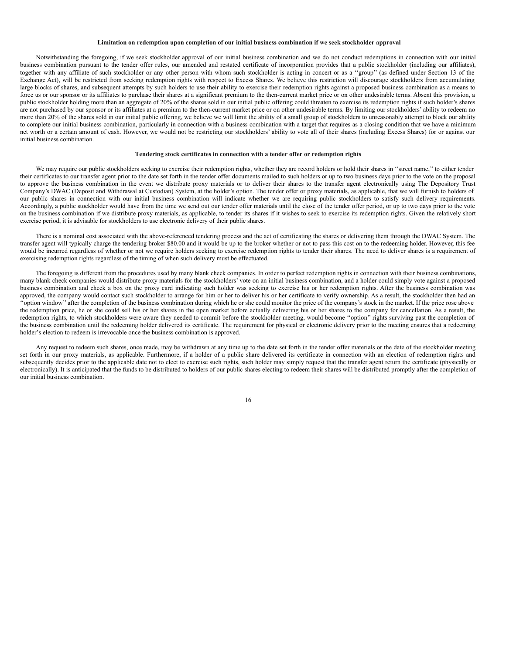#### **Limitation on redemption upon completion of our initial business combination if we seek stockholder approval**

Notwithstanding the foregoing, if we seek stockholder approval of our initial business combination and we do not conduct redemptions in connection with our initial business combination pursuant to the tender offer rules, our amended and restated certificate of incorporation provides that a public stockholder (including our affiliates), together with any affiliate of such stockholder or any other person with whom such stockholder is acting in concert or as a ''group'' (as defined under Section 13 of the Exchange Act), will be restricted from seeking redemption rights with respect to Excess Shares. We believe this restriction will discourage stockholders from accumulating large blocks of shares, and subsequent attempts by such holders to use their ability to exercise their redemption rights against a proposed business combination as a means to force us or our sponsor or its affiliates to purchase their shares at a significant premium to the then-current market price or on other undesirable terms. Absent this provision, a public stockholder holding more than an aggregate of 20% of the shares sold in our initial public offering could threaten to exercise its redemption rights if such holder's shares are not purchased by our sponsor or its affiliates at a premium to the then-current market price or on other undesirable terms. By limiting our stockholders' ability to redeem no more than 20% of the shares sold in our initial public offering, we believe we will limit the ability of a small group of stockholders to unreasonably attempt to block our ability to complete our initial business combination, particularly in connection with a business combination with a target that requires as a closing condition that we have a minimum net worth or a certain amount of cash. However, we would not be restricting our stockholders' ability to vote all of their shares (including Excess Shares) for or against our initial business combination.

## **Tendering stock certificates in connection with a tender offer or redemption rights**

We may require our public stockholders seeking to exercise their redemption rights, whether they are record holders or hold their shares in "street name," to either tender their certificates to our transfer agent prior to the date set forth in the tender offer documents mailed to such holders or up to two business days prior to the vote on the proposal to approve the business combination in the event we distribute proxy materials or to deliver their shares to the transfer agent electronically using The Depository Trust Company's DWAC (Deposit and Withdrawal at Custodian) System, at the holder's option. The tender offer or proxy materials, as applicable, that we will furnish to holders of our public shares in connection with our initial business combination will indicate whether we are requiring public stockholders to satisfy such delivery requirements. Accordingly, a public stockholder would have from the time we send out our tender offer materials until the close of the tender offer period, or up to two days prior to the vote on the business combination if we distribute proxy materials, as applicable, to tender its shares if it wishes to seek to exercise its redemption rights. Given the relatively short exercise period, it is advisable for stockholders to use electronic delivery of their public shares.

There is a nominal cost associated with the above-referenced tendering process and the act of certificating the shares or delivering them through the DWAC System. The transfer agent will typically charge the tendering broker \$80.00 and it would be up to the broker whether or not to pass this cost on to the redeeming holder. However, this fee would be incurred regardless of whether or not we require holders seeking to exercise redemption rights to tender their shares. The need to deliver shares is a requirement of exercising redemption rights regardless of the timing of when such delivery must be effectuated.

The foregoing is different from the procedures used by many blank check companies. In order to perfect redemption rights in connection with their business combinations, many blank check companies would distribute proxy materials for the stockholders' vote on an initial business combination, and a holder could simply vote against a proposed business combination and check a box on the proxy card indicating such holder was seeking to exercise his or her redemption rights. After the business combination was approved, the company would contact such stockholder to arrange for him or her to deliver his or her certificate to verify ownership. As a result, the stockholder then had an ''option window'' after the completion of the business combination during which he or she could monitor the price of the company's stock in the market. If the price rose above the redemption price, he or she could sell his or her shares in the open market before actually delivering his or her shares to the company for cancellation. As a result, the redemption rights, to which stockholders were aware they needed to commit before the stockholder meeting, would become "option" rights surviving past the completion of the business combination until the redeeming holder delivered its certificate. The requirement for physical or electronic delivery prior to the meeting ensures that a redeeming holder's election to redeem is irrevocable once the business combination is approved.

Any request to redeem such shares, once made, may be withdrawn at any time up to the date set forth in the tender offer materials or the date of the stockholder meeting set forth in our proxy materials, as applicable. Furthermore, if a holder of a public share delivered its certificate in connection with an election of redemption rights and subsequently decides prior to the applicable date not to elect to exercise such rights, such holder may simply request that the transfer agent return the certificate (physically or electronically). It is anticipated that the funds to be distributed to holders of our public shares electing to redeem their shares will be distributed promptly after the completion of our initial business combination.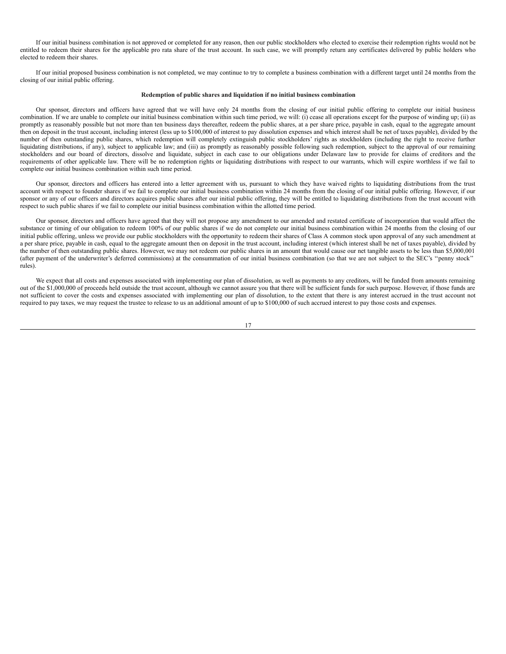If our initial business combination is not approved or completed for any reason, then our public stockholders who elected to exercise their redemption rights would not be entitled to redeem their shares for the applicable pro rata share of the trust account. In such case, we will promptly return any certificates delivered by public holders who elected to redeem their shares.

If our initial proposed business combination is not completed, we may continue to try to complete a business combination with a different target until 24 months from the closing of our initial public offering.

## **Redemption of public shares and liquidation if no initial business combination**

Our sponsor, directors and officers have agreed that we will have only 24 months from the closing of our initial public offering to complete our initial business combination. If we are unable to complete our initial business combination within such time period, we will: (i) cease all operations except for the purpose of winding up; (ii) as promptly as reasonably possible but not more than ten business days thereafter, redeem the public shares, at a per share price, payable in cash, equal to the aggregate amount then on deposit in the trust account, including interest (less up to \$100,000 of interest to pay dissolution expenses and which interest shall be net of taxes payable), divided by the number of then outstanding public shares, which redemption will completely extinguish public stockholders' rights as stockholders (including the right to receive further liquidating distributions, if any), subject to applicable law; and (iii) as promptly as reasonably possible following such redemption, subject to the approval of our remaining stockholders and our board of directors, dissolve and liquidate, subject in each case to our obligations under Delaware law to provide for claims of creditors and the requirements of other applicable law. There will be no redemption rights or liquidating distributions with respect to our warrants, which will expire worthless if we fail to complete our initial business combination within such time period.

Our sponsor, directors and officers has entered into a letter agreement with us, pursuant to which they have waived rights to liquidating distributions from the trust account with respect to founder shares if we fail to complete our initial business combination within 24 months from the closing of our initial public offering. However, if our sponsor or any of our officers and directors acquires public shares after our initial public offering, they will be entitled to liquidating distributions from the trust account with respect to such public shares if we fail to complete our initial business combination within the allotted time period.

Our sponsor, directors and officers have agreed that they will not propose any amendment to our amended and restated certificate of incorporation that would affect the substance or timing of our obligation to redeem 100% of our public shares if we do not complete our initial business combination within 24 months from the closing of our initial public offering, unless we provide our public stockholders with the opportunity to redeem their shares of Class A common stock upon approval of any such amendment at a per share price, payable in cash, equal to the aggregate amount then on deposit in the trust account, including interest (which interest shall be net of taxes payable), divided by the number of then outstanding public shares. However, we may not redeem our public shares in an amount that would cause our net tangible assets to be less than \$5,000,001 (after payment of the underwriter's deferred commissions) at the consummation of our initial business combination (so that we are not subject to the SEC's ''penny stock'' rules).

We expect that all costs and expenses associated with implementing our plan of dissolution, as well as payments to any creditors, will be funded from amounts remaining out of the \$1,000,000 of proceeds held outside the trust account, although we cannot assure you that there will be sufficient funds for such purpose. However, if those funds are not sufficient to cover the costs and expenses associated with implementing our plan of dissolution, to the extent that there is any interest accrued in the trust account not required to pay taxes, we may request the trustee to release to us an additional amount of up to \$100,000 of such accrued interest to pay those costs and expenses.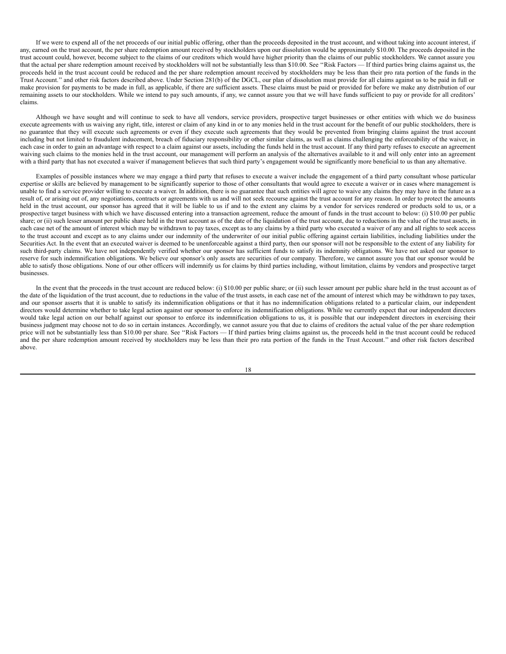If we were to expend all of the net proceeds of our initial public offering, other than the proceeds deposited in the trust account, and without taking into account interest, if any, earned on the trust account, the per share redemption amount received by stockholders upon our dissolution would be approximately \$10.00. The proceeds deposited in the trust account could, however, become subject to the claims of our creditors which would have higher priority than the claims of our public stockholders. We cannot assure you that the actual per share redemption amount received by stockholders will not be substantially less than \$10.00. See "Risk Factors — If third parties bring claims against us, the proceeds held in the trust account could be reduced and the per share redemption amount received by stockholders may be less than their pro rata portion of the funds in the Trust Account.'' and other risk factors described above. Under Section 281(b) of the DGCL, our plan of dissolution must provide for all claims against us to be paid in full or make provision for payments to be made in full, as applicable, if there are sufficient assets. These claims must be paid or provided for before we make any distribution of our remaining assets to our stockholders. While we intend to pay such amounts, if any, we cannot assure you that we will have funds sufficient to pay or provide for all creditors' claims.

Although we have sought and will continue to seek to have all vendors, service providers, prospective target businesses or other entities with which we do business execute agreements with us waiving any right, title, interest or claim of any kind in or to any monies held in the trust account for the benefit of our public stockholders, there is no guarantee that they will execute such agreements or even if they execute such agreements that they would be prevented from bringing claims against the trust account including but not limited to fraudulent inducement, breach of fiduciary responsibility or other similar claims, as well as claims challenging the enforceability of the waiver, in each case in order to gain an advantage with respect to a claim against our assets, including the funds held in the trust account. If any third party refuses to execute an agreement waiving such claims to the monies held in the trust account, our management will perform an analysis of the alternatives available to it and will only enter into an agreement with a third party that has not executed a waiver if management believes that such third party's engagement would be significantly more beneficial to us than any alternative.

Examples of possible instances where we may engage a third party that refuses to execute a waiver include the engagement of a third party consultant whose particular expertise or skills are believed by management to be significantly superior to those of other consultants that would agree to execute a waiver or in cases where management is unable to find a service provider willing to execute a waiver. In addition, there is no guarantee that such entities will agree to waive any claims they may have in the future as a result of, or arising out of, any negotiations, contracts or agreements with us and will not seek recourse against the trust account for any reason. In order to protect the amounts held in the trust account, our sponsor has agreed that it will be liable to us if and to the extent any claims by a vendor for services rendered or products sold to us, or a prospective target business with which we have discussed entering into a transaction agreement, reduce the amount of funds in the trust account to below: (i) \$10.00 per public share; or (ii) such lesser amount per public share held in the trust account as of the date of the liquidation of the trust account, due to reductions in the value of the trust assets, in each case net of the amount of interest which may be withdrawn to pay taxes, except as to any claims by a third party who executed a waiver of any and all rights to seek access to the trust account and except as to any claims under our indemnity of the underwriter of our initial public offering against certain liabilities, including liabilities under the Securities Act. In the event that an executed waiver is deemed to be unenforceable against a third party, then our sponsor will not be responsible to the extent of any liability for such third-party claims. We have not independently verified whether our sponsor has sufficient funds to satisfy its indemnity obligations. We have not asked our sponsor to reserve for such indemnification obligations. We believe our sponsor's only assets are securities of our company. Therefore, we cannot assure you that our sponsor would be able to satisfy those obligations. None of our other officers will indemnify us for claims by third parties including, without limitation, claims by vendors and prospective target businesses.

In the event that the proceeds in the trust account are reduced below: (i) \$10.00 per public share; or (ii) such lesser amount per public share held in the trust account as of the date of the liquidation of the trust account, due to reductions in the value of the trust assets, in each case net of the amount of interest which may be withdrawn to pay taxes, and our sponsor asserts that it is unable to satisfy its indemnification obligations or that it has no indemnification obligations related to a particular claim, our independent directors would determine whether to take legal action against our sponsor to enforce its indemnification obligations. While we currently expect that our independent directors would take legal action on our behalf against our sponsor to enforce its indemnification obligations to us, it is possible that our independent directors in exercising their business judgment may choose not to do so in certain instances. Accordingly, we cannot assure you that due to claims of creditors the actual value of the per share redemption price will not be substantially less than \$10.00 per share. See "Risk Factors — If third parties bring claims against us, the proceeds held in the trust account could be reduced and the per share redemption amount received by stockholders may be less than their pro rata portion of the funds in the Trust Account.'' and other risk factors described above.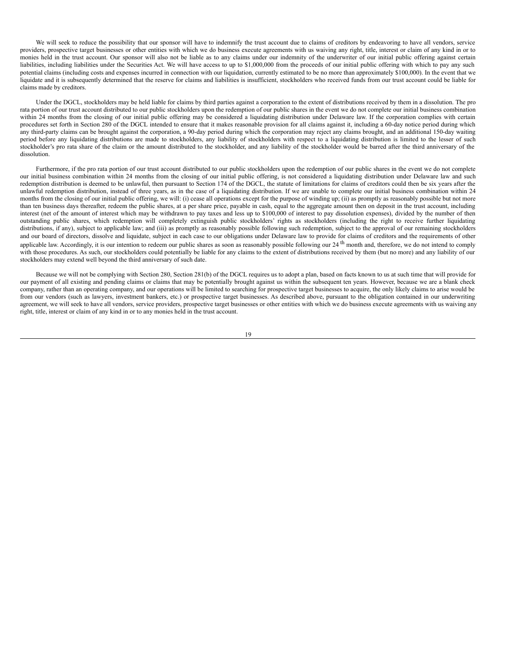We will seek to reduce the possibility that our sponsor will have to indemnify the trust account due to claims of creditors by endeavoring to have all vendors, service providers, prospective target businesses or other entities with which we do business execute agreements with us waiving any right, title, interest or claim of any kind in or to monies held in the trust account. Our sponsor will also not be liable as to any claims under our indemnity of the underwriter of our initial public offering against certain liabilities, including liabilities under the Securities Act. We will have access to up to \$1,000,000 from the proceeds of our initial public offering with which to pay any such potential claims (including costs and expenses incurred in connection with our liquidation, currently estimated to be no more than approximately \$100,000). In the event that we liquidate and it is subsequently determined that the reserve for claims and liabilities is insufficient, stockholders who received funds from our trust account could be liable for claims made by creditors.

Under the DGCL, stockholders may be held liable for claims by third parties against a corporation to the extent of distributions received by them in a dissolution. The pro rata portion of our trust account distributed to our public stockholders upon the redemption of our public shares in the event we do not complete our initial business combination within 24 months from the closing of our initial public offering may be considered a liquidating distribution under Delaware law. If the corporation complies with certain procedures set forth in Section 280 of the DGCL intended to ensure that it makes reasonable provision for all claims against it, including a 60-day notice period during which any third-party claims can be brought against the corporation, a 90-day period during which the corporation may reject any claims brought, and an additional 150-day waiting period before any liquidating distributions are made to stockholders, any liability of stockholders with respect to a liquidating distribution is limited to the lesser of such stockholder's pro rata share of the claim or the amount distributed to the stockholder, and any liability of the stockholder would be barred after the third anniversary of the dissolution.

Furthermore, if the pro rata portion of our trust account distributed to our public stockholders upon the redemption of our public shares in the event we do not complete our initial business combination within 24 months from the closing of our initial public offering, is not considered a liquidating distribution under Delaware law and such redemption distribution is deemed to be unlawful, then pursuant to Section 174 of the DGCL, the statute of limitations for claims of creditors could then be six years after the unlawful redemption distribution, instead of three years, as in the case of a liquidating distribution. If we are unable to complete our initial business combination within 24 months from the closing of our initial public offering, we will: (i) cease all operations except for the purpose of winding up; (ii) as promptly as reasonably possible but not more than ten business days thereafter, redeem the public shares, at a per share price, payable in cash, equal to the aggregate amount then on deposit in the trust account, including interest (net of the amount of interest which may be withdrawn to pay taxes and less up to \$100,000 of interest to pay dissolution expenses), divided by the number of then outstanding public shares, which redemption will completely extinguish public stockholders' rights as stockholders (including the right to receive further liquidating distributions, if any), subject to applicable law; and (iii) as promptly as reasonably possible following such redemption, subject to the approval of our remaining stockholders and our board of directors, dissolve and liquidate, subject in each case to our obligations under Delaware law to provide for claims of creditors and the requirements of other applicable law. Accordingly, it is our intention to redeem our public shares as soon as reasonably possible following our  $24<sup>th</sup>$  month and, therefore, we do not intend to comply with those procedures. As such, our stockholders could potentially be liable for any claims to the extent of distributions received by them (but no more) and any liability of our stockholders may extend well beyond the third anniversary of such date.

Because we will not be complying with Section 280, Section 281(b) of the DGCL requires us to adopt a plan, based on facts known to us at such time that will provide for our payment of all existing and pending claims or claims that may be potentially brought against us within the subsequent ten years. However, because we are a blank check company, rather than an operating company, and our operations will be limited to searching for prospective target businesses to acquire, the only likely claims to arise would be from our vendors (such as lawyers, investment bankers, etc.) or prospective target businesses. As described above, pursuant to the obligation contained in our underwriting agreement, we will seek to have all vendors, service providers, prospective target businesses or other entities with which we do business execute agreements with us waiving any right, title, interest or claim of any kind in or to any monies held in the trust account.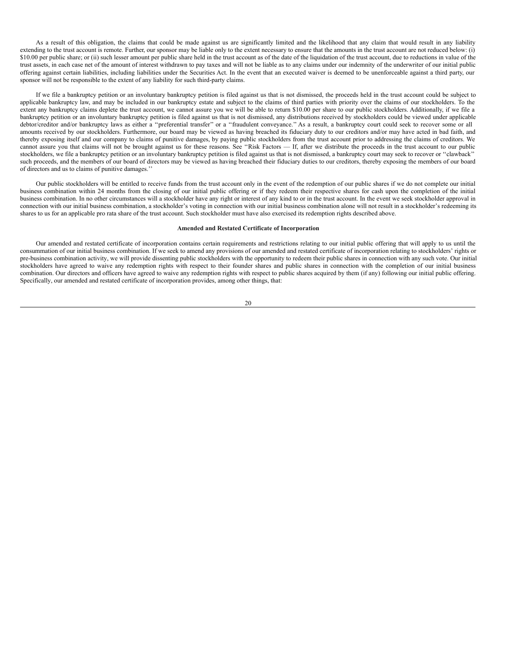As a result of this obligation, the claims that could be made against us are significantly limited and the likelihood that any claim that would result in any liability extending to the trust account is remote. Further, our sponsor may be liable only to the extent necessary to ensure that the amounts in the trust account are not reduced below: (i) \$10.00 per public share; or (ii) such lesser amount per public share held in the trust account as of the date of the liquidation of the trust account, due to reductions in value of the trust assets, in each case net of the amount of interest withdrawn to pay taxes and will not be liable as to any claims under our indemnity of the underwriter of our initial public offering against certain liabilities, including liabilities under the Securities Act. In the event that an executed waiver is deemed to be unenforceable against a third party, our sponsor will not be responsible to the extent of any liability for such third-party claims.

If we file a bankruptcy petition or an involuntary bankruptcy petition is filed against us that is not dismissed, the proceeds held in the trust account could be subject to applicable bankruptcy law, and may be included in our bankruptcy estate and subject to the claims of third parties with priority over the claims of our stockholders. To the extent any bankruptcy claims deplete the trust account, we cannot assure you we will be able to return \$10.00 per share to our public stockholders. Additionally, if we file a bankruptcy petition or an involuntary bankruptcy petition is filed against us that is not dismissed, any distributions received by stockholders could be viewed under applicable debtor/creditor and/or bankruptcy laws as either a "preferential transfer" or a "fraudulent conveyance." As a result, a bankruptcy court could seek to recover some or all amounts received by our stockholders. Furthermore, our board may be viewed as having breached its fiduciary duty to our creditors and/or may have acted in bad faith, and thereby exposing itself and our company to claims of punitive damages, by paying public stockholders from the trust account prior to addressing the claims of creditors. We cannot assure you that claims will not be brought against us for these reasons. See "Risk Factors — If, after we distribute the proceeds in the trust account to our public stockholders, we file a bankruptcy petition or an involuntary bankruptcy petition is filed against us that is not dismissed, a bankruptcy court may seek to recover or "clawback" such proceeds, and the members of our board of directors may be viewed as having breached their fiduciary duties to our creditors, thereby exposing the members of our board of directors and us to claims of punitive damages.''

Our public stockholders will be entitled to receive funds from the trust account only in the event of the redemption of our public shares if we do not complete our initial business combination within 24 months from the closing of our initial public offering or if they redeem their respective shares for cash upon the completion of the initial business combination. In no other circumstances will a stockholder have any right or interest of any kind to or in the trust account. In the event we seek stockholder approval in connection with our initial business combination, a stockholder's voting in connection with our initial business combination alone will not result in a stockholder's redeeming its shares to us for an applicable pro rata share of the trust account. Such stockholder must have also exercised its redemption rights described above.

### **Amended and Restated Certificate of Incorporation**

Our amended and restated certificate of incorporation contains certain requirements and restrictions relating to our initial public offering that will apply to us until the consummation of our initial business combination. If we seek to amend any provisions of our amended and restated certificate of incorporation relating to stockholders' rights or pre-business combination activity, we will provide dissenting public stockholders with the opportunity to redeem their public shares in connection with any such vote. Our initial stockholders have agreed to waive any redemption rights with respect to their founder shares and public shares in connection with the completion of our initial business combination. Our directors and officers have agreed to waive any redemption rights with respect to public shares acquired by them (if any) following our initial public offering. Specifically, our amended and restated certificate of incorporation provides, among other things, that: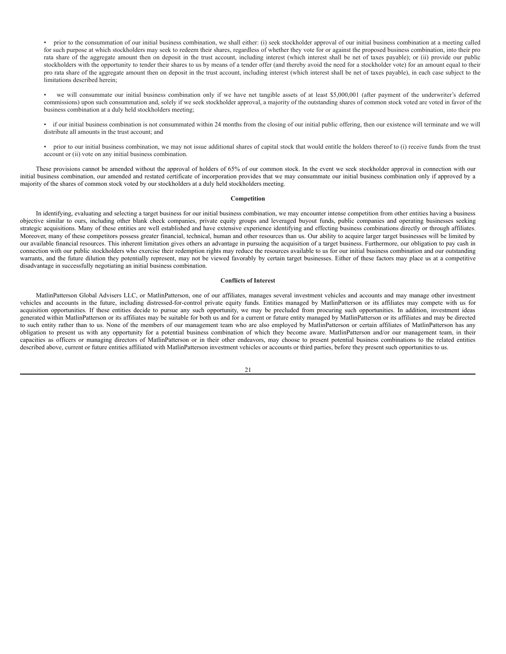• prior to the consummation of our initial business combination, we shall either: (i) seek stockholder approval of our initial business combination at a meeting called for such purpose at which stockholders may seek to redeem their shares, regardless of whether they vote for or against the proposed business combination, into their pro rata share of the aggregate amount then on deposit in the trust account, including interest (which interest shall be net of taxes payable); or (ii) provide our public stockholders with the opportunity to tender their shares to us by means of a tender offer (and thereby avoid the need for a stockholder vote) for an amount equal to their pro rata share of the aggregate amount then on deposit in the trust account, including interest (which interest shall be net of taxes payable), in each case subject to the limitations described herein;

we will consummate our initial business combination only if we have net tangible assets of at least \$5,000,001 (after payment of the underwriter's deferred commissions) upon such consummation and, solely if we seek stockholder approval, a majority of the outstanding shares of common stock voted are voted in favor of the business combination at a duly held stockholders meeting;

• if our initial business combination is not consummated within 24 months from the closing of our initial public offering, then our existence will terminate and we will distribute all amounts in the trust account; and

• prior to our initial business combination, we may not issue additional shares of capital stock that would entitle the holders thereof to (i) receive funds from the trust account or (ii) vote on any initial business combination.

These provisions cannot be amended without the approval of holders of 65% of our common stock. In the event we seek stockholder approval in connection with our initial business combination, our amended and restated certificate of incorporation provides that we may consummate our initial business combination only if approved by a majority of the shares of common stock voted by our stockholders at a duly held stockholders meeting.

## **Competition**

In identifying, evaluating and selecting a target business for our initial business combination, we may encounter intense competition from other entities having a business objective similar to ours, including other blank check companies, private equity groups and leveraged buyout funds, public companies and operating businesses seeking strategic acquisitions. Many of these entities are well established and have extensive experience identifying and effecting business combinations directly or through affiliates. Moreover, many of these competitors possess greater financial, technical, human and other resources than us. Our ability to acquire larger target businesses will be limited by our available financial resources. This inherent limitation gives others an advantage in pursuing the acquisition of a target business. Furthermore, our obligation to pay cash in connection with our public stockholders who exercise their redemption rights may reduce the resources available to us for our initial business combination and our outstanding warrants, and the future dilution they potentially represent, may not be viewed favorably by certain target businesses. Either of these factors may place us at a competitive disadvantage in successfully negotiating an initial business combination.

## **Conflicts of Interest**

MatlinPatterson Global Advisers LLC, or MatlinPatterson, one of our affiliates, manages several investment vehicles and accounts and may manage other investment vehicles and accounts in the future, including distressed-for-control private equity funds. Entities managed by MatlinPatterson or its affiliates may compete with us for acquisition opportunities. If these entities decide to pursue any such opportunity, we may be precluded from procuring such opportunities. In addition, investment ideas generated within MatlinPatterson or its affiliates may be suitable for both us and for a current or future entity managed by MatlinPatterson or its affiliates and may be directed to such entity rather than to us. None of the members of our management team who are also employed by MatlinPatterson or certain affiliates of MatlinPatterson has any obligation to present us with any opportunity for a potential business combination of which they become aware. MatlinPatterson and/or our management team, in their capacities as officers or managing directors of MatlinPatterson or in their other endeavors, may choose to present potential business combinations to the related entities described above, current or future entities affiliated with MatlinPatterson investment vehicles or accounts or third parties, before they present such opportunities to us.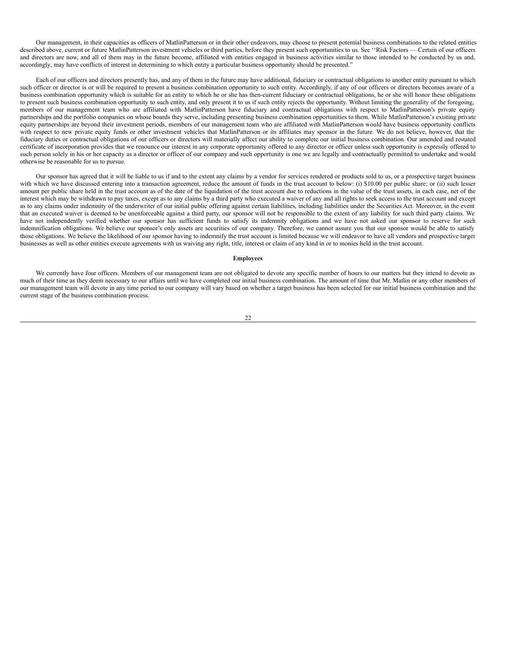Our management, in their capacities as officers of MatlinPatterson or in their other endeavors, may choose to present potential business combinations to the related entities described above, current or future MatlinPatterson investment vehicles or third parties, before they present such opportunities to us. See "Risk Factors — Certain of our officers and directors are now, and all of them may in the future become, affiliated with entities engaged in business activities similar to those intended to be conducted by us and, accordingly, may have conflicts of interest in determining to which entity a particular business opportunity should be presented."

Each of our officers and directors presently has, and any of them in the future may have additional, fiduciary or contractual obligations to another entity pursuant to which such officer or director is or will be required to present a business combination opportunity to such entity. Accordingly, if any of our officers or directors becomes aware of a business combination opportunity which is suitable for an entity to which he or she has then-current fiduciary or contractual obligations, he or she will honor these obligations to present such business combination opportunity to such entity, and only present it to us if such entity rejects the opportunity. Without limiting the generality of the foregoing, members of our management team who are affiliated with MatlinPatterson have fiduciary and contractual obligations with respect to MatlinPatterson's private equity partnerships and the portfolio companies on whose boards they serve, including presenting business combination opportunities to them. While MatlinPatterson's existing private equity partnerships are beyond their investment periods, members of our management team who are affiliated with MatlinPatterson would have business opportunity conflicts with respect to new private equity funds or other investment vehicles that MatlinPatterson or its affiliates may sponsor in the future. We do not believe, however, that the fiduciary duties or contractual obligations of our officers or directors will materially affect our ability to complete our initial business combination. Our amended and restated certificate of incorporation provides that we renounce our interest in any corporate opportunity offered to any director or officer unless such opportunity is expressly offered to such person solely in his or her capacity as a director or officer of our company and such opportunity is one we are legally and contractually permitted to undertake and would otherwise be reasonable for us to pursue.

Our sponsor has agreed that it will be liable to us if and to the extent any claims by a vendor for services rendered or products sold to us, or a prospective target business with which we have discussed entering into a transaction agreement, reduce the amount of funds in the trust account to below: (i) \$10.00 per public share; or (ii) such lesser amount per public share held in the trust account as of the date of the liquidation of the trust account due to reductions in the value of the trust assets, in each case, net of the interest which may be withdrawn to pay taxes, except as to any claims by a third party who executed a waiver of any and all rights to seek access to the trust account and except as to any claims under indemnity of the underwriter of our initial public offering against certain liabilities, including liabilities under the Securities Act. Moreover, in the event that an executed waiver is deemed to be unenforceable against a third party, our sponsor will not be responsible to the extent of any liability for such third party claims. We have not independently verified whether our sponsor has sufficient funds to satisfy its indemnity obligations and we have not asked our sponsor to reserve for such indemnification obligations. We believe our sponsor's only assets are securities of our company. Therefore, we cannot assure you that our sponsor would be able to satisfy those obligations. We believe the likelihood of our sponsor having to indemnify the trust account is limited because we will endeavor to have all vendors and prospective target businesses as well as other entities execute agreements with us waiving any right, title, interest or claim of any kind in or to monies held in the trust account.

## **Employees**

We currently have four officers. Members of our management team are not obligated to devote any specific number of hours to our matters but they intend to devote as much of their time as they deem necessary to our affairs until we have completed our initial business combination. The amount of time that Mr. Matlin or any other members of our management team will devote in any time period to our company will vary based on whether a target business has been selected for our initial business combination and the current stage of the business combination process.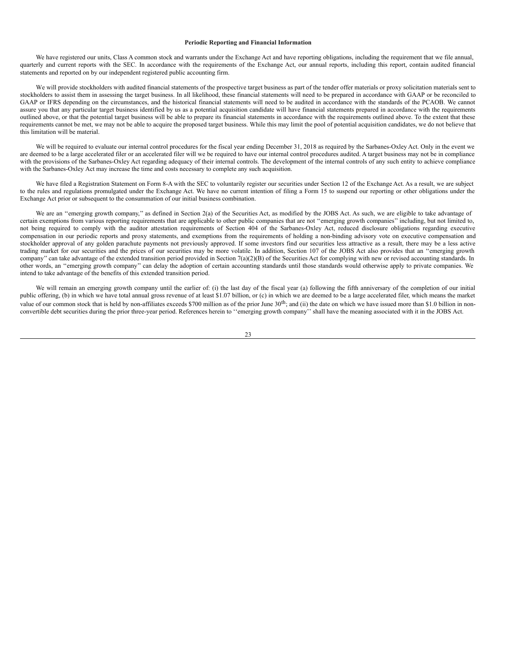#### **Periodic Reporting and Financial Information**

We have registered our units, Class A common stock and warrants under the Exchange Act and have reporting obligations, including the requirement that we file annual, quarterly and current reports with the SEC. In accordance with the requirements of the Exchange Act, our annual reports, including this report, contain audited financial statements and reported on by our independent registered public accounting firm.

We will provide stockholders with audited financial statements of the prospective target business as part of the tender offer materials or proxy solicitation materials sent to stockholders to assist them in assessing the target business. In all likelihood, these financial statements will need to be prepared in accordance with GAAP or be reconciled to GAAP or IFRS depending on the circumstances, and the historical financial statements will need to be audited in accordance with the standards of the PCAOB. We cannot assure you that any particular target business identified by us as a potential acquisition candidate will have financial statements prepared in accordance with the requirements outlined above, or that the potential target business will be able to prepare its financial statements in accordance with the requirements outlined above. To the extent that these requirements cannot be met, we may not be able to acquire the proposed target business. While this may limit the pool of potential acquisition candidates, we do not believe that this limitation will be material.

We will be required to evaluate our internal control procedures for the fiscal year ending December 31, 2018 as required by the Sarbanes-Oxley Act. Only in the event we are deemed to be a large accelerated filer or an accelerated filer will we be required to have our internal control procedures audited. A target business may not be in compliance with the provisions of the Sarbanes-Oxley Act regarding adequacy of their internal controls. The development of the internal controls of any such entity to achieve compliance with the Sarbanes-Oxley Act may increase the time and costs necessary to complete any such acquisition.

We have filed a Registration Statement on Form 8-A with the SEC to voluntarily register our securities under Section 12 of the Exchange Act. As a result, we are subject to the rules and regulations promulgated under the Exchange Act. We have no current intention of filing a Form 15 to suspend our reporting or other obligations under the Exchange Act prior or subsequent to the consummation of our initial business combination.

We are an "emerging growth company," as defined in Section 2(a) of the Securities Act, as modified by the JOBS Act. As such, we are eligible to take advantage of certain exemptions from various reporting requirements that are applicable to other public companies that are not ''emerging growth companies'' including, but not limited to, not being required to comply with the auditor attestation requirements of Section 404 of the Sarbanes-Oxley Act, reduced disclosure obligations regarding executive compensation in our periodic reports and proxy statements, and exemptions from the requirements of holding a non-binding advisory vote on executive compensation and stockholder approval of any golden parachute payments not previously approved. If some investors find our securities less attractive as a result, there may be a less active trading market for our securities and the prices of our securities may be more volatile. In addition, Section 107 of the JOBS Act also provides that an "emerging growth company" can take advantage of the extended transition period provided in Section 7(a)(2)(B) of the Securities Act for complying with new or revised accounting standards. In other words, an ''emerging growth company'' can delay the adoption of certain accounting standards until those standards would otherwise apply to private companies. We intend to take advantage of the benefits of this extended transition period.

We will remain an emerging growth company until the earlier of: (i) the last day of the fiscal year (a) following the fifth anniversary of the completion of our initial public offering, (b) in which we have total annual gross revenue of at least \$1.07 billion, or (c) in which we are deemed to be a large accelerated filer, which means the market value of our common stock that is held by non-affiliates exceeds \$700 million as of the prior June  $30<sup>th</sup>$ ; and (ii) the date on which we have issued more than \$1.0 billion in nonconvertible debt securities during the prior three-year period. References herein to ''emerging growth company'' shall have the meaning associated with it in the JOBS Act.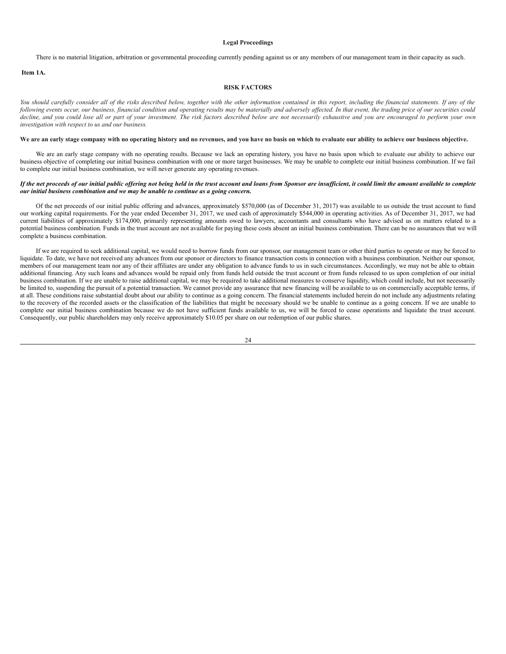#### **Legal Proceedings**

There is no material litigation, arbitration or governmental proceeding currently pending against us or any members of our management team in their capacity as such.

## <span id="page-27-0"></span>**Item 1A.**

## **RISK FACTORS**

You should carefully consider all of the risks described below, together with the other information contained in this report, including the financial statements. If any of the following events occur, our business, financial condition and operating results may be materially and adversely affected. In that event, the trading price of our securities could decline, and you could lose all or part of your investment. The risk factors described below are not necessarily exhaustive and you are encouraged to perform your own *investigation with respect to us and our business.*

#### We are an early stage company with no operating history and no revenues, and you have no basis on which to evaluate our ability to achieve our business objective.

We are an early stage company with no operating results. Because we lack an operating history, you have no basis upon which to evaluate our ability to achieve our business objective of completing our initial business combination with one or more target businesses. We may be unable to complete our initial business combination. If we fail to complete our initial business combination, we will never generate any operating revenues.

## If the net proceeds of our initial public offering not being held in the trust account and loans from Sponsor are insufficient, it could limit the amount available to complete *our initial business combination and we may be unable to continue as a going concern.*

Of the net proceeds of our initial public offering and advances, approximately \$570,000 (as of December 31, 2017) was available to us outside the trust account to fund our working capital requirements. For the year ended December 31, 2017, we used cash of approximately \$544,000 in operating activities. As of December 31, 2017, we had current liabilities of approximately \$174,000, primarily representing amounts owed to lawyers, accountants and consultants who have advised us on matters related to a potential business combination. Funds in the trust account are not available for paying these costs absent an initial business combination. There can be no assurances that we will complete a business combination.

If we are required to seek additional capital, we would need to borrow funds from our sponsor, our management team or other third parties to operate or may be forced to liquidate. To date, we have not received any advances from our sponsor or directors to finance transaction costs in connection with a business combination. Neither our sponsor, members of our management team nor any of their affiliates are under any obligation to advance funds to us in such circumstances. Accordingly, we may not be able to obtain additional financing. Any such loans and advances would be repaid only from funds held outside the trust account or from funds released to us upon completion of our initial business combination. If we are unable to raise additional capital, we may be required to take additional measures to conserve liquidity, which could include, but not necessarily be limited to, suspending the pursuit of a potential transaction. We cannot provide any assurance that new financing will be available to us on commercially acceptable terms, if at all. These conditions raise substantial doubt about our ability to continue as a going concern. The financial statements included herein do not include any adjustments relating to the recovery of the recorded assets or the classification of the liabilities that might be necessary should we be unable to continue as a going concern. If we are unable to complete our initial business combination because we do not have sufficient funds available to us, we will be forced to cease operations and liquidate the trust account. Consequently, our public shareholders may only receive approximately \$10.05 per share on our redemption of our public shares.

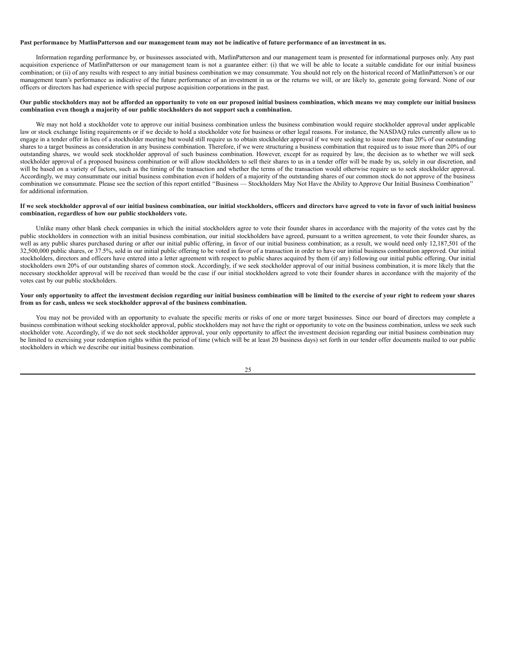### Past performance by MatlinPatterson and our management team may not be indicative of future performance of an investment in us.

Information regarding performance by, or businesses associated with, MatlinPatterson and our management team is presented for informational purposes only. Any past acquisition experience of MatlinPatterson or our management team is not a guarantee either: (i) that we will be able to locate a suitable candidate for our initial business combination; or (ii) of any results with respect to any initial business combination we may consummate. You should not rely on the historical record of MatlinPatterson's or our management team's performance as indicative of the future performance of an investment in us or the returns we will, or are likely to, generate going forward. None of our officers or directors has had experience with special purpose acquisition corporations in the past.

### Our public stockholders may not be afforded an opportunity to vote on our proposed initial business combination, which means we may complete our initial business **combination even though a majority of our public stockholders do not support such a combination.**

We may not hold a stockholder vote to approve our initial business combination unless the business combination would require stockholder approval under applicable law or stock exchange listing requirements or if we decide to hold a stockholder vote for business or other legal reasons. For instance, the NASDAQ rules currently allow us to engage in a tender offer in lieu of a stockholder meeting but would still require us to obtain stockholder approval if we were seeking to issue more than 20% of our outstanding shares to a target business as consideration in any business combination. Therefore, if we were structuring a business combination that required us to issue more than 20% of our outstanding shares, we would seek stockholder approval of such business combination. However, except for as required by law, the decision as to whether we will seek stockholder approval of a proposed business combination or will allow stockholders to sell their shares to us in a tender offer will be made by us, solely in our discretion, and will be based on a variety of factors, such as the timing of the transaction and whether the terms of the transaction would otherwise require us to seek stockholder approval. Accordingly, we may consummate our initial business combination even if holders of a majority of the outstanding shares of our common stock do not approve of the business combination we consummate. Please see the section of this report entitled ''Business — Stockholders May Not Have the Ability to Approve Our Initial Business Combination'' for additional information.

### If we seek stockholder approval of our initial business combination, our initial stockholders, officers and directors have agreed to vote in favor of such initial business **combination, regardless of how our public stockholders vote.**

Unlike many other blank check companies in which the initial stockholders agree to vote their founder shares in accordance with the majority of the votes cast by the public stockholders in connection with an initial business combination, our initial stockholders have agreed, pursuant to a written agreement, to vote their founder shares, as well as any public shares purchased during or after our initial public offering, in favor of our initial business combination; as a result, we would need only 12,187,501 of the 32,500,000 public shares, or 37.5%, sold in our initial public offering to be voted in favor of a transaction in order to have our initial business combination approved. Our initial stockholders, directors and officers have entered into a letter agreement with respect to public shares acquired by them (if any) following our initial public offering. Our initial stockholders own 20% of our outstanding shares of common stock. Accordingly, if we seek stockholder approval of our initial business combination, it is more likely that the necessary stockholder approval will be received than would be the case if our initial stockholders agreed to vote their founder shares in accordance with the majority of the votes cast by our public stockholders.

## Your only opportunity to affect the investment decision regarding our initial business combination will be limited to the exercise of your right to redeem your shares **from us for cash, unless we seek stockholder approval of the business combination.**

You may not be provided with an opportunity to evaluate the specific merits or risks of one or more target businesses. Since our board of directors may complete a business combination without seeking stockholder approval, public stockholders may not have the right or opportunity to vote on the business combination, unless we seek such stockholder vote. Accordingly, if we do not seek stockholder approval, your only opportunity to affect the investment decision regarding our initial business combination may be limited to exercising your redemption rights within the period of time (which will be at least 20 business days) set forth in our tender offer documents mailed to our public stockholders in which we describe our initial business combination.

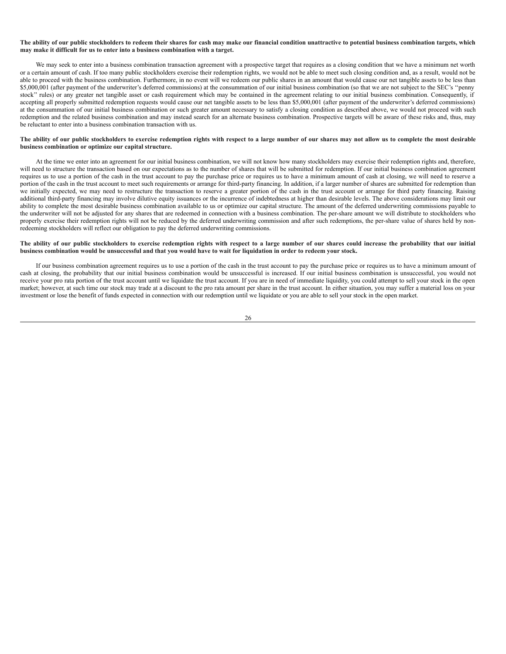### The ability of our public stockholders to redeem their shares for cash may make our financial condition unattractive to potential business combination targets, which **may make it difficult for us to enter into a business combination with a target.**

We may seek to enter into a business combination transaction agreement with a prospective target that requires as a closing condition that we have a minimum net worth or a certain amount of cash. If too many public stockholders exercise their redemption rights, we would not be able to meet such closing condition and, as a result, would not be able to proceed with the business combination. Furthermore, in no event will we redeem our public shares in an amount that would cause our net tangible assets to be less than \$5,000,001 (after payment of the underwriter's deferred commissions) at the consummation of our initial business combination (so that we are not subject to the SEC's "penny stock" rules) or any greater net tangible asset or cash requirement which may be contained in the agreement relating to our initial business combination. Consequently, if accepting all properly submitted redemption requests would cause our net tangible assets to be less than \$5,000,001 (after payment of the underwriter's deferred commissions) at the consummation of our initial business combination or such greater amount necessary to satisfy a closing condition as described above, we would not proceed with such redemption and the related business combination and may instead search for an alternate business combination. Prospective targets will be aware of these risks and, thus, may be reluctant to enter into a business combination transaction with us.

## The ability of our public stockholders to exercise redemption rights with respect to a large number of our shares may not allow us to complete the most desirable **business combination or optimize our capital structure.**

At the time we enter into an agreement for our initial business combination, we will not know how many stockholders may exercise their redemption rights and, therefore, will need to structure the transaction based on our expectations as to the number of shares that will be submitted for redemption. If our initial business combination agreement requires us to use a portion of the cash in the trust account to pay the purchase price or requires us to have a minimum amount of cash at closing, we will need to reserve a portion of the cash in the trust account to meet such requirements or arrange for third-party financing. In addition, if a larger number of shares are submitted for redemption than we initially expected, we may need to restructure the transaction to reserve a greater portion of the cash in the trust account or arrange for third party financing. Raising additional third-party financing may involve dilutive equity issuances or the incurrence of indebtedness at higher than desirable levels. The above considerations may limit our ability to complete the most desirable business combination available to us or optimize our capital structure. The amount of the deferred underwriting commissions payable to the underwriter will not be adjusted for any shares that are redeemed in connection with a business combination. The per-share amount we will distribute to stockholders who properly exercise their redemption rights will not be reduced by the deferred underwriting commission and after such redemptions, the per-share value of shares held by nonredeeming stockholders will reflect our obligation to pay the deferred underwriting commissions.

## The ability of our public stockholders to exercise redemption rights with respect to a large number of our shares could increase the probability that our initial business combination would be unsuccessful and that you would have to wait for liquidation in order to redeem your stock.

If our business combination agreement requires us to use a portion of the cash in the trust account to pay the purchase price or requires us to have a minimum amount of cash at closing, the probability that our initial business combination would be unsuccessful is increased. If our initial business combination is unsuccessful, you would not receive your pro rata portion of the trust account until we liquidate the trust account. If you are in need of immediate liquidity, you could attempt to sell your stock in the open market; however, at such time our stock may trade at a discount to the pro rata amount per share in the trust account. In either situation, you may suffer a material loss on your investment or lose the benefit of funds expected in connection with our redemption until we liquidate or you are able to sell your stock in the open market.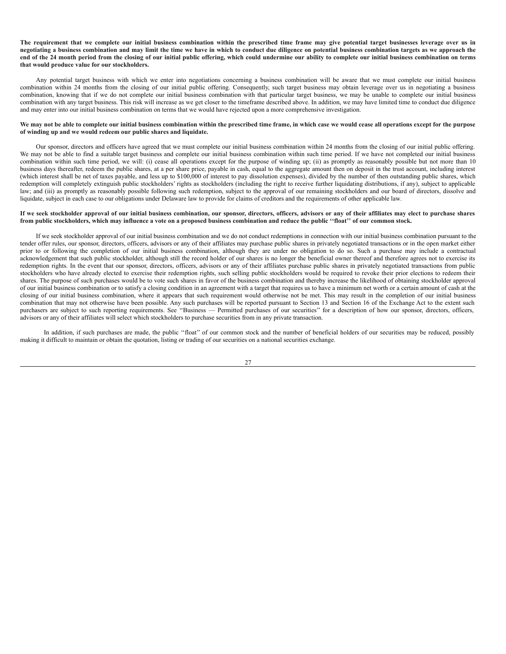The requirement that we complete our initial business combination within the prescribed time frame may give potential target businesses leverage over us in negotiating a business combination and may limit the time we have in which to conduct due diligence on potential business combination targets as we approach the end of the 24 month period from the closing of our initial public offering, which could undermine our ability to complete our initial business combination on terms **that would produce value for our stockholders.**

Any potential target business with which we enter into negotiations concerning a business combination will be aware that we must complete our initial business combination within 24 months from the closing of our initial public offering. Consequently, such target business may obtain leverage over us in negotiating a business combination, knowing that if we do not complete our initial business combination with that particular target business, we may be unable to complete our initial business combination with any target business. This risk will increase as we get closer to the timeframe described above. In addition, we may have limited time to conduct due diligence and may enter into our initial business combination on terms that we would have rejected upon a more comprehensive investigation.

## We may not be able to complete our initial business combination within the prescribed time frame, in which case we would cease all operations except for the purpose **of winding up and we would redeem our public shares and liquidate.**

Our sponsor, directors and officers have agreed that we must complete our initial business combination within 24 months from the closing of our initial public offering. We may not be able to find a suitable target business and complete our initial business combination within such time period. If we have not completed our initial business combination within such time period, we will: (i) cease all operations except for the purpose of winding up; (ii) as promptly as reasonably possible but not more than 10 business days thereafter, redeem the public shares, at a per share price, payable in cash, equal to the aggregate amount then on deposit in the trust account, including interest (which interest shall be net of taxes payable, and less up to \$100,000 of interest to pay dissolution expenses), divided by the number of then outstanding public shares, which redemption will completely extinguish public stockholders' rights as stockholders (including the right to receive further liquidating distributions, if any), subject to applicable law; and (iii) as promptly as reasonably possible following such redemption, subject to the approval of our remaining stockholders and our board of directors, dissolve and liquidate, subject in each case to our obligations under Delaware law to provide for claims of creditors and the requirements of other applicable law.

## If we seek stockholder approval of our initial business combination, our sponsor, directors, officers, advisors or any of their affiliates may elect to purchase shares from public stockholders, which may influence a vote on a proposed business combination and reduce the public "float" of our common stock.

If we seek stockholder approval of our initial business combination and we do not conduct redemptions in connection with our initial business combination pursuant to the tender offer rules, our sponsor, directors, officers, advisors or any of their affiliates may purchase public shares in privately negotiated transactions or in the open market either prior to or following the completion of our initial business combination, although they are under no obligation to do so. Such a purchase may include a contractual acknowledgement that such public stockholder, although still the record holder of our shares is no longer the beneficial owner thereof and therefore agrees not to exercise its redemption rights. In the event that our sponsor, directors, officers, advisors or any of their affiliates purchase public shares in privately negotiated transactions from public stockholders who have already elected to exercise their redemption rights, such selling public stockholders would be required to revoke their prior elections to redeem their shares. The purpose of such purchases would be to vote such shares in favor of the business combination and thereby increase the likelihood of obtaining stockholder approval of our initial business combination or to satisfy a closing condition in an agreement with a target that requires us to have a minimum net worth or a certain amount of cash at the closing of our initial business combination, where it appears that such requirement would otherwise not be met. This may result in the completion of our initial business combination that may not otherwise have been possible. Any such purchases will be reported pursuant to Section 13 and Section 16 of the Exchange Act to the extent such purchasers are subject to such reporting requirements. See "Business — Permitted purchases of our securities" for a description of how our sponsor, directors, officers, advisors or any of their affiliates will select which stockholders to purchase securities from in any private transaction.

In addition, if such purchases are made, the public "float" of our common stock and the number of beneficial holders of our securities may be reduced, possibly making it difficult to maintain or obtain the quotation, listing or trading of our securities on a national securities exchange.

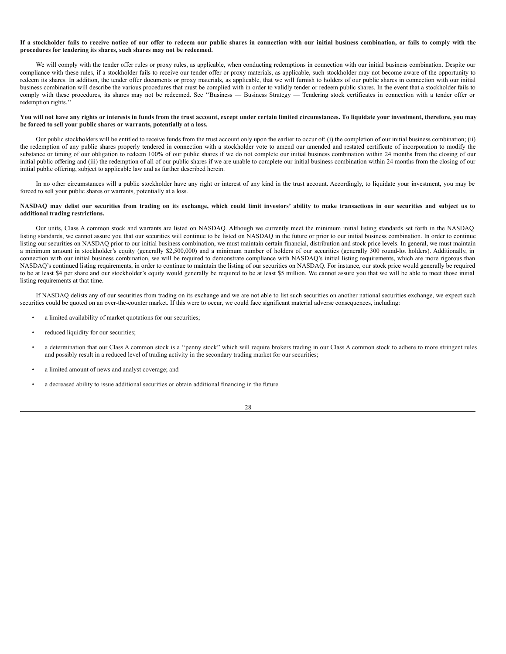### If a stockholder fails to receive notice of our offer to redeem our public shares in connection with our initial business combination, or fails to comply with the **procedures for tendering its shares, such shares may not be redeemed.**

We will comply with the tender offer rules or proxy rules, as applicable, when conducting redemptions in connection with our initial business combination. Despite our compliance with these rules, if a stockholder fails to receive our tender offer or proxy materials, as applicable, such stockholder may not become aware of the opportunity to redeem its shares. In addition, the tender offer documents or proxy materials, as applicable, that we will furnish to holders of our public shares in connection with our initial business combination will describe the various procedures that must be complied with in order to validly tender or redeem public shares. In the event that a stockholder fails to comply with these procedures, its shares may not be redeemed. See "Business — Business Strategy — Tendering stock certificates in connection with a tender offer or redemption rights.''

## You will not have any rights or interests in funds from the trust account, except under certain limited circumstances. To liquidate your investment, therefore, you may **be forced to sell your public shares or warrants, potentially at a loss.**

Our public stockholders will be entitled to receive funds from the trust account only upon the earlier to occur of: (i) the completion of our initial business combination; (ii) the redemption of any public shares properly tendered in connection with a stockholder vote to amend our amended and restated certificate of incorporation to modify the substance or timing of our obligation to redeem 100% of our public shares if we do not complete our initial business combination within 24 months from the closing of our initial public offering and (iii) the redemption of all of our public shares if we are unable to complete our initial business combination within 24 months from the closing of our initial public offering, subject to applicable law and as further described herein.

In no other circumstances will a public stockholder have any right or interest of any kind in the trust account. Accordingly, to liquidate your investment, you may be forced to sell your public shares or warrants, potentially at a loss.

## NASDAO may delist our securities from trading on its exchange, which could limit investors' ability to make transactions in our securities and subject us to **additional trading restrictions.**

Our units, Class A common stock and warrants are listed on NASDAQ. Although we currently meet the minimum initial listing standards set forth in the NASDAQ listing standards, we cannot assure you that our securities will continue to be listed on NASDAQ in the future or prior to our initial business combination. In order to continue listing our securities on NASDAQ prior to our initial business combination, we must maintain certain financial, distribution and stock price levels. In general, we must maintain a minimum amount in stockholder's equity (generally \$2,500,000) and a minimum number of holders of our securities (generally 300 round-lot holders). Additionally, in connection with our initial business combination, we will be required to demonstrate compliance with NASDAQ's initial listing requirements, which are more rigorous than NASDAQ's continued listing requirements, in order to continue to maintain the listing of our securities on NASDAQ. For instance, our stock price would generally be required to be at least \$4 per share and our stockholder's equity would generally be required to be at least \$5 million. We cannot assure you that we will be able to meet those initial listing requirements at that time.

If NASDAQ delists any of our securities from trading on its exchange and we are not able to list such securities on another national securities exchange, we expect such securities could be quoted on an over-the-counter market. If this were to occur, we could face significant material adverse consequences, including:

- a limited availability of market quotations for our securities;
- reduced liquidity for our securities;
- a determination that our Class A common stock is a ''penny stock'' which will require brokers trading in our Class A common stock to adhere to more stringent rules and possibly result in a reduced level of trading activity in the secondary trading market for our securities;
- a limited amount of news and analyst coverage; and
- a decreased ability to issue additional securities or obtain additional financing in the future.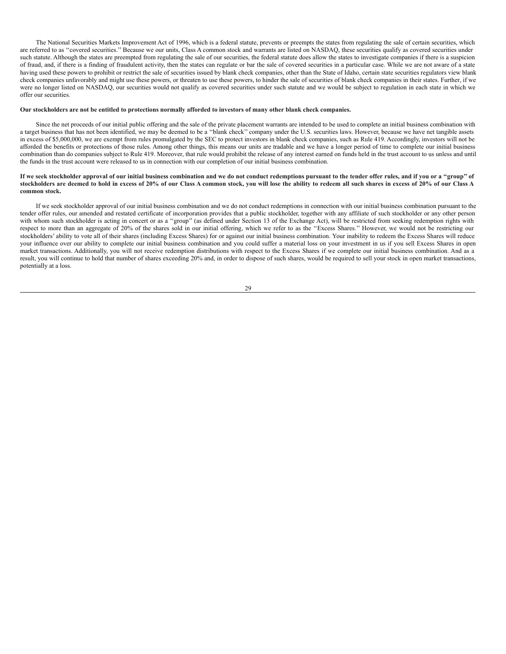The National Securities Markets Improvement Act of 1996, which is a federal statute, prevents or preempts the states from regulating the sale of certain securities, which are referred to as "covered securities." Because we our units, Class A common stock and warrants are listed on NASDAQ, these securities qualify as covered securities under such statute. Although the states are preempted from regulating the sale of our securities, the federal statute does allow the states to investigate companies if there is a suspicion of fraud, and, if there is a finding of fraudulent activity, then the states can regulate or bar the sale of covered securities in a particular case. While we are not aware of a state having used these powers to prohibit or restrict the sale of securities issued by blank check companies, other than the State of Idaho, certain state securities regulators view blank check companies unfavorably and might use these powers, or threaten to use these powers, to hinder the sale of securities of blank check companies in their states. Further, if we were no longer listed on NASDAQ, our securities would not qualify as covered securities under such statute and we would be subject to regulation in each state in which we offer our securities.

## Our stockholders are not be entitled to protections normally afforded to investors of many other blank check companies.

Since the net proceeds of our initial public offering and the sale of the private placement warrants are intended to be used to complete an initial business combination with a target business that has not been identified, we may be deemed to be a "blank check" company under the U.S. securities laws. However, because we have net tangible assets in excess of \$5,000,000, we are exempt from rules promulgated by the SEC to protect investors in blank check companies, such as Rule 419. Accordingly, investors will not be afforded the benefits or protections of those rules. Among other things, this means our units are tradable and we have a longer period of time to complete our initial business combination than do companies subject to Rule 419. Moreover, that rule would prohibit the release of any interest earned on funds held in the trust account to us unless and until the funds in the trust account were released to us in connection with our completion of our initial business combination.

## If we seek stockholder approval of our initial business combination and we do not conduct redemptions pursuant to the tender offer rules, and if you or a "group" of stockholders are deemed to hold in excess of 20% of our Class A common stock, you will lose the ability to redeem all such shares in excess of 20% of our Class A **common stock.**

If we seek stockholder approval of our initial business combination and we do not conduct redemptions in connection with our initial business combination pursuant to the tender offer rules, our amended and restated certificate of incorporation provides that a public stockholder, together with any affiliate of such stockholder or any other person with whom such stockholder is acting in concert or as a "group" (as defined under Section 13 of the Exchange Act), will be restricted from seeking redemption rights with respect to more than an aggregate of 20% of the shares sold in our initial offering, which we refer to as the "Excess Shares." However, we would not be restricting our stockholders' ability to vote all of their shares (including Excess Shares) for or against our initial business combination. Your inability to redeem the Excess Shares will reduce your influence over our ability to complete our initial business combination and you could suffer a material loss on your investment in us if you sell Excess Shares in open market transactions. Additionally, you will not receive redemption distributions with respect to the Excess Shares if we complete our initial business combination. And as a result, you will continue to hold that number of shares exceeding 20% and, in order to dispose of such shares, would be required to sell your stock in open market transactions, potentially at a loss.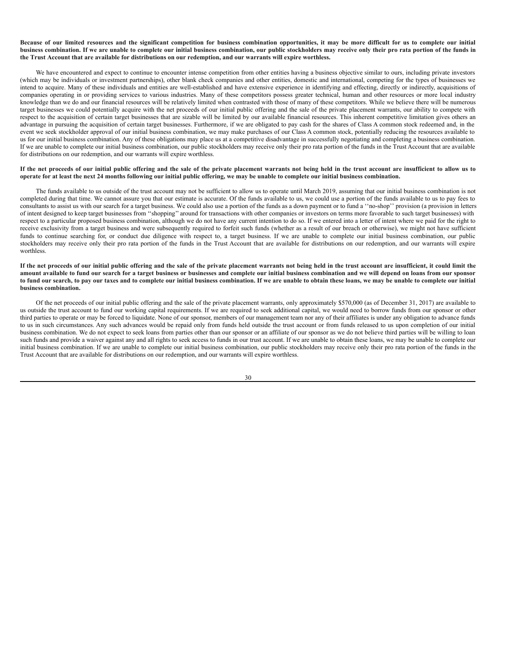## Because of our limited resources and the significant competition for business combination opportunities, it may be more difficult for us to complete our initial business combination. If we are unable to complete our initial business combination, our public stockholders may receive only their pro rata portion of the funds in the Trust Account that are available for distributions on our redemption, and our warrants will expire worthless.

We have encountered and expect to continue to encounter intense competition from other entities having a business objective similar to ours, including private investors (which may be individuals or investment partnerships), other blank check companies and other entities, domestic and international, competing for the types of businesses we intend to acquire. Many of these individuals and entities are well-established and have extensive experience in identifying and effecting, directly or indirectly, acquisitions of companies operating in or providing services to various industries. Many of these competitors possess greater technical, human and other resources or more local industry knowledge than we do and our financial resources will be relatively limited when contrasted with those of many of these competitors. While we believe there will be numerous target businesses we could potentially acquire with the net proceeds of our initial public offering and the sale of the private placement warrants, our ability to compete with respect to the acquisition of certain target businesses that are sizable will be limited by our available financial resources. This inherent competitive limitation gives others an advantage in pursuing the acquisition of certain target businesses. Furthermore, if we are obligated to pay cash for the shares of Class A common stock redeemed and, in the event we seek stockholder approval of our initial business combination, we may make purchases of our Class A common stock, potentially reducing the resources available to us for our initial business combination. Any of these obligations may place us at a competitive disadvantage in successfully negotiating and completing a business combination. If we are unable to complete our initial business combination, our public stockholders may receive only their pro rata portion of the funds in the Trust Account that are available for distributions on our redemption, and our warrants will expire worthless.

## If the net proceeds of our initial public offering and the sale of the private placement warrants not being held in the trust account are insufficient to allow us to operate for at least the next 24 months following our initial public offering, we may be unable to complete our initial business combination.

The funds available to us outside of the trust account may not be sufficient to allow us to operate until March 2019, assuming that our initial business combination is not completed during that time. We cannot assure you that our estimate is accurate. Of the funds available to us, we could use a portion of the funds available to us to pay fees to consultants to assist us with our search for a target business. We could also use a portion of the funds as a down payment or to fund a ''no-shop'' provision (a provision in letters of intent designed to keep target businesses from ''shopping'' around for transactions with other companies or investors on terms more favorable to such target businesses) with respect to a particular proposed business combination, although we do not have any current intention to do so. If we entered into a letter of intent where we paid for the right to receive exclusivity from a target business and were subsequently required to forfeit such funds (whether as a result of our breach or otherwise), we might not have sufficient funds to continue searching for, or conduct due diligence with respect to, a target business. If we are unable to complete our initial business combination, our public stockholders may receive only their pro rata portion of the funds in the Trust Account that are available for distributions on our redemption, and our warrants will expire worthless.

## If the net proceeds of our initial public offering and the sale of the private placement warrants not being held in the trust account are insufficient, it could limit the amount available to fund our search for a target business or businesses and complete our initial business combination and we will depend on loans from our sponsor to fund our search, to pay our taxes and to complete our initial business combination. If we are unable to obtain these loans, we may be unable to complete our initial **business combination.**

Of the net proceeds of our initial public offering and the sale of the private placement warrants, only approximately \$570,000 (as of December 31, 2017) are available to us outside the trust account to fund our working capital requirements. If we are required to seek additional capital, we would need to borrow funds from our sponsor or other third parties to operate or may be forced to liquidate. None of our sponsor, members of our management team nor any of their affiliates is under any obligation to advance funds to us in such circumstances. Any such advances would be repaid only from funds held outside the trust account or from funds released to us upon completion of our initial business combination. We do not expect to seek loans from parties other than our sponsor or an affiliate of our sponsor as we do not believe third parties will be willing to loan such funds and provide a waiver against any and all rights to seek access to funds in our trust account. If we are unable to obtain these loans, we may be unable to complete our initial business combination. If we are unable to complete our initial business combination, our public stockholders may receive only their pro rata portion of the funds in the Trust Account that are available for distributions on our redemption, and our warrants will expire worthless.

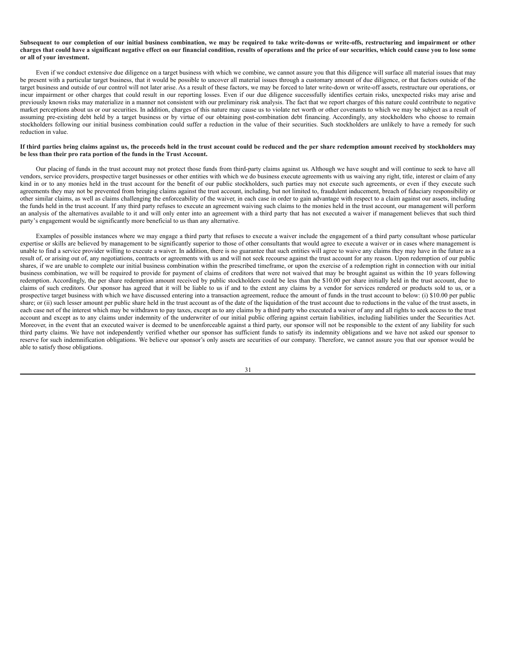### Subsequent to our completion of our initial business combination, we may be required to take write-downs or write-offs, restructuring and impairment or other charges that could have a significant negative effect on our financial condition, results of operations and the price of our securities, which could cause you to lose some **or all of your investment.**

Even if we conduct extensive due diligence on a target business with which we combine, we cannot assure you that this diligence will surface all material issues that may be present with a particular target business, that it would be possible to uncover all material issues through a customary amount of due diligence, or that factors outside of the target business and outside of our control will not later arise. As a result of these factors, we may be forced to later write-down or write-off assets, restructure our operations, or incur impairment or other charges that could result in our reporting losses. Even if our due diligence successfully identifies certain risks, unexpected risks may arise and previously known risks may materialize in a manner not consistent with our preliminary risk analysis. The fact that we report charges of this nature could contribute to negative market perceptions about us or our securities. In addition, charges of this nature may cause us to violate net worth or other covenants to which we may be subject as a result of assuming pre-existing debt held by a target business or by virtue of our obtaining post-combination debt financing. Accordingly, any stockholders who choose to remain stockholders following our initial business combination could suffer a reduction in the value of their securities. Such stockholders are unlikely to have a remedy for such reduction in value.

## If third parties bring claims against us, the proceeds held in the trust account could be reduced and the per share redemption amount received by stockholders may **be less than their pro rata portion of the funds in the Trust Account.**

Our placing of funds in the trust account may not protect those funds from third-party claims against us. Although we have sought and will continue to seek to have all vendors, service providers, prospective target businesses or other entities with which we do business execute agreements with us waiving any right, title, interest or claim of any kind in or to any monies held in the trust account for the benefit of our public stockholders, such parties may not execute such agreements, or even if they execute such agreements they may not be prevented from bringing claims against the trust account, including, but not limited to, fraudulent inducement, breach of fiduciary responsibility or other similar claims, as well as claims challenging the enforceability of the waiver, in each case in order to gain advantage with respect to a claim against our assets, including the funds held in the trust account. If any third party refuses to execute an agreement waiving such claims to the monies held in the trust account, our management will perform an analysis of the alternatives available to it and will only enter into an agreement with a third party that has not executed a waiver if management believes that such third party's engagement would be significantly more beneficial to us than any alternative.

Examples of possible instances where we may engage a third party that refuses to execute a waiver include the engagement of a third party consultant whose particular expertise or skills are believed by management to be significantly superior to those of other consultants that would agree to execute a waiver or in cases where management is unable to find a service provider willing to execute a waiver. In addition, there is no guarantee that such entities will agree to waive any claims they may have in the future as a result of, or arising out of, any negotiations, contracts or agreements with us and will not seek recourse against the trust account for any reason. Upon redemption of our public shares, if we are unable to complete our initial business combination within the prescribed timeframe, or upon the exercise of a redemption right in connection with our initial business combination, we will be required to provide for payment of claims of creditors that were not waived that may be brought against us within the 10 years following redemption. Accordingly, the per share redemption amount received by public stockholders could be less than the \$10.00 per share initially held in the trust account, due to claims of such creditors. Our sponsor has agreed that it will be liable to us if and to the extent any claims by a vendor for services rendered or products sold to us, or a prospective target business with which we have discussed entering into a transaction agreement, reduce the amount of funds in the trust account to below: (i) \$10.00 per public share; or (ii) such lesser amount per public share held in the trust account as of the date of the liquidation of the trust account due to reductions in the value of the trust assets, in each case net of the interest which may be withdrawn to pay taxes, except as to any claims by a third party who executed a waiver of any and all rights to seek access to the trust account and except as to any claims under indemnity of the underwriter of our initial public offering against certain liabilities, including liabilities under the Securities Act. Moreover, in the event that an executed waiver is deemed to be unenforceable against a third party, our sponsor will not be responsible to the extent of any liability for such third party claims. We have not independently verified whether our sponsor has sufficient funds to satisfy its indemnity obligations and we have not asked our sponsor to reserve for such indemnification obligations. We believe our sponsor's only assets are securities of our company. Therefore, we cannot assure you that our sponsor would be able to satisfy those obligations.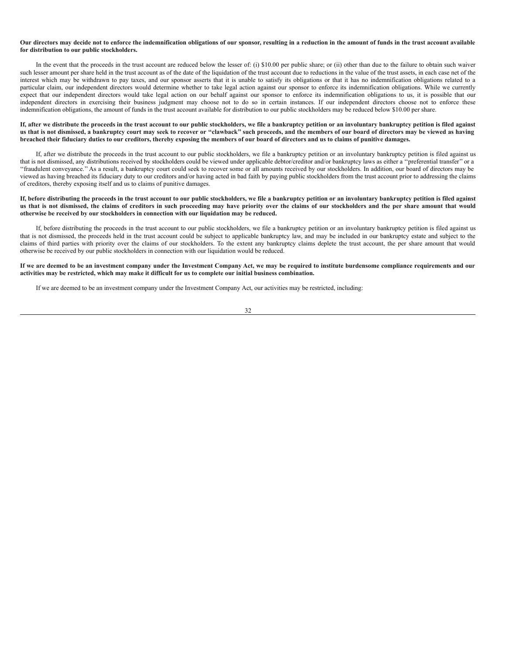## Our directors may decide not to enforce the indemnification obligations of our sponsor, resulting in a reduction in the amount of funds in the trust account available **for distribution to our public stockholders.**

In the event that the proceeds in the trust account are reduced below the lesser of: (i) \$10.00 per public share; or (ii) other than due to the failure to obtain such waiver such lesser amount per share held in the trust account as of the date of the liquidation of the trust account due to reductions in the value of the trust assets, in each case net of the interest which may be withdrawn to pay taxes, and our sponsor asserts that it is unable to satisfy its obligations or that it has no indemnification obligations related to a particular claim, our independent directors would determine whether to take legal action against our sponsor to enforce its indemnification obligations. While we currently expect that our independent directors would take legal action on our behalf against our sponsor to enforce its indemnification obligations to us, it is possible that our independent directors in exercising their business judgment may choose not to do so in certain instances. If our independent directors choose not to enforce these indemnification obligations, the amount of funds in the trust account available for distribution to our public stockholders may be reduced below \$10.00 per share.

## If, after we distribute the proceeds in the trust account to our public stockholders, we file a bankruptcy petition or an involuntary bankruptcy petition is filed against us that is not dismissed, a bankruptcy court may seek to recover or "clawback" such proceeds, and the members of our board of directors may be viewed as having breached their fiduciary duties to our creditors, thereby exposing the members of our board of directors and us to claims of punitive damages.

If, after we distribute the proceeds in the trust account to our public stockholders, we file a bankruptcy petition or an involuntary bankruptcy petition is filed against us that is not dismissed, any distributions received by stockholders could be viewed under applicable debtor/creditor and/or bankruptcy laws as either a ''preferential transfer'' or a "fraudulent conveyance." As a result, a bankruptcy court could seek to recover some or all amounts received by our stockholders. In addition, our board of directors may be viewed as having breached its fiduciary duty to our creditors and/or having acted in bad faith by paying public stockholders from the trust account prior to addressing the claims of creditors, thereby exposing itself and us to claims of punitive damages.

## If, before distributing the proceeds in the trust account to our public stockholders, we file a bankruptcy petition or an involuntary bankruptcy petition is filed against us that is not dismissed, the claims of creditors in such proceeding may have priority over the claims of our stockholders and the per share amount that would **otherwise be received by our stockholders in connection with our liquidation may be reduced.**

If, before distributing the proceeds in the trust account to our public stockholders, we file a bankruptcy petition or an involuntary bankruptcy petition is filed against us that is not dismissed, the proceeds held in the trust account could be subject to applicable bankruptcy law, and may be included in our bankruptcy estate and subject to the claims of third parties with priority over the claims of our stockholders. To the extent any bankruptcy claims deplete the trust account, the per share amount that would otherwise be received by our public stockholders in connection with our liquidation would be reduced.

## If we are deemed to be an investment company under the Investment Company Act, we may be required to institute burdensome compliance requirements and our activities may be restricted, which may make it difficult for us to complete our initial business combination.

If we are deemed to be an investment company under the Investment Company Act, our activities may be restricted, including: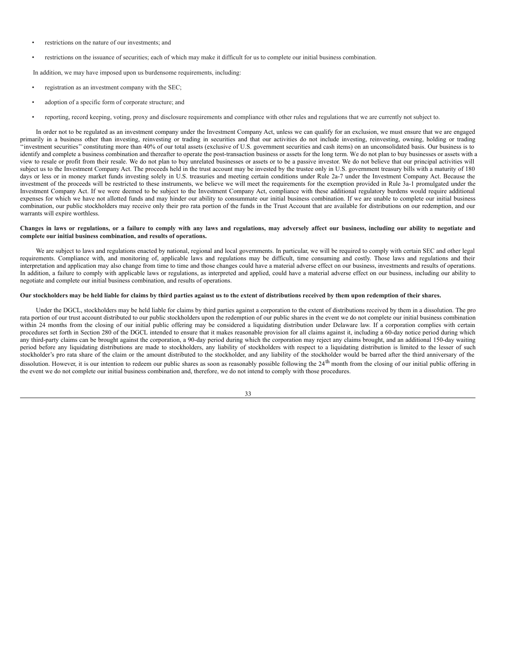- restrictions on the nature of our investments; and
- restrictions on the issuance of securities; each of which may make it difficult for us to complete our initial business combination.

In addition, we may have imposed upon us burdensome requirements, including:

- registration as an investment company with the SEC;
- adoption of a specific form of corporate structure; and
- reporting, record keeping, voting, proxy and disclosure requirements and compliance with other rules and regulations that we are currently not subject to.

In order not to be regulated as an investment company under the Investment Company Act, unless we can qualify for an exclusion, we must ensure that we are engaged primarily in a business other than investing, reinvesting or trading in securities and that our activities do not include investing, reinvesting, owning, holding or trading ''investment securities'' constituting more than 40% of our total assets (exclusive of U.S. government securities and cash items) on an unconsolidated basis. Our business is to identify and complete a business combination and thereafter to operate the post-transaction business or assets for the long term. We do not plan to buy businesses or assets with a view to resale or profit from their resale. We do not plan to buy unrelated businesses or assets or to be a passive investor. We do not believe that our principal activities will subject us to the Investment Company Act. The proceeds held in the trust account may be invested by the trustee only in U.S. government treasury bills with a maturity of 180 days or less or in money market funds investing solely in U.S. treasuries and meeting certain conditions under Rule 2a-7 under the Investment Company Act. Because the investment of the proceeds will be restricted to these instruments, we believe we will meet the requirements for the exemption provided in Rule 3a-1 promulgated under the Investment Company Act. If we were deemed to be subject to the Investment Company Act, compliance with these additional regulatory burdens would require additional expenses for which we have not allotted funds and may hinder our ability to consummate our initial business combination. If we are unable to complete our initial business combination, our public stockholders may receive only their pro rata portion of the funds in the Trust Account that are available for distributions on our redemption, and our warrants will expire worthless.

### Changes in laws or regulations, or a failure to comply with any laws and regulations, may adversely affect our business, including our ability to negotiate and **complete our initial business combination, and results of operations.**

We are subject to laws and regulations enacted by national, regional and local governments. In particular, we will be required to comply with certain SEC and other legal requirements. Compliance with, and monitoring of, applicable laws and regulations may be difficult, time consuming and costly. Those laws and regulations and their interpretation and application may also change from time to time and those changes could have a material adverse effect on our business, investments and results of operations. In addition, a failure to comply with applicable laws or regulations, as interpreted and applied, could have a material adverse effect on our business, including our ability to negotiate and complete our initial business combination, and results of operations.

## Our stockholders may be held liable for claims by third parties against us to the extent of distributions received by them upon redemption of their shares.

Under the DGCL, stockholders may be held liable for claims by third parties against a corporation to the extent of distributions received by them in a dissolution. The pro rata portion of our trust account distributed to our public stockholders upon the redemption of our public shares in the event we do not complete our initial business combination within 24 months from the closing of our initial public offering may be considered a liquidating distribution under Delaware law. If a corporation complies with certain procedures set forth in Section 280 of the DGCL intended to ensure that it makes reasonable provision for all claims against it, including a 60-day notice period during which any third-party claims can be brought against the corporation, a 90-day period during which the corporation may reject any claims brought, and an additional 150-day waiting period before any liquidating distributions are made to stockholders, any liability of stockholders with respect to a liquidating distribution is limited to the lesser of such stockholder's pro rata share of the claim or the amount distributed to the stockholder, and any liability of the stockholder would be barred after the third anniversary of the dissolution. However, it is our intention to redeem our public shares as soon as reasonably possible following the 24<sup>th</sup> month from the closing of our initial public offering in the event we do not complete our initial business combination and, therefore, we do not intend to comply with those procedures.

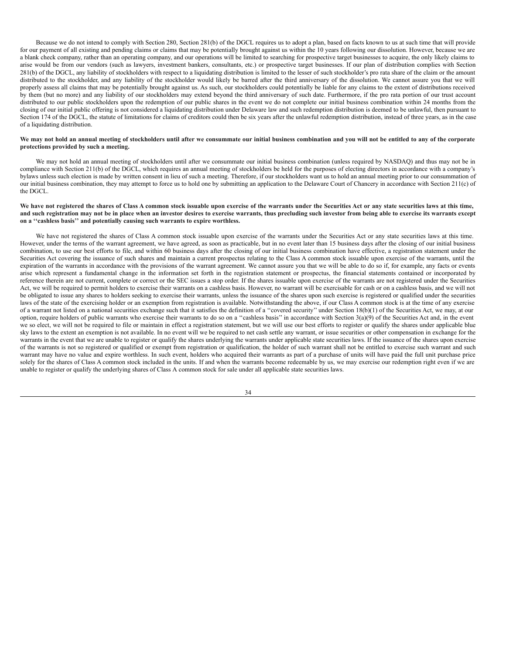Because we do not intend to comply with Section 280, Section 281(b) of the DGCL requires us to adopt a plan, based on facts known to us at such time that will provide for our payment of all existing and pending claims or claims that may be potentially brought against us within the 10 years following our dissolution. However, because we are a blank check company, rather than an operating company, and our operations will be limited to searching for prospective target businesses to acquire, the only likely claims to arise would be from our vendors (such as lawyers, investment bankers, consultants, etc.) or prospective target businesses. If our plan of distribution complies with Section 281(b) of the DGCL, any liability of stockholders with respect to a liquidating distribution is limited to the lesser of such stockholder's pro rata share of the claim or the amount distributed to the stockholder, and any liability of the stockholder would likely be barred after the third anniversary of the dissolution. We cannot assure you that we will properly assess all claims that may be potentially brought against us. As such, our stockholders could potentially be liable for any claims to the extent of distributions received by them (but no more) and any liability of our stockholders may extend beyond the third anniversary of such date. Furthermore, if the pro rata portion of our trust account distributed to our public stockholders upon the redemption of our public shares in the event we do not complete our initial business combination within 24 months from the closing of our initial public offering is not considered a liquidating distribution under Delaware law and such redemption distribution is deemed to be unlawful, then pursuant to Section 174 of the DGCL, the statute of limitations for claims of creditors could then be six years after the unlawful redemption distribution, instead of three years, as in the case of a liquidating distribution.

### We may not hold an annual meeting of stockholders until after we consummate our initial business combination and you will not be entitled to any of the corporate **protections provided by such a meeting.**

We may not hold an annual meeting of stockholders until after we consummate our initial business combination (unless required by NASDAO) and thus may not be in compliance with Section 211(b) of the DGCL, which requires an annual meeting of stockholders be held for the purposes of electing directors in accordance with a company's bylaws unless such election is made by written consent in lieu of such a meeting. Therefore, if our stockholders want us to hold an annual meeting prior to our consummation of our initial business combination, they may attempt to force us to hold one by submitting an application to the Delaware Court of Chancery in accordance with Section 211(c) of the DGCL.

## We have not registered the shares of Class A common stock issuable upon exercise of the warrants under the Securities Act or any state securities laws at this time, and such registration may not be in place when an investor desires to exercise warrants, thus precluding such investor from being able to exercise its warrants except **on a ''cashless basis'' and potentially causing such warrants to expire worthless.**

We have not registered the shares of Class A common stock issuable upon exercise of the warrants under the Securities Act or any state securities laws at this time. However, under the terms of the warrant agreement, we have agreed, as soon as practicable, but in no event later than 15 business days after the closing of our initial business combination, to use our best efforts to file, and within 60 business days after the closing of our initial business combination have effective, a registration statement under the Securities Act covering the issuance of such shares and maintain a current prospectus relating to the Class A common stock issuable upon exercise of the warrants, until the expiration of the warrants in accordance with the provisions of the warrant agreement. We cannot assure you that we will be able to do so if, for example, any facts or events arise which represent a fundamental change in the information set forth in the registration statement or prospectus, the financial statements contained or incorporated by reference therein are not current, complete or correct or the SEC issues a stop order. If the shares issuable upon exercise of the warrants are not registered under the Securities Act, we will be required to permit holders to exercise their warrants on a cashless basis. However, no warrant will be exercisable for cash or on a cashless basis, and we will not be obligated to issue any shares to holders seeking to exercise their warrants, unless the issuance of the shares upon such exercise is registered or qualified under the securities laws of the state of the exercising holder or an exemption from registration is available. Notwithstanding the above, if our Class A common stock is at the time of any exercise of a warrant not listed on a national securities exchange such that it satisfies the definition of a ''covered security'' under Section 18(b)(1) of the Securities Act, we may, at our option, require holders of public warrants who exercise their warrants to do so on a ''cashless basis'' in accordance with Section 3(a)(9) of the Securities Act and, in the event we so elect, we will not be required to file or maintain in effect a registration statement, but we will use our best efforts to register or qualify the shares under applicable blue sky laws to the extent an exemption is not available. In no event will we be required to net cash settle any warrant, or issue securities or other compensation in exchange for the warrants in the event that we are unable to register or qualify the shares underlying the warrants under applicable state securities laws. If the issuance of the shares upon exercise of the warrants is not so registered or qualified or exempt from registration or qualification, the holder of such warrant shall not be entitled to exercise such warrant and such warrant may have no value and expire worthless. In such event, holders who acquired their warrants as part of a purchase of units will have paid the full unit purchase price solely for the shares of Class A common stock included in the units. If and when the warrants become redeemable by us, we may exercise our redemption right even if we are unable to register or qualify the underlying shares of Class A common stock for sale under all applicable state securities laws.

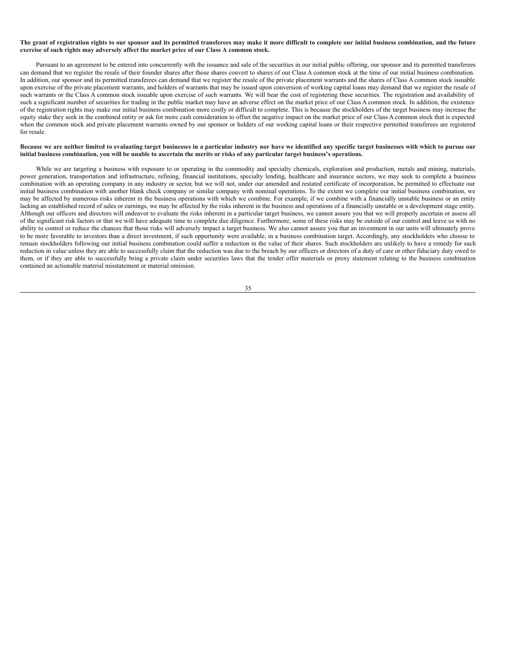### The grant of registration rights to our sponsor and its permitted transferees may make it more difficult to complete our initial business combination, and the future **exercise of such rights may adversely affect the market price of our Class A common stock.**

Pursuant to an agreement to be entered into concurrently with the issuance and sale of the securities in our initial public offering, our sponsor and its permitted transferees can demand that we register the resale of their founder shares after those shares convert to shares of our Class A common stock at the time of our initial business combination. In addition, our sponsor and its permitted transferees can demand that we register the resale of the private placement warrants and the shares of Class A common stock issuable upon exercise of the private placement warrants, and holders of warrants that may be issued upon conversion of working capital loans may demand that we register the resale of such warrants or the Class A common stock issuable upon exercise of such warrants. We will bear the cost of registering these securities. The registration and availability of such a significant number of securities for trading in the public market may have an adverse effect on the market price of our Class A common stock. In addition, the existence of the registration rights may make our initial business combination more costly or difficult to complete. This is because the stockholders of the target business may increase the equity stake they seek in the combined entity or ask for more cash consideration to offset the negative impact on the market price of our Class A common stock that is expected when the common stock and private placement warrants owned by our sponsor or holders of our working capital loans or their respective permitted transferees are registered for resale.

## Because we are neither limited to evaluating target businesses in a particular industry nor have we identified any specific target businesses with which to pursue our initial business combination, you will be unable to ascertain the merits or risks of any particular target business's operations.

While we are targeting a business with exposure to or operating in the commodity and specialty chemicals, exploration and production, metals and mining, materials, power generation, transportation and infrastructure, refining, financial institutions, specialty lending, healthcare and insurance sectors, we may seek to complete a business combination with an operating company in any industry or sector, but we will not, under our amended and restated certificate of incorporation, be permitted to effectuate our initial business combination with another blank check company or similar company with nominal operations. To the extent we complete our initial business combination, we may be affected by numerous risks inherent in the business operations with which we combine. For example, if we combine with a financially unstable business or an entity lacking an established record of sales or earnings, we may be affected by the risks inherent in the business and operations of a financially unstable or a development stage entity. Although our officers and directors will endeavor to evaluate the risks inherent in a particular target business, we cannot assure you that we will properly ascertain or assess all of the significant risk factors or that we will have adequate time to complete due diligence. Furthermore, some of these risks may be outside of our control and leave us with no ability to control or reduce the chances that those risks will adversely impact a target business. We also cannot assure you that an investment in our units will ultimately prove to be more favorable to investors than a direct investment, if such opportunity were available, in a business combination target. Accordingly, any stockholders who choose to remain stockholders following our initial business combination could suffer a reduction in the value of their shares. Such stockholders are unlikely to have a remedy for such reduction in value unless they are able to successfully claim that the reduction was due to the breach by our officers or directors of a duty of care or other fiduciary duty owed to them, or if they are able to successfully bring a private claim under securities laws that the tender offer materials or proxy statement relating to the business combination contained an actionable material misstatement or material omission.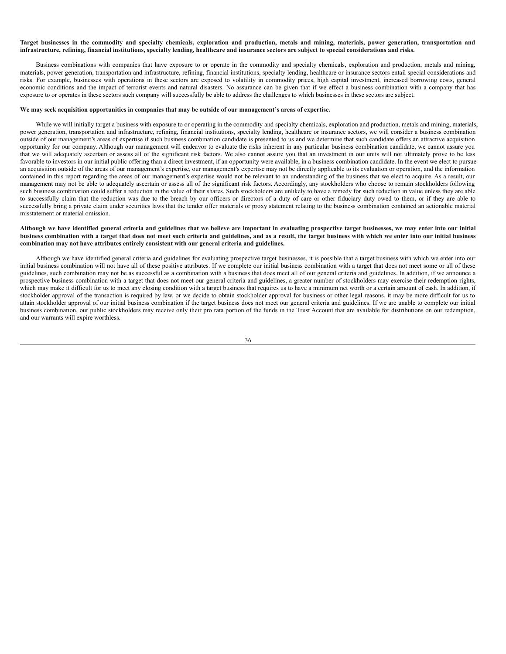## Target businesses in the commodity and specialty chemicals, exploration and production, metals and mining, materials, power generation, transportation and infrastructure, refining, financial institutions, specialty lending, healthcare and insurance sectors are subject to special considerations and risks.

Business combinations with companies that have exposure to or operate in the commodity and specialty chemicals, exploration and production, metals and mining, materials, power generation, transportation and infrastructure, refining, financial institutions, specialty lending, healthcare or insurance sectors entail special considerations and risks. For example, businesses with operations in these sectors are exposed to volatility in commodity prices, high capital investment, increased borrowing costs, general economic conditions and the impact of terrorist events and natural disasters. No assurance can be given that if we effect a business combination with a company that has exposure to or operates in these sectors such company will successfully be able to address the challenges to which businesses in these sectors are subject.

## We may seek acquisition opportunities in companies that may be outside of our management's areas of expertise.

While we will initially target a business with exposure to or operating in the commodity and specialty chemicals, exploration and production, metals and mining, materials, power generation, transportation and infrastructure, refining, financial institutions, specialty lending, healthcare or insurance sectors, we will consider a business combination outside of our management's areas of expertise if such business combination candidate is presented to us and we determine that such candidate offers an attractive acquisition opportunity for our company. Although our management will endeavor to evaluate the risks inherent in any particular business combination candidate, we cannot assure you that we will adequately ascertain or assess all of the significant risk factors. We also cannot assure you that an investment in our units will not ultimately prove to be less favorable to investors in our initial public offering than a direct investment, if an opportunity were available, in a business combination candidate. In the event we elect to pursue an acquisition outside of the areas of our management's expertise, our management's expertise may not be directly applicable to its evaluation or operation, and the information contained in this report regarding the areas of our management's expertise would not be relevant to an understanding of the business that we elect to acquire. As a result, our management may not be able to adequately ascertain or assess all of the significant risk factors. Accordingly, any stockholders who choose to remain stockholders following such business combination could suffer a reduction in the value of their shares. Such stockholders are unlikely to have a remedy for such reduction in value unless they are able to successfully claim that the reduction was due to the breach by our officers or directors of a duty of care or other fiduciary duty owed to them, or if they are able to successfully bring a private claim under securities laws that the tender offer materials or proxy statement relating to the business combination contained an actionable material misstatement or material omission.

### Although we have identified general criteria and guidelines that we believe are important in evaluating prospective target businesses, we may enter into our initial business combination with a target that does not meet such criteria and guidelines, and as a result, the target business with which we enter into our initial business **combination may not have attributes entirely consistent with our general criteria and guidelines.**

Although we have identified general criteria and guidelines for evaluating prospective target businesses, it is possible that a target business with which we enter into our initial business combination will not have all of these positive attributes. If we complete our initial business combination with a target that does not meet some or all of these guidelines, such combination may not be as successful as a combination with a business that does meet all of our general criteria and guidelines. In addition, if we announce a prospective business combination with a target that does not meet our general criteria and guidelines, a greater number of stockholders may exercise their redemption rights, which may make it difficult for us to meet any closing condition with a target business that requires us to have a minimum net worth or a certain amount of cash. In addition, if stockholder approval of the transaction is required by law, or we decide to obtain stockholder approval for business or other legal reasons, it may be more difficult for us to attain stockholder approval of our initial business combination if the target business does not meet our general criteria and guidelines. If we are unable to complete our initial business combination, our public stockholders may receive only their pro rata portion of the funds in the Trust Account that are available for distributions on our redemption, and our warrants will expire worthless.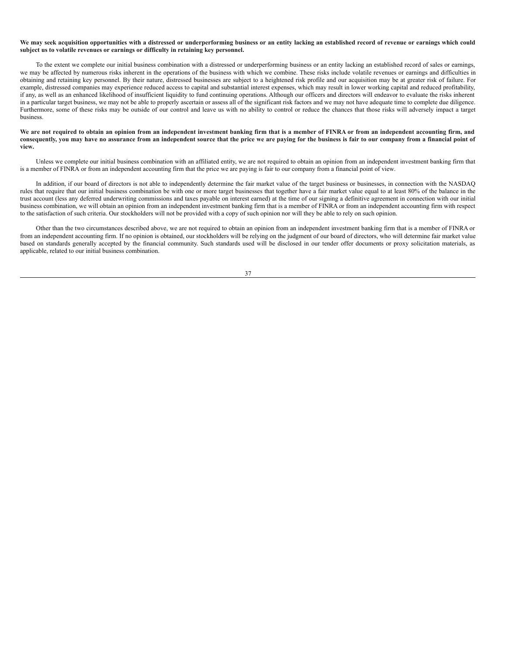## We may seek acquisition opportunities with a distressed or underperforming business or an entity lacking an established record of revenue or earnings which could **subject us to volatile revenues or earnings or difficulty in retaining key personnel.**

To the extent we complete our initial business combination with a distressed or underperforming business or an entity lacking an established record of sales or earnings, we may be affected by numerous risks inherent in the operations of the business with which we combine. These risks include volatile revenues or earnings and difficulties in obtaining and retaining key personnel. By their nature, distressed businesses are subject to a heightened risk profile and our acquisition may be at greater risk of failure. For example, distressed companies may experience reduced access to capital and substantial interest expenses, which may result in lower working capital and reduced profitability, if any, as well as an enhanced likelihood of insufficient liquidity to fund continuing operations. Although our officers and directors will endeavor to evaluate the risks inherent in a particular target business, we may not be able to properly ascertain or assess all of the significant risk factors and we may not have adequate time to complete due diligence. Furthermore, some of these risks may be outside of our control and leave us with no ability to control or reduce the chances that those risks will adversely impact a target business.

## We are not required to obtain an opinion from an independent investment banking firm that is a member of FINRA or from an independent accounting firm, and consequently, you may have no assurance from an independent source that the price we are paying for the business is fair to our company from a financial point of **view.**

Unless we complete our initial business combination with an affiliated entity, we are not required to obtain an opinion from an independent investment banking firm that is a member of FINRA or from an independent accounting firm that the price we are paying is fair to our company from a financial point of view.

In addition, if our board of directors is not able to independently determine the fair market value of the target business or businesses, in connection with the NASDAQ rules that require that our initial business combination be with one or more target businesses that together have a fair market value equal to at least 80% of the balance in the trust account (less any deferred underwriting commissions and taxes payable on interest earned) at the time of our signing a definitive agreement in connection with our initial business combination, we will obtain an opinion from an independent investment banking firm that is a member of FINRA or from an independent accounting firm with respect to the satisfaction of such criteria. Our stockholders will not be provided with a copy of such opinion nor will they be able to rely on such opinion.

Other than the two circumstances described above, we are not required to obtain an opinion from an independent investment banking firm that is a member of FINRA or from an independent accounting firm. If no opinion is obtained, our stockholders will be relying on the judgment of our board of directors, who will determine fair market value based on standards generally accepted by the financial community. Such standards used will be disclosed in our tender offer documents or proxy solicitation materials, as applicable, related to our initial business combination.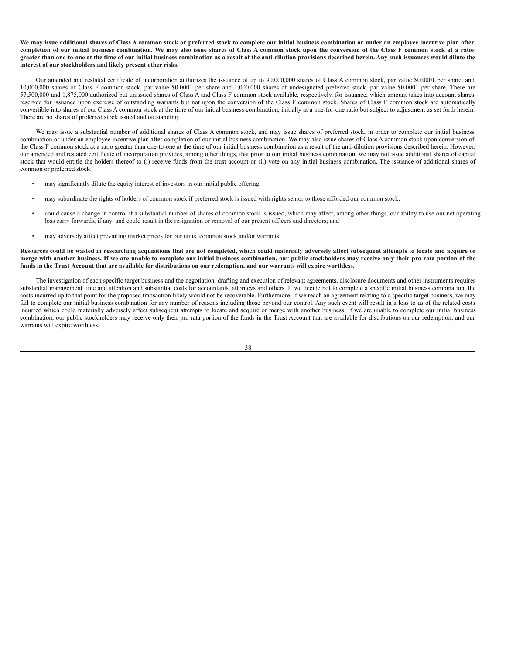## We may issue additional shares of Class A common stock or preferred stock to complete our initial business combination or under an emplovee incentive plan after completion of our initial business combination. We may also issue shares of Class A common stock upon the conversion of the Class F common stock at a ratio greater than one-to-one at the time of our initial business combination as a result of the anti-dilution provisions described herein. Any such issuances would dilute the **interest of our stockholders and likely present other risks.**

Our amended and restated certificate of incorporation authorizes the issuance of up to 90,000,000 shares of Class A common stock, par value \$0.0001 per share, and 10,000,000 shares of Class F common stock, par value \$0.0001 per share and 1,000,000 shares of undesignated preferred stock, par value \$0.0001 per share. There are 57,500,000 and 1,875,000 authorized but unissued shares of Class A and Class F common stock available, respectively, for issuance, which amount takes into account shares reserved for issuance upon exercise of outstanding warrants but not upon the conversion of the Class F common stock. Shares of Class F common stock are automatically convertible into shares of our Class A common stock at the time of our initial business combination, initially at a one-for-one ratio but subject to adjustment as set forth herein. There are no shares of preferred stock issued and outstanding.

We may issue a substantial number of additional shares of Class A common stock, and may issue shares of preferred stock, in order to complete our initial business combination or under an employee incentive plan after completion of our initial business combination. We may also issue shares of Class A common stock upon conversion of the Class F common stock at a ratio greater than one-to-one at the time of our initial business combination as a result of the anti-dilution provisions described herein. However, our amended and restated certificate of incorporation provides, among other things, that prior to our initial business combination, we may not issue additional shares of capital stock that would entitle the holders thereof to (i) receive funds from the trust account or (ii) vote on any initial business combination. The issuance of additional shares of common or preferred stock:

- may significantly dilute the equity interest of investors in our initial public offering:
- may subordinate the rights of holders of common stock if preferred stock is issued with rights senior to those afforded our common stock;
- could cause a change in control if a substantial number of shares of common stock is issued, which may affect, among other things, our ability to use our net operating loss carry forwards, if any, and could result in the resignation or removal of our present officers and directors; and
- may adversely affect prevailing market prices for our units, common stock and/or warrants.

Resources could be wasted in researching acquisitions that are not completed, which could materially adversely affect subsequent attempts to locate and acquire or merge with another business. If we are unable to complete our initial business combination, our public stockholders may receive only their pro rata portion of the funds in the Trust Account that are available for distributions on our redemption, and our warrants will expire worthless.

The investigation of each specific target business and the negotiation, drafting and execution of relevant agreements, disclosure documents and other instruments requires substantial management time and attention and substantial costs for accountants, attorneys and others. If we decide not to complete a specific initial business combination, the costs incurred up to that point for the proposed transaction likely would not be recoverable. Furthermore, if we reach an agreement relating to a specific target business, we may fail to complete our initial business combination for any number of reasons including those beyond our control. Any such event will result in a loss to us of the related costs incurred which could materially adversely affect subsequent attempts to locate and acquire or merge with another business. If we are unable to complete our initial business combination, our public stockholders may receive only their pro rata portion of the funds in the Trust Account that are available for distributions on our redemption, and our warrants will expire worthless.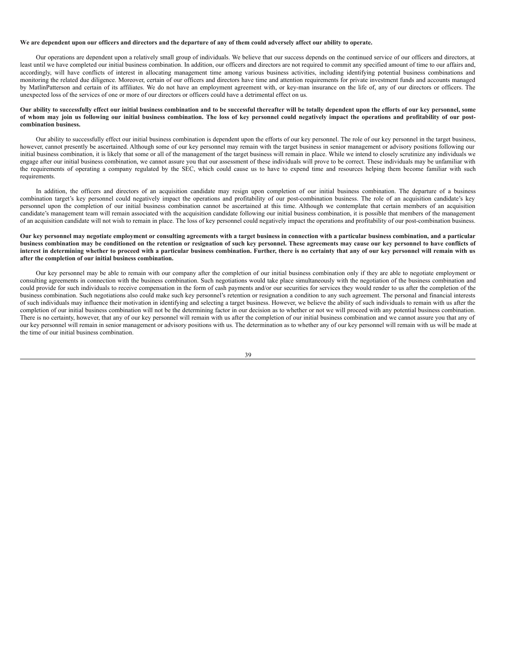#### We are dependent upon our officers and directors and the departure of any of them could adversely affect our ability to operate.

Our operations are dependent upon a relatively small group of individuals. We believe that our success depends on the continued service of our officers and directors, at least until we have completed our initial business combination. In addition, our officers and directors are not required to commit any specified amount of time to our affairs and, accordingly, will have conflicts of interest in allocating management time among various business activities, including identifying potential business combinations and monitoring the related due diligence. Moreover, certain of our officers and directors have time and attention requirements for private investment funds and accounts managed by MatlinPatterson and certain of its affiliates. We do not have an employment agreement with, or key-man insurance on the life of, any of our directors or officers. The unexpected loss of the services of one or more of our directors or officers could have a detrimental effect on us.

## Our ability to successfully effect our initial business combination and to be successful thereafter will be totally dependent upon the efforts of our key personnel, some of whom may join us following our initial business combination. The loss of key personnel could negatively impact the operations and profitability of our post**combination business.**

Our ability to successfully effect our initial business combination is dependent upon the efforts of our key personnel. The role of our key personnel in the target business, however, cannot presently be ascertained. Although some of our key personnel may remain with the target business in senior management or advisory positions following our initial business combination, it is likely that some or all of the management of the target business will remain in place. While we intend to closely scrutinize any individuals we engage after our initial business combination, we cannot assure you that our assessment of these individuals will prove to be correct. These individuals may be unfamiliar with the requirements of operating a company regulated by the SEC, which could cause us to have to expend time and resources helping them become familiar with such requirements.

In addition, the officers and directors of an acquisition candidate may resign upon completion of our initial business combination. The departure of a business combination target's key personnel could negatively impact the operations and profitability of our post-combination business. The role of an acquisition candidate's key personnel upon the completion of our initial business combination cannot be ascertained at this time. Although we contemplate that certain members of an acquisition candidate's management team will remain associated with the acquisition candidate following our initial business combination, it is possible that members of the management of an acquisition candidate will not wish to remain in place. The loss of key personnel could negatively impact the operations and profitability of our post-combination business.

## Our key personnel may negotiate employment or consulting agreements with a target business in connection with a particular business combination, and a particular business combination may be conditioned on the retention or resignation of such key personnel. These agreements may cause our key personnel to have conflicts of interest in determining whether to proceed with a particular business combination. Further, there is no certainty that any of our key personnel will remain with us **after the completion of our initial business combination.**

Our key personnel may be able to remain with our company after the completion of our initial business combination only if they are able to negotiate employment or consulting agreements in connection with the business combination. Such negotiations would take place simultaneously with the negotiation of the business combination and could provide for such individuals to receive compensation in the form of cash payments and/or our securities for services they would render to us after the completion of the business combination. Such negotiations also could make such key personnel's retention or resignation a condition to any such agreement. The personal and financial interests of such individuals may influence their motivation in identifying and selecting a target business. However, we believe the ability of such individuals to remain with us after the completion of our initial business combination will not be the determining factor in our decision as to whether or not we will proceed with any potential business combination. There is no certainty, however, that any of our key personnel will remain with us after the completion of our initial business combination and we cannot assure you that any of our key personnel will remain in senior management or advisory positions with us. The determination as to whether any of our key personnel will remain with us will be made at the time of our initial business combination.

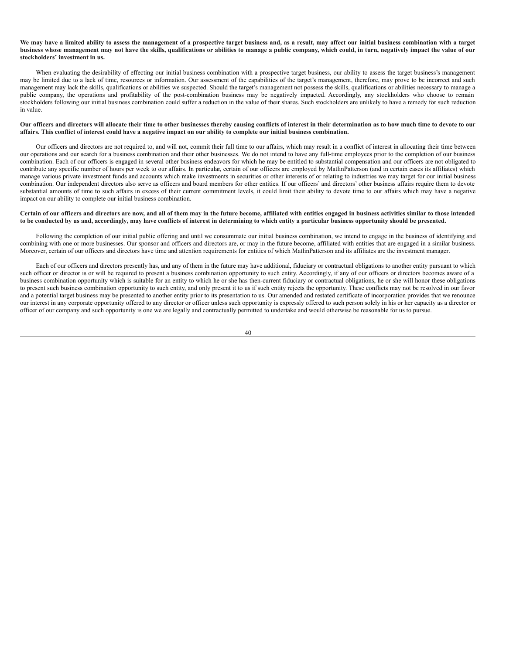### We may have a limited ability to assess the management of a prospective target business and, as a result, may affect our initial business combination with a target business whose management may not have the skills, qualifications or abilities to manage a public company, which could, in turn, negatively impact the value of our **stockholders' investment in us.**

When evaluating the desirability of effecting our initial business combination with a prospective target business, our ability to assess the target business's management may be limited due to a lack of time, resources or information. Our assessment of the capabilities of the target's management, therefore, may prove to be incorrect and such management may lack the skills, qualifications or abilities we suspected. Should the target's management not possess the skills, qualifications or abilities necessary to manage a public company, the operations and profitability of the post-combination business may be negatively impacted. Accordingly, any stockholders who choose to remain stockholders following our initial business combination could suffer a reduction in the value of their shares. Such stockholders are unlikely to have a remedy for such reduction in value.

## Our officers and directors will allocate their time to other businesses thereby causing conflicts of interest in their determination as to how much time to devote to our affairs. This conflict of interest could have a negative impact on our ability to complete our initial business combination.

Our officers and directors are not required to, and will not, commit their full time to our affairs, which may result in a conflict of interest in allocating their time between our operations and our search for a business combination and their other businesses. We do not intend to have any full-time employees prior to the completion of our business combination. Each of our officers is engaged in several other business endeavors for which he may be entitled to substantial compensation and our officers are not obligated to contribute any specific number of hours per week to our affairs. In particular, certain of our officers are employed by MatlinPatterson (and in certain cases its affiliates) which manage various private investment funds and accounts which make investments in securities or other interests of or relating to industries we may target for our initial business combination. Our independent directors also serve as officers and board members for other entities. If our officers' and directors' other business affairs require them to devote substantial amounts of time to such affairs in excess of their current commitment levels, it could limit their ability to devote time to our affairs which may have a negative impact on our ability to complete our initial business combination.

## Certain of our officers and directors are now, and all of them may in the future become, affiliated with entities engaged in business activities similar to those intended to be conducted by us and, accordingly, may have conflicts of interest in determining to which entity a particular business opportunity should be presented.

Following the completion of our initial public offering and until we consummate our initial business combination, we intend to engage in the business of identifying and combining with one or more businesses. Our sponsor and officers and directors are, or may in the future become, affiliated with entities that are engaged in a similar business. Moreover, certain of our officers and directors have time and attention requirements for entities of which MatlinPatterson and its affiliates are the investment manager.

Each of our officers and directors presently has, and any of them in the future may have additional, fiduciary or contractual obligations to another entity pursuant to which such officer or director is or will be required to present a business combination opportunity to such entity. Accordingly, if any of our officers or directors becomes aware of a business combination opportunity which is suitable for an entity to which he or she has then-current fiduciary or contractual obligations, he or she will honor these obligations to present such business combination opportunity to such entity, and only present it to us if such entity rejects the opportunity. These conflicts may not be resolved in our favor and a potential target business may be presented to another entity prior to its presentation to us. Our amended and restated certificate of incorporation provides that we renounce our interest in any corporate opportunity offered to any director or officer unless such opportunity is expressly offered to such person solely in his or her capacity as a director or officer of our company and such opportunity is one we are legally and contractually permitted to undertake and would otherwise be reasonable for us to pursue.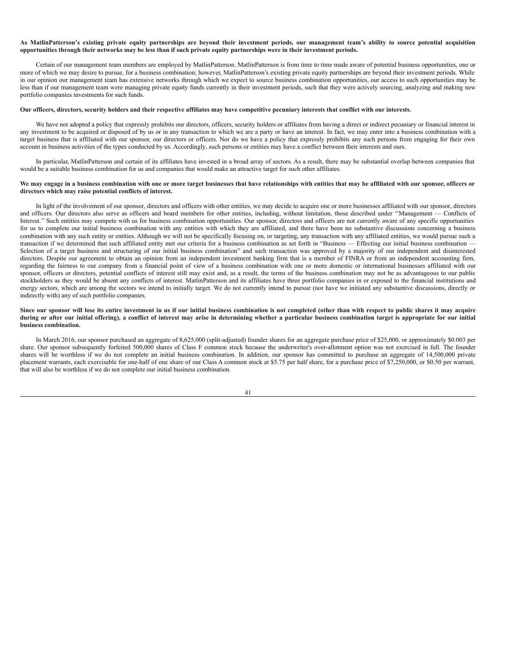### As MatlinPatterson's existing private equity partnerships are bevond their investment periods, our management team's ability to source potential acquisition opportunities through their networks may be less than if such private equity partnerships were in their investment periods.

Certain of our management team members are employed by MatlinPatterson. MatlinPatterson is from time to time made aware of potential business opportunities, one or more of which we may desire to pursue, for a business combination; however, MatlinPatterson's existing private equity partnerships are beyond their investment periods. While in our opinion our management team has extensive networks through which we expect to source business combination opportunities, our access to such opportunities may be less than if our management team were managing private equity funds currently in their investment periods, such that they were actively sourcing, analyzing and making new portfolio companies investments for such funds.

### Our officers, directors, security holders and their respective affiliates may have competitive pecuniary interests that conflict with our interests.

We have not adopted a policy that expressly prohibits our directors, officers, security holders or affiliates from having a direct or indirect pecuniary or financial interest in any investment to be acquired or disposed of by us or in any transaction to which we are a party or have an interest. In fact, we may enter into a business combination with a target business that is affiliated with our sponsor, our directors or officers. Nor do we have a policy that expressly prohibits any such persons from engaging for their own account in business activities of the types conducted by us. Accordingly, such persons or entities may have a conflict between their interests and ours.

In particular, MatlinPatterson and certain of its affiliates have invested in a broad array of sectors. As a result, there may be substantial overlap between companies that would be a suitable business combination for us and companies that would make an attractive target for such other affiliates.

## We may engage in a business combination with one or more target businesses that have relationshins with entities that may be affiliated with our sponsor, officers or **directors which may raise potential conflicts of interest.**

In light of the involvement of our sponsor, directors and officers with other entities, we may decide to acquire one or more businesses affiliated with our sponsor, directors and officers. Our directors also serve as officers and board members for other entities, including, without limitation, those described under "Management — Conflicts of Interest.'' Such entities may compete with us for business combination opportunities. Our sponsor, directors and officers are not currently aware of any specific opportunities for us to complete our initial business combination with any entities with which they are affiliated, and there have been no substantive discussions concerning a business combination with any such entity or entities. Although we will not be specifically focusing on, or targeting, any transaction with any affiliated entities, we would pursue such a transaction if we determined that such affiliated entity met our criteria for a business combination as set forth in "Business — Effecting our initial business combination — Selection of a target business and structuring of our initial business combination" and such transaction was approved by a majority of our independent and disinterested directors. Despite our agreement to obtain an opinion from an independent investment banking firm that is a member of FINRA or from an independent accounting firm, regarding the fairness to our company from a financial point of view of a business combination with one or more domestic or international businesses affiliated with our sponsor, officers or directors, potential conflicts of interest still may exist and, as a result, the terms of the business combination may not be as advantageous to our public stockholders as they would be absent any conflicts of interest. MatlinPatterson and its affiliates have three portfolio companies in or exposed to the financial institutions and energy sectors, which are among the sectors we intend to initially target. We do not currently intend to pursue (nor have we initiated any substantive discussions, directly or indirectly with) any of such portfolio companies.

### Since our sponsor will lose its entire investment in us if our initial business combination is not completed (other than with respect to public shares it may acquire during or after our initial offering), a conflict of interest may arise in determining whether a particular business combination target is appropriate for our initial **business combination.**

In March 2016, our sponsor purchased an aggregate of 8,625,000 (split-adjusted) founder shares for an aggregate purchase price of \$25,000, or approximately \$0.003 per share. Our sponsor subsequently forfeited 500,000 shares of Class F common stock because the underwriter's over-allotment option was not exercised in full. The founder shares will be worthless if we do not complete an initial business combination. In addition, our sponsor has committed to purchase an aggregate of 14,500,000 private placement warrants, each exercisable for one-half of one share of our Class A common stock at \$5.75 per half share, for a purchase price of \$7,250,000, or \$0.50 per warrant, that will also be worthless if we do not complete our initial business combination.

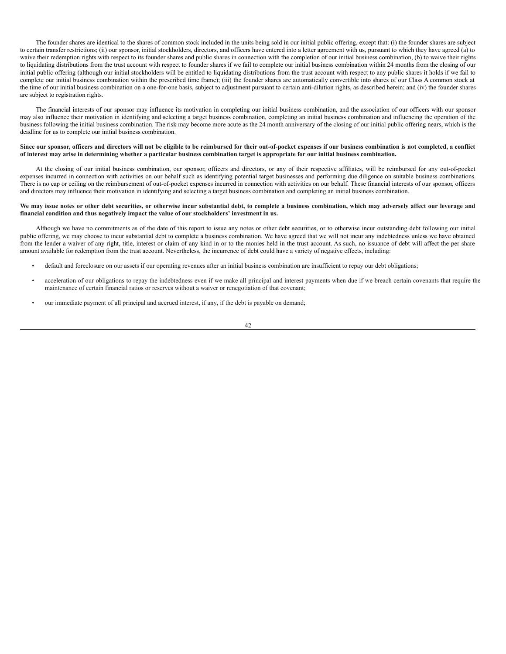The founder shares are identical to the shares of common stock included in the units being sold in our initial public offering, except that: (i) the founder shares are subject to certain transfer restrictions; (ii) our sponsor, initial stockholders, directors, and officers have entered into a letter agreement with us, pursuant to which they have agreed (a) to waive their redemption rights with respect to its founder shares and public shares in connection with the completion of our initial business combination, (b) to waive their rights to liquidating distributions from the trust account with respect to founder shares if we fail to complete our initial business combination within 24 months from the closing of our initial public offering (although our initial stockholders will be entitled to liquidating distributions from the trust account with respect to any public shares it holds if we fail to complete our initial business combination within the prescribed time frame); (iii) the founder shares are automatically convertible into shares of our Class A common stock at the time of our initial business combination on a one-for-one basis, subject to adjustment pursuant to certain anti-dilution rights, as described herein; and (iv) the founder shares are subject to registration rights.

The financial interests of our sponsor may influence its motivation in completing our initial business combination, and the association of our officers with our sponsor may also influence their motivation in identifying and selecting a target business combination, completing an initial business combination and influencing the operation of the business following the initial business combination. The risk may become more acute as the 24 month anniversary of the closing of our initial public offering nears, which is the deadline for us to complete our initial business combination.

## Since our sponsor, officers and directors will not be eligible to be reimbursed for their out-of-pocket expenses if our business combination is not completed, a conflict of interest may arise in determining whether a particular business combination target is appropriate for our initial business combination.

At the closing of our initial business combination, our sponsor, officers and directors, or any of their respective affiliates, will be reimbursed for any out-of-pocket expenses incurred in connection with activities on our behalf such as identifying potential target businesses and performing due diligence on suitable business combinations. There is no cap or ceiling on the reimbursement of out-of-pocket expenses incurred in connection with activities on our behalf. These financial interests of our sponsor, officers and directors may influence their motivation in identifying and selecting a target business combination and completing an initial business combination.

### We may issue notes or other debt securities, or otherwise incur substantial debt, to complete a business combination, which may adversely affect our leverage and **financial condition and thus negatively impact the value of our stockholders' investment in us.**

Although we have no commitments as of the date of this report to issue any notes or other debt securities, or to otherwise incur outstanding debt following our initial public offering, we may choose to incur substantial debt to complete a business combination. We have agreed that we will not incur any indebtedness unless we have obtained from the lender a waiver of any right, title, interest or claim of any kind in or to the monies held in the trust account. As such, no issuance of debt will affect the per share amount available for redemption from the trust account. Nevertheless, the incurrence of debt could have a variety of negative effects, including:

- default and foreclosure on our assets if our operating revenues after an initial business combination are insufficient to repay our debt obligations;
- acceleration of our obligations to repay the indebtedness even if we make all principal and interest payments when due if we breach certain covenants that require the maintenance of certain financial ratios or reserves without a waiver or renegotiation of that covenant;
- our immediate payment of all principal and accrued interest, if any, if the debt is payable on demand;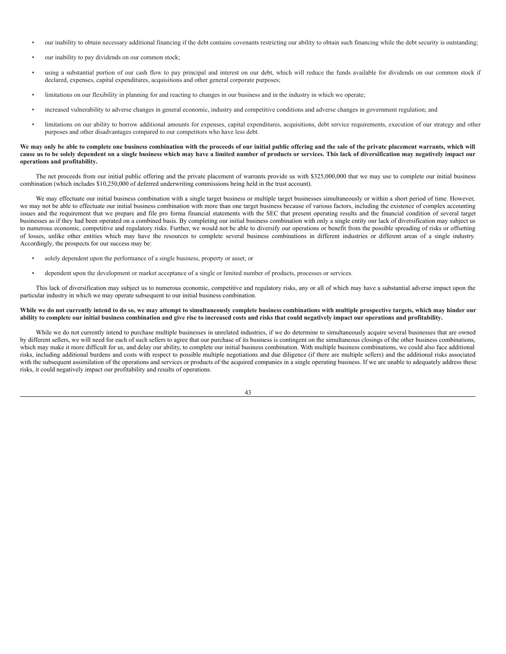- our inability to obtain necessary additional financing if the debt contains covenants restricting our ability to obtain such financing while the debt security is outstanding;
- our inability to pay dividends on our common stock;
- using a substantial portion of our cash flow to pay principal and interest on our debt, which will reduce the funds available for dividends on our common stock if declared, expenses, capital expenditures, acquisitions and other general corporate purposes;
- limitations on our flexibility in planning for and reacting to changes in our business and in the industry in which we operate;
- increased vulnerability to adverse changes in general economic, industry and competitive conditions and adverse changes in government regulation; and
- limitations on our ability to borrow additional amounts for expenses, capital expenditures, acquisitions, debt service requirements, execution of our strategy and other purposes and other disadvantages compared to our competitors who have less debt.

### We may only be able to complete one business combination with the proceeds of our initial public offering and the sale of the private placement warrants, which will cause us to be solely dependent on a single business which may have a limited number of products or services. This lack of diversification may negatively impact our **operations and profitability.**

The net proceeds from our initial public offering and the private placement of warrants provide us with \$325,000,000 that we may use to complete our initial business combination (which includes \$10,250,000 of deferred underwriting commissions being held in the trust account).

We may effectuate our initial business combination with a single target business or multiple target businesses simultaneously or within a short period of time. However, we may not be able to effectuate our initial business combination with more than one target business because of various factors, including the existence of complex accounting issues and the requirement that we prepare and file pro forma financial statements with the SEC that present operating results and the financial condition of several target businesses as if they had been operated on a combined basis. By completing our initial business combination with only a single entity our lack of diversification may subject us to numerous economic, competitive and regulatory risks. Further, we would not be able to diversify our operations or benefit from the possible spreading of risks or offsetting of losses, unlike other entities which may have the resources to complete several business combinations in different industries or different areas of a single industry. Accordingly, the prospects for our success may be:

- solely dependent upon the performance of a single business, property or asset; or
- dependent upon the development or market acceptance of a single or limited number of products, processes or services.

This lack of diversification may subject us to numerous economic, competitive and regulatory risks, any or all of which may have a substantial adverse impact upon the particular industry in which we may operate subsequent to our initial business combination.

## While we do not currently intend to do so, we may attempt to simultaneously complete business combinations with multiple prospective targets, which may hinder our ability to complete our initial business combination and give rise to increased costs and risks that could negatively impact our operations and profitability.

While we do not currently intend to purchase multiple businesses in unrelated industries, if we do determine to simultaneously acquire several businesses that are owned by different sellers, we will need for each of such sellers to agree that our purchase of its business is contingent on the simultaneous closings of the other business combinations, which may make it more difficult for us, and delay our ability, to complete our initial business combination. With multiple business combinations, we could also face additional risks, including additional burdens and costs with respect to possible multiple negotiations and due diligence (if there are multiple sellers) and the additional risks associated with the subsequent assimilation of the operations and services or products of the acquired companies in a single operating business. If we are unable to adequately address these risks, it could negatively impact our profitability and results of operations.

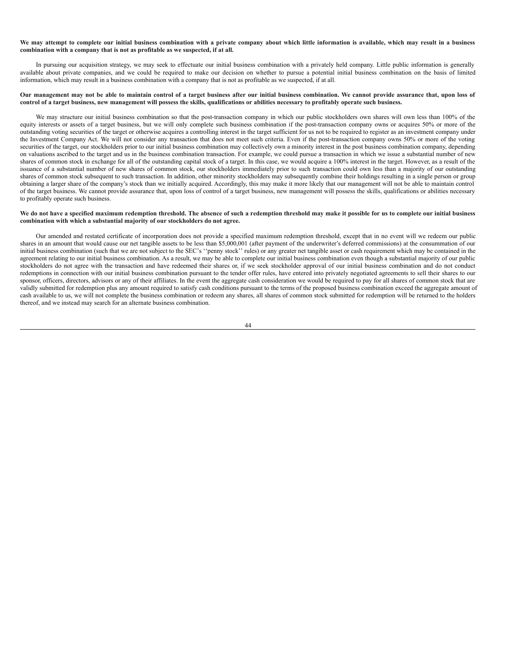### We may attempt to complete our initial business combination with a private company about which little information is available, which may result in a business **combination with a company that is not as profitable as we suspected, if at all.**

In pursuing our acquisition strategy, we may seek to effectuate our initial business combination with a privately held company. Little public information is generally available about private companies, and we could be required to make our decision on whether to pursue a potential initial business combination on the basis of limited information, which may result in a business combination with a company that is not as profitable as we suspected, if at all.

## Our management may not be able to maintain control of a target business after our initial business combination. We cannot provide assurance that, upon loss of control of a target business, new management will possess the skills, qualifications or abilities necessary to profitably operate such business.

We may structure our initial business combination so that the post-transaction company in which our public stockholders own shares will own less than 100% of the equity interests or assets of a target business, but we will only complete such business combination if the post-transaction company owns or acquires 50% or more of the outstanding voting securities of the target or otherwise acquires a controlling interest in the target sufficient for us not to be required to register as an investment company under the Investment Company Act. We will not consider any transaction that does not meet such criteria. Even if the post-transaction company owns 50% or more of the voting securities of the target, our stockholders prior to our initial business combination may collectively own a minority interest in the post business combination company, depending on valuations ascribed to the target and us in the business combination transaction. For example, we could pursue a transaction in which we issue a substantial number of new shares of common stock in exchange for all of the outstanding capital stock of a target. In this case, we would acquire a 100% interest in the target. However, as a result of the issuance of a substantial number of new shares of common stock, our stockholders immediately prior to such transaction could own less than a majority of our outstanding shares of common stock subsequent to such transaction. In addition, other minority stockholders may subsequently combine their holdings resulting in a single person or group obtaining a larger share of the company's stock than we initially acquired. Accordingly, this may make it more likely that our management will not be able to maintain control of the target business. We cannot provide assurance that, upon loss of control of a target business, new management will possess the skills, qualifications or abilities necessary to profitably operate such business.

## We do not have a specified maximum redemption threshold. The absence of such a redemption threshold may make it possible for us to complete our initial business **combination with which a substantial majority of our stockholders do not agree.**

Our amended and restated certificate of incorporation does not provide a specified maximum redemption threshold, except that in no event will we redeem our public shares in an amount that would cause our net tangible assets to be less than \$5,000,001 (after payment of the underwriter's deferred commissions) at the consummation of our initial business combination (such that we are not subject to the SEC's ''penny stock'' rules) or any greater net tangible asset or cash requirement which may be contained in the agreement relating to our initial business combination. As a result, we may be able to complete our initial business combination even though a substantial majority of our public stockholders do not agree with the transaction and have redeemed their shares or, if we seek stockholder approval of our initial business combination and do not conduct redemptions in connection with our initial business combination pursuant to the tender offer rules, have entered into privately negotiated agreements to sell their shares to our sponsor, officers, directors, advisors or any of their affiliates. In the event the aggregate cash consideration we would be required to pay for all shares of common stock that are validly submitted for redemption plus any amount required to satisfy cash conditions pursuant to the terms of the proposed business combination exceed the aggregate amount of cash available to us, we will not complete the business combination or redeem any shares, all shares of common stock submitted for redemption will be returned to the holders thereof, and we instead may search for an alternate business combination.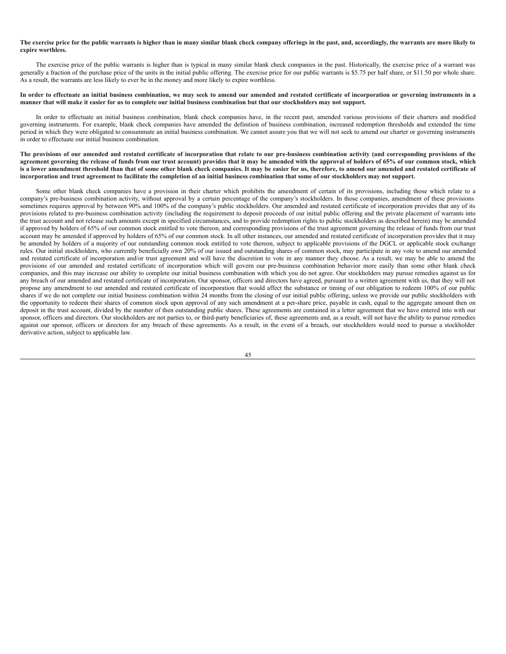## The exercise price for the public warrants is higher than in many similar blank check company offerings in the past, and, accordingly, the warrants are more likely to **expire worthless.**

The exercise price of the public warrants is higher than is typical in many similar blank check companies in the past. Historically, the exercise price of a warrant was generally a fraction of the purchase price of the units in the initial public offering. The exercise price for our public warrants is \$5.75 per half share, or \$11.50 per whole share. As a result, the warrants are less likely to ever be in the money and more likely to expire worthless.

## In order to effectuate an initial business combination, we may seek to amend our amended and restated certificate of incorporation or governing instruments in a manner that will make it easier for us to complete our initial business combination but that our stockholders may not support.

In order to effectuate an initial business combination, blank check companies have, in the recent past, amended various provisions of their charters and modified governing instruments. For example, blank check companies have amended the definition of business combination, increased redemption thresholds and extended the time period in which they were obligated to consummate an initial business combination. We cannot assure you that we will not seek to amend our charter or governing instruments in order to effectuate our initial business combination.

## The provisions of our amended and restated certificate of incorporation that relate to our pre-business combination activity (and corresponding provisions of the agreement governing the release of funds from our trust account) provides that it may be amended with the approval of holders of 65% of our common stock, which is a lower amendment threshold than that of some other blank check companies. It may be easier for us, therefore, to amend our amended and restated certificate of incorporation and trust agreement to facilitate the completion of an initial business combination that some of our stockholders may not support.

Some other blank check companies have a provision in their charter which prohibits the amendment of certain of its provisions, including those which relate to a company's pre-business combination activity, without approval by a certain percentage of the company's stockholders. In those companies, amendment of these provisions sometimes requires approval by between 90% and 100% of the company's public stockholders. Our amended and restated certificate of incorporation provides that any of its provisions related to pre-business combination activity (including the requirement to deposit proceeds of our initial public offering and the private placement of warrants into the trust account and not release such amounts except in specified circumstances, and to provide redemption rights to public stockholders as described herein) may be amended if approved by holders of 65% of our common stock entitled to vote thereon, and corresponding provisions of the trust agreement governing the release of funds from our trust account may be amended if approved by holders of 65% of our common stock. In all other instances, our amended and restated certificate of incorporation provides that it may be amended by holders of a majority of our outstanding common stock entitled to vote thereon, subject to applicable provisions of the DGCL or applicable stock exchange rules. Our initial stockholders, who currently beneficially own 20% of our issued and outstanding shares of common stock, may participate in any vote to amend our amended and restated certificate of incorporation and/or trust agreement and will have the discretion to vote in any manner they choose. As a result, we may be able to amend the provisions of our amended and restated certificate of incorporation which will govern our pre-business combination behavior more easily than some other blank check companies, and this may increase our ability to complete our initial business combination with which you do not agree. Our stockholders may pursue remedies against us for any breach of our amended and restated certificate of incorporation. Our sponsor, officers and directors have agreed, pursuant to a written agreement with us, that they will not propose any amendment to our amended and restated certificate of incorporation that would affect the substance or timing of our obligation to redeem 100% of our public shares if we do not complete our initial business combination within 24 months from the closing of our initial public offering, unless we provide our public stockholders with the opportunity to redeem their shares of common stock upon approval of any such amendment at a per-share price, payable in cash, equal to the aggregate amount then on deposit in the trust account, divided by the number of then outstanding public shares. These agreements are contained in a letter agreement that we have entered into with our sponsor, officers and directors. Our stockholders are not parties to, or third-party beneficiaries of, these agreements and, as a result, will not have the ability to pursue remedies against our sponsor, officers or directors for any breach of these agreements. As a result, in the event of a breach, our stockholders would need to pursue a stockholder derivative action, subject to applicable law.

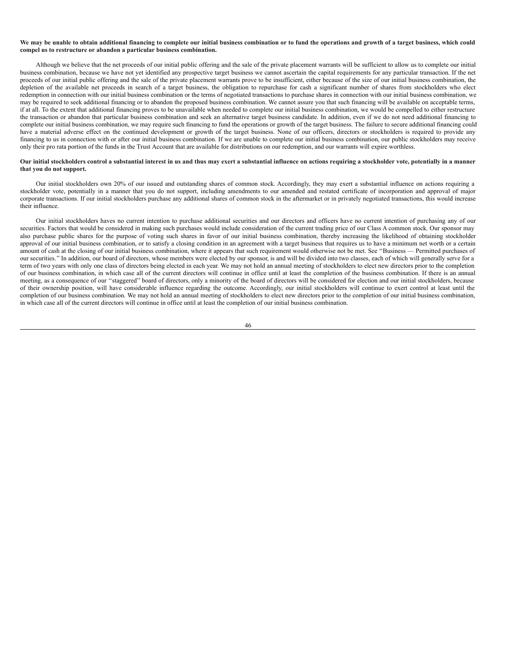### We may be unable to obtain additional financing to complete our initial business combination or to fund the operations and growth of a target business, which could **compel us to restructure or abandon a particular business combination.**

Although we believe that the net proceeds of our initial public offering and the sale of the private placement warrants will be sufficient to allow us to complete our initial business combination, because we have not yet identified any prospective target business we cannot ascertain the capital requirements for any particular transaction. If the net proceeds of our initial public offering and the sale of the private placement warrants prove to be insufficient, either because of the size of our initial business combination, the depletion of the available net proceeds in search of a target business, the obligation to repurchase for cash a significant number of shares from stockholders who elect redemption in connection with our initial business combination or the terms of negotiated transactions to purchase shares in connection with our initial business combination, we may be required to seek additional financing or to abandon the proposed business combination. We cannot assure you that such financing will be available on acceptable terms, if at all. To the extent that additional financing proves to be unavailable when needed to complete our initial business combination, we would be compelled to either restructure the transaction or abandon that particular business combination and seek an alternative target business candidate. In addition, even if we do not need additional financing to complete our initial business combination, we may require such financing to fund the operations or growth of the target business. The failure to secure additional financing could have a material adverse effect on the continued development or growth of the target business. None of our officers, directors or stockholders is required to provide any financing to us in connection with or after our initial business combination. If we are unable to complete our initial business combination, our public stockholders may receive only their pro rata portion of the funds in the Trust Account that are available for distributions on our redemption, and our warrants will expire worthless.

## Our initial stockholders control a substantial interest in us and thus may exert a substantial influence on actions requiring a stockholder vote, potentially in a manner **that you do not support.**

Our initial stockholders own 20% of our issued and outstanding shares of common stock. Accordingly, they may exert a substantial influence on actions requiring a stockholder vote, potentially in a manner that you do not support, including amendments to our amended and restated certificate of incorporation and approval of major corporate transactions. If our initial stockholders purchase any additional shares of common stock in the aftermarket or in privately negotiated transactions, this would increase their influence.

Our initial stockholders haves no current intention to purchase additional securities and our directors and officers have no current intention of purchasing any of our securities. Factors that would be considered in making such purchases would include consideration of the current trading price of our Class A common stock. Our sponsor may also purchase public shares for the purpose of voting such shares in favor of our initial business combination, thereby increasing the likelihood of obtaining stockholder approval of our initial business combination, or to satisfy a closing condition in an agreement with a target business that requires us to have a minimum net worth or a certain amount of cash at the closing of our initial business combination, where it appears that such requirement would otherwise not be met. See ''Business — Permitted purchases of our securities.'' In addition, our board of directors, whose members were elected by our sponsor, is and will be divided into two classes, each of which will generally serve for a term of two years with only one class of directors being elected in each year. We may not hold an annual meeting of stockholders to elect new directors prior to the completion of our business combination, in which case all of the current directors will continue in office until at least the completion of the business combination. If there is an annual meeting, as a consequence of our ''staggered'' board of directors, only a minority of the board of directors will be considered for election and our initial stockholders, because of their ownership position, will have considerable influence regarding the outcome. Accordingly, our initial stockholders will continue to exert control at least until the completion of our business combination. We may not hold an annual meeting of stockholders to elect new directors prior to the completion of our initial business combination, in which case all of the current directors will continue in office until at least the completion of our initial business combination.

$$
^{46}
$$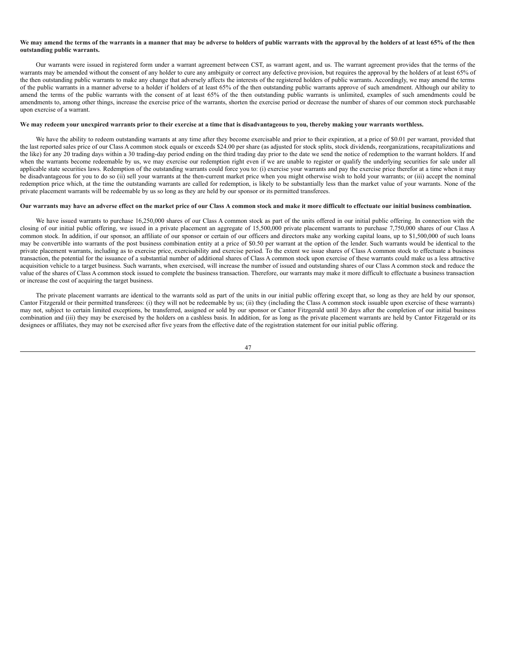### We may amend the terms of the warrants in a manner that may be adverse to holders of public warrants with the approval by the holders of at least 65% of the then **outstanding public warrants.**

Our warrants were issued in registered form under a warrant agreement between CST, as warrant agent, and us. The warrant agreement provides that the terms of the warrants may be amended without the consent of any holder to cure any ambiguity or correct any defective provision, but requires the approval by the holders of at least 65% of the then outstanding public warrants to make any change that adversely affects the interests of the registered holders of public warrants. Accordingly, we may amend the terms of the public warrants in a manner adverse to a holder if holders of at least 65% of the then outstanding public warrants approve of such amendment. Although our ability to amend the terms of the public warrants with the consent of at least 65% of the then outstanding public warrants is unlimited, examples of such amendments could be amendments to, among other things, increase the exercise price of the warrants, shorten the exercise period or decrease the number of shares of our common stock purchasable upon exercise of a warrant.

## We may redeem your unexpired warrants prior to their exercise at a time that is disadvantageous to you, thereby making your warrants worthless.

We have the ability to redeem outstanding warrants at any time after they become exercisable and prior to their expiration, at a price of \$0.01 per warrant, provided that the last reported sales price of our Class A common stock equals or exceeds \$24.00 per share (as adjusted for stock splits, stock dividends, reorganizations, recapitalizations and the like) for any 20 trading days within a 30 trading-day period ending on the third trading day prior to the date we send the notice of redemption to the warrant holders. If and when the warrants become redeemable by us, we may exercise our redemption right even if we are unable to register or qualify the underlying securities for sale under all applicable state securities laws. Redemption of the outstanding warrants could force you to: (i) exercise your warrants and pay the exercise price therefor at a time when it may be disadvantageous for you to do so (ii) sell your warrants at the then-current market price when you might otherwise wish to hold your warrants; or (iii) accept the nominal redemption price which, at the time the outstanding warrants are called for redemption, is likely to be substantially less than the market value of your warrants. None of the private placement warrants will be redeemable by us so long as they are held by our sponsor or its permitted transferees.

## Our warrants may have an adverse effect on the market price of our Class A common stock and make it more difficult to effectuate our initial business combination.

We have issued warrants to purchase 16,250,000 shares of our Class A common stock as part of the units offered in our initial public offering. In connection with the closing of our initial public offering, we issued in a private placement an aggregate of 15,500,000 private placement warrants to purchase 7,750,000 shares of our Class A common stock. In addition, if our sponsor, an affiliate of our sponsor or certain of our officers and directors make any working capital loans, up to \$1,500,000 of such loans may be convertible into warrants of the post business combination entity at a price of \$0.50 per warrant at the option of the lender. Such warrants would be identical to the private placement warrants, including as to exercise price, exercisability and exercise period. To the extent we issue shares of Class A common stock to effectuate a business transaction, the potential for the issuance of a substantial number of additional shares of Class A common stock upon exercise of these warrants could make us a less attractive acquisition vehicle to a target business. Such warrants, when exercised, will increase the number of issued and outstanding shares of our Class A common stock and reduce the value of the shares of Class A common stock issued to complete the business transaction. Therefore, our warrants may make it more difficult to effectuate a business transaction or increase the cost of acquiring the target business.

The private placement warrants are identical to the warrants sold as part of the units in our initial public offering except that, so long as they are held by our sponsor, Cantor Fitzgerald or their permitted transferees: (i) they will not be redeemable by us; (ii) they (including the Class A common stock issuable upon exercise of these warrants) may not, subject to certain limited exceptions, be transferred, assigned or sold by our sponsor or Cantor Fitzgerald until 30 days after the completion of our initial business combination and (iii) they may be exercised by the holders on a cashless basis. In addition, for as long as the private placement warrants are held by Cantor Fitzgerald or its designees or affiliates, they may not be exercised after five years from the effective date of the registration statement for our initial public offering.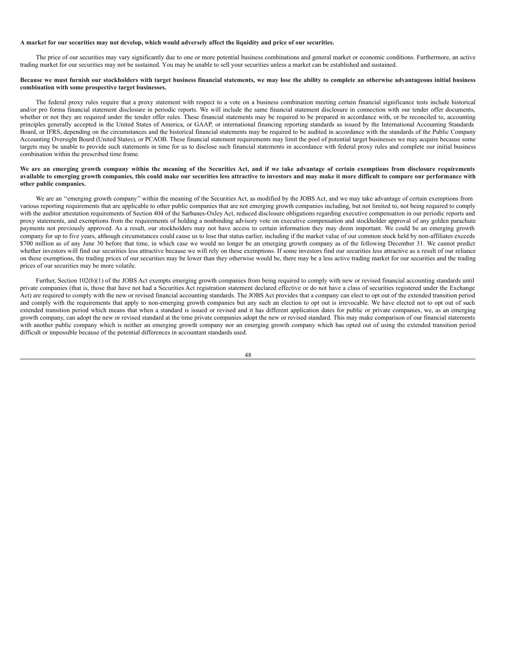#### A market for our securities may not develop, which would adversely affect the liquidity and price of our securities.

The price of our securities may vary significantly due to one or more potential business combinations and general market or economic conditions. Furthermore, an active trading market for our securities may not be sustained. You may be unable to sell your securities unless a market can be established and sustained.

### Because we must furnish our stockholders with target business financial statements, we may lose the ability to complete an otherwise advantageous initial business **combination with some prospective target businesses.**

The federal proxy rules require that a proxy statement with respect to a vote on a business combination meeting certain financial significance tests include historical and/or pro forma financial statement disclosure in periodic reports. We will include the same financial statement disclosure in connection with our tender offer documents, whether or not they are required under the tender offer rules. These financial statements may be required to be prepared in accordance with, or be reconciled to, accounting principles generally accepted in the United States of America, or GAAP, or international financing reporting standards as issued by the International Accounting Standards Board, or IFRS, depending on the circumstances and the historical financial statements may be required to be audited in accordance with the standards of the Public Company Accounting Oversight Board (United States), or PCAOB. These financial statement requirements may limit the pool of potential target businesses we may acquire because some targets may be unable to provide such statements in time for us to disclose such financial statements in accordance with federal proxy rules and complete our initial business combination within the prescribed time frame.

## We are an emerging growth company within the meaning of the Securities Act, and if we take advantage of certain exemptions from disclosure requirements available to emerging growth companies, this could make our securities less attractive to investors and may make it more difficult to compare our performance with **other public companies.**

We are an "emerging growth company" within the meaning of the Securities Act, as modified by the JOBS Act, and we may take advantage of certain exemptions from various reporting requirements that are applicable to other public companies that are not emerging growth companies including, but not limited to, not being required to comply with the auditor attestation requirements of Section 404 of the Sarbanes-Oxley Act, reduced disclosure obligations regarding executive compensation in our periodic reports and proxy statements, and exemptions from the requirements of holding a nonbinding advisory vote on executive compensation and stockholder approval of any golden parachute payments not previously approved. As a result, our stockholders may not have access to certain information they may deem important. We could be an emerging growth company for up to five years, although circumstances could cause us to lose that status earlier, including if the market value of our common stock held by non-affiliates exceeds \$700 million as of any June 30 before that time, in which case we would no longer be an emerging growth company as of the following December 31. We cannot predict whether investors will find our securities less attractive because we will rely on these exemptions. If some investors find our securities less attractive as a result of our reliance on these exemptions, the trading prices of our securities may be lower than they otherwise would be, there may be a less active trading market for our securities and the trading prices of our securities may be more volatile.

Further, Section 102(b)(1) of the JOBS Act exempts emerging growth companies from being required to comply with new or revised financial accounting standards until private companies (that is, those that have not had a Securities Act registration statement declared effective or do not have a class of securities registered under the Exchange Act) are required to comply with the new or revised financial accounting standards. The JOBS Act provides that a company can elect to opt out of the extended transition period and comply with the requirements that apply to non-emerging growth companies but any such an election to opt out is irrevocable. We have elected not to opt out of such extended transition period which means that when a standard is issued or revised and it has different application dates for public or private companies, we, as an emerging growth company, can adopt the new or revised standard at the time private companies adopt the new or revised standard. This may make comparison of our financial statements with another public company which is neither an emerging growth company nor an emerging growth company which has opted out of using the extended transition period difficult or impossible because of the potential differences in accountant standards used.

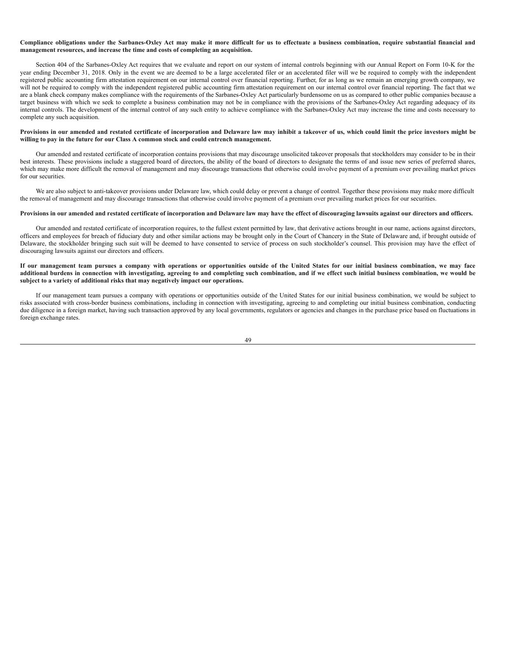### Compliance obligations under the Sarbanes-Oxley Act may make it more difficult for us to effectuate a business combination, require substantial financial and **management resources, and increase the time and costs of completing an acquisition.**

Section 404 of the Sarbanes-Oxley Act requires that we evaluate and report on our system of internal controls beginning with our Annual Report on Form 10-K for the year ending December 31, 2018. Only in the event we are deemed to be a large accelerated filer or an accelerated filer will we be required to comply with the independent registered public accounting firm attestation requirement on our internal control over financial reporting. Further, for as long as we remain an emerging growth company, we will not be required to comply with the independent registered public accounting firm attestation requirement on our internal control over financial reporting. The fact that we are a blank check company makes compliance with the requirements of the Sarbanes-Oxley Act particularly burdensome on us as compared to other public companies because a target business with which we seek to complete a business combination may not be in compliance with the provisions of the Sarbanes-Oxley Act regarding adequacy of its internal controls. The development of the internal control of any such entity to achieve compliance with the Sarbanes-Oxley Act may increase the time and costs necessary to complete any such acquisition.

## Provisions in our amended and restated certificate of incorporation and Delaware law may inhibit a takeover of us, which could limit the price investors might be **willing to pay in the future for our Class A common stock and could entrench management.**

Our amended and restated certificate of incorporation contains provisions that may discourage unsolicited takeover proposals that stockholders may consider to be in their best interests. These provisions include a staggered board of directors, the ability of the board of directors to designate the terms of and issue new series of preferred shares, which may make more difficult the removal of management and may discourage transactions that otherwise could involve payment of a premium over prevailing market prices for our securities.

We are also subject to anti-takeover provisions under Delaware law, which could delay or prevent a change of control. Together these provisions may make more difficult the removal of management and may discourage transactions that otherwise could involve payment of a premium over prevailing market prices for our securities.

## Provisions in our amended and restated certificate of incorporation and Delaware law may have the effect of discouraging lawsuits against our directors and officers.

Our amended and restated certificate of incorporation requires, to the fullest extent permitted by law, that derivative actions brought in our name, actions against directors, officers and employees for breach of fiduciary duty and other similar actions may be brought only in the Court of Chancery in the State of Delaware and, if brought outside of Delaware, the stockholder bringing such suit will be deemed to have consented to service of process on such stockholder's counsel. This provision may have the effect of discouraging lawsuits against our directors and officers.

## If our management team pursues a company with operations or opportunities outside of the United States for our initial business combination, we may face additional burdens in connection with investigating, agreeing to and completing such combination, and if we effect such initial business combination, we would be **subject to a variety of additional risks that may negatively impact our operations.**

If our management team pursues a company with operations or opportunities outside of the United States for our initial business combination, we would be subject to risks associated with cross-border business combinations, including in connection with investigating, agreeing to and completing our initial business combination, conducting due diligence in a foreign market, having such transaction approved by any local governments, regulators or agencies and changes in the purchase price based on fluctuations in foreign exchange rates.

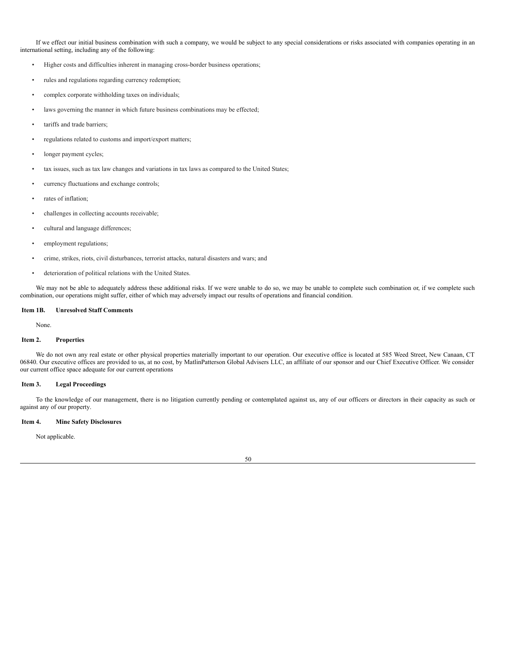If we effect our initial business combination with such a company, we would be subject to any special considerations or risks associated with companies operating in an international setting, including any of the following:

- Higher costs and difficulties inherent in managing cross-border business operations;
- rules and regulations regarding currency redemption;
- complex corporate withholding taxes on individuals;
- laws governing the manner in which future business combinations may be effected;
- tariffs and trade barriers;
- regulations related to customs and import/export matters;
- longer payment cycles;
- tax issues, such as tax law changes and variations in tax laws as compared to the United States;
- currency fluctuations and exchange controls;
- rates of inflation;
- challenges in collecting accounts receivable;
- cultural and language differences;
- employment regulations;
- crime, strikes, riots, civil disturbances, terrorist attacks, natural disasters and wars; and
- deterioration of political relations with the United States.

We may not be able to adequately address these additional risks. If we were unable to do so, we may be unable to complete such combination or, if we complete such combination, our operations might suffer, either of which may adversely impact our results of operations and financial condition.

### **Item 1B. Unresolved Staff Comments**

None.

## **Item 2. Properties**

We do not own any real estate or other physical properties materially important to our operation. Our executive office is located at 585 Weed Street, New Canaan, CT 06840. Our executive offices are provided to us, at no cost, by MatlinPatterson Global Advisers LLC, an affiliate of our sponsor and our Chief Executive Officer. We consider our current office space adequate for our current operations

## **Item 3. Legal Proceedings**

To the knowledge of our management, there is no litigation currently pending or contemplated against us, any of our officers or directors in their capacity as such or against any of our property.

## **Item 4. Mine Safety Disclosures**

Not applicable.

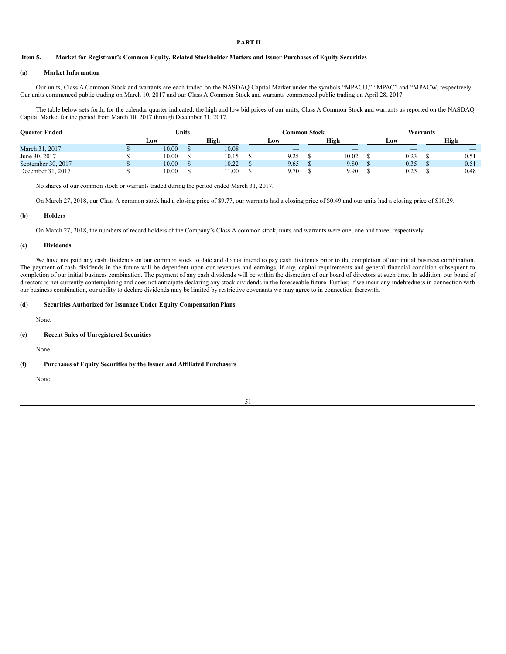## **PART II**

## Item 5. Market for Registrant's Common Equity, Related Stockholder Matters and Issuer Purchases of Equity Securities

## **(a) Market Information**

Our units, Class A Common Stock and warrants are each traded on the NASDAQ Capital Market under the symbols "MPACU," "MPAC" and "MPACW, respectively. Our units commenced public trading on March 10, 2017 and our Class A Common Stock and warrants commenced public trading on April 28, 2017.

The table below sets forth, for the calendar quarter indicated, the high and low bid prices of our units, Class A Common Stock and warrants as reported on the NASDAQ Capital Market for the period from March 10, 2017 through December 31, 2017.

| <b>Ouarter Ended</b> | Units |  |       | Common Stock- |      |  | Warrants                 |  |      |  |      |
|----------------------|-------|--|-------|---------------|------|--|--------------------------|--|------|--|------|
|                      | Low   |  | High  |               | Low  |  | High                     |  | Low  |  | High |
| March 31, 2017       | 10.00 |  | 10.08 |               |      |  | $\overline{\phantom{a}}$ |  | _    |  |      |
| June 30, 2017        | 10.00 |  | 10.15 |               | 9.25 |  | 10.02                    |  | 0.23 |  | 0.51 |
| September 30, 2017   | 10.00 |  | 10.22 |               | 9.65 |  | 9.80                     |  | 0.35 |  | 0.51 |
| December 31, 2017    | 10.00 |  | 11.00 |               | 9.70 |  | 9.90                     |  | 0.25 |  | 0.48 |

No shares of our common stock or warrants traded during the period ended March 31, 2017.

On March 27, 2018, our Class A common stock had a closing price of \$9.77, our warrants had a closing price of \$0.49 and our units had a closing price of \$10.29.

#### **(b) Holders**

On March 27, 2018, the numbers of record holders of the Company's Class A common stock, units and warrants were one, one and three, respectively.

#### **(c) Dividends**

We have not paid any cash dividends on our common stock to date and do not intend to pay cash dividends prior to the completion of our initial business combination. The payment of cash dividends in the future will be dependent upon our revenues and earnings, if any, capital requirements and general financial condition subsequent to completion of our initial business combination. The payment of any cash dividends will be within the discretion of our board of directors at such time. In addition, our board of directors is not currently contemplating and does not anticipate declaring any stock dividends in the foreseeable future. Further, if we incur any indebtedness in connection with our business combination, our ability to declare dividends may be limited by restrictive covenants we may agree to in connection therewith.

## **(d) Securities Authorized for Issuance Under Equity Compensation Plans**

None.

## **(e) Recent Sales of Unregistered Securities**

None.

## **(f) Purchases of Equity Securities by the Issuer and Affiliated Purchasers**

None.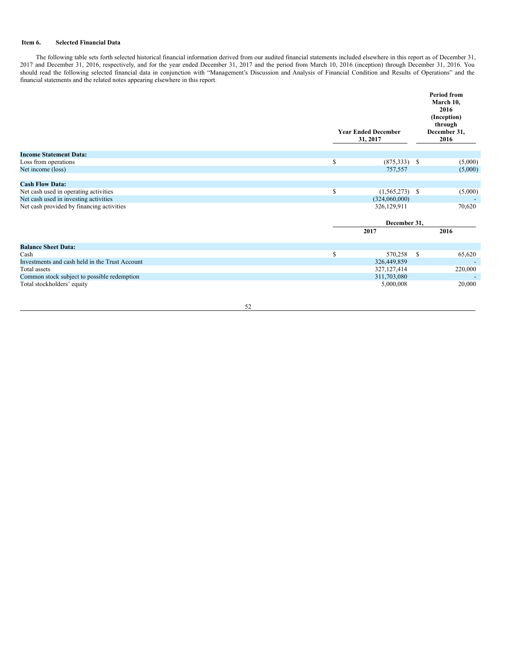# **Item 6. Selected Financial Data**

The following table sets forth selected historical financial information derived from our audited financial statements included elsewhere in this report as of December 31, 2017 and December 31, 2016, respectively, and for the year ended December 31, 2017 and the period from March 10, 2016 (inception) through December 31, 2016. You should read the following selected financial data in conjunction with "Management's Discussion and Analysis of Financial Condition and Results of Operations" and the financial statements and the related notes appearing elsewhere in this report.

|                                                |              | <b>Year Ended December</b><br>31, 2017 | <b>Period from</b><br>March 10,<br>2016<br>(Inception)<br>through<br>December 31,<br>2016 |         |  |
|------------------------------------------------|--------------|----------------------------------------|-------------------------------------------------------------------------------------------|---------|--|
| <b>Income Statement Data:</b>                  |              |                                        |                                                                                           |         |  |
| Loss from operations                           | $\mathbb{S}$ | $(875,333)$ \$                         |                                                                                           | (5,000) |  |
| Net income (loss)                              |              | 757,557                                |                                                                                           | (5,000) |  |
| <b>Cash Flow Data:</b>                         |              |                                        |                                                                                           |         |  |
| Net cash used in operating activities          | \$           | $(1,565,273)$ \$                       |                                                                                           | (5,000) |  |
| Net cash used in investing activities          |              | (324,060,000)                          |                                                                                           |         |  |
| Net cash provided by financing activities      |              | 326,129,911                            |                                                                                           | 70,620  |  |
|                                                |              | December 31,                           |                                                                                           |         |  |
|                                                |              | 2017                                   |                                                                                           | 2016    |  |
| <b>Balance Sheet Data:</b>                     |              |                                        |                                                                                           |         |  |
| Cash                                           | $\mathbb{S}$ | 570,258                                | -S                                                                                        | 65,620  |  |
| Investments and cash held in the Trust Account |              | 326,449,859                            |                                                                                           |         |  |
| Total assets                                   |              | 327, 127, 414                          |                                                                                           | 220,000 |  |
| Common stock subject to possible redemption    |              | 311,703,080                            |                                                                                           |         |  |
| Total stockholders' equity                     |              | 5,000,008                              |                                                                                           | 20,000  |  |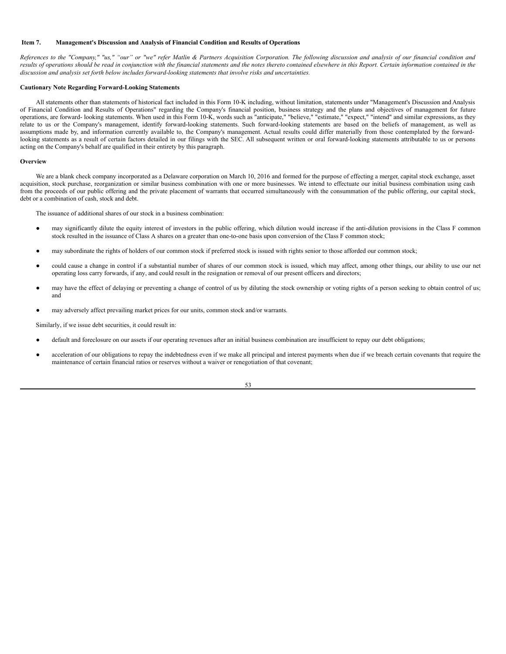### **Item 7. Management's Discussion and Analysis of Financial Condition and Results of Operations**

References to the "Company," "us," "our" or "we" refer Matlin & Partners Acquisition Corporation. The following discussion and analysis of our financial condition and results of operations should be read in conjunction with the financial statements and the notes thereto contained elsewhere in this Report. Certain information contained in the *discussion and analysis set forth below includes forward-looking statements that involve risks and uncertainties.*

## **Cautionary Note Regarding Forward-Looking Statements**

All statements other than statements of historical fact included in this Form 10-K including, without limitation, statements under "Management's Discussion and Analysis of Financial Condition and Results of Operations" regarding the Company's financial position, business strategy and the plans and objectives of management for future operations, are forward- looking statements. When used in this Form 10-K, words such as "anticipate," "believe," "estimate," "expect," "intend" and similar expressions, as they relate to us or the Company's management, identify forward-looking statements. Such forward-looking statements are based on the beliefs of management, as well as assumptions made by, and information currently available to, the Company's management. Actual results could differ materially from those contemplated by the forwardlooking statements as a result of certain factors detailed in our filings with the SEC. All subsequent written or oral forward-looking statements attributable to us or persons acting on the Company's behalf are qualified in their entirety by this paragraph.

#### **Overview**

We are a blank check company incorporated as a Delaware corporation on March 10, 2016 and formed for the purpose of effecting a merger, capital stock exchange, asset acquisition, stock purchase, reorganization or similar business combination with one or more businesses. We intend to effectuate our initial business combination using cash from the proceeds of our public offering and the private placement of warrants that occurred simultaneously with the consummation of the public offering, our capital stock, debt or a combination of cash, stock and debt.

The issuance of additional shares of our stock in a business combination:

- may significantly dilute the equity interest of investors in the public offering, which dilution would increase if the anti-dilution provisions in the Class F common stock resulted in the issuance of Class A shares on a greater than one-to-one basis upon conversion of the Class F common stock;
- may subordinate the rights of holders of our common stock if preferred stock is issued with rights senior to those afforded our common stock;
- could cause a change in control if a substantial number of shares of our common stock is issued, which may affect, among other things, our ability to use our net operating loss carry forwards, if any, and could result in the resignation or removal of our present officers and directors;
- may have the effect of delaying or preventing a change of control of us by diluting the stock ownership or voting rights of a person seeking to obtain control of us; and
- may adversely affect prevailing market prices for our units, common stock and/or warrants.

Similarly, if we issue debt securities, it could result in:

- default and foreclosure on our assets if our operating revenues after an initial business combination are insufficient to repay our debt obligations;
- acceleration of our obligations to repay the indebtedness even if we make all principal and interest payments when due if we breach certain covenants that require the maintenance of certain financial ratios or reserves without a waiver or renegotiation of that covenant;

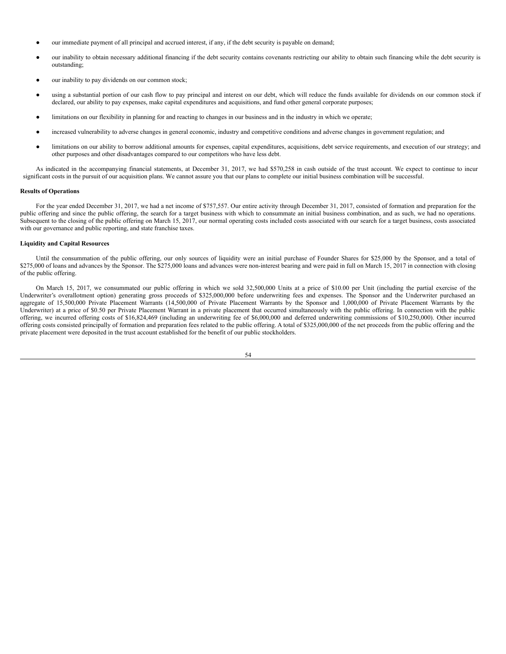- our immediate payment of all principal and accrued interest, if any, if the debt security is payable on demand;
- our inability to obtain necessary additional financing if the debt security contains covenants restricting our ability to obtain such financing while the debt security is outstanding;
- our inability to pay dividends on our common stock;
- using a substantial portion of our cash flow to pay principal and interest on our debt, which will reduce the funds available for dividends on our common stock if declared, our ability to pay expenses, make capital expenditures and acquisitions, and fund other general corporate purposes;
- limitations on our flexibility in planning for and reacting to changes in our business and in the industry in which we operate;
- increased vulnerability to adverse changes in general economic, industry and competitive conditions and adverse changes in government regulation; and
- limitations on our ability to borrow additional amounts for expenses, capital expenditures, acquisitions, debt service requirements, and execution of our strategy; and other purposes and other disadvantages compared to our competitors who have less debt.

As indicated in the accompanying financial statements, at December 31, 2017, we had \$570,258 in cash outside of the trust account. We expect to continue to incur significant costs in the pursuit of our acquisition plans. We cannot assure you that our plans to complete our initial business combination will be successful.

#### **Results of Operations**

For the year ended December 31, 2017, we had a net income of \$757,557. Our entire activity through December 31, 2017, consisted of formation and preparation for the public offering and since the public offering, the search for a target business with which to consummate an initial business combination, and as such, we had no operations. Subsequent to the closing of the public offering on March 15, 2017, our normal operating costs included costs associated with our search for a target business, costs associated with our governance and public reporting, and state franchise taxes.

#### **Liquidity and Capital Resources**

Until the consummation of the public offering, our only sources of liquidity were an initial purchase of Founder Shares for \$25,000 by the Sponsor, and a total of \$275,000 of loans and advances by the Sponsor. The \$275,000 loans and advances were non-interest bearing and were paid in full on March 15, 2017 in connection with closing of the public offering.

On March 15, 2017, we consummated our public offering in which we sold 32,500,000 Units at a price of \$10.00 per Unit (including the partial exercise of the Underwriter's overallotment option) generating gross proceeds of \$325,000,000 before underwriting fees and expenses. The Sponsor and the Underwriter purchased an aggregate of 15,500,000 Private Placement Warrants (14,500,000 of Private Placement Warrants by the Sponsor and 1,000,000 of Private Placement Warrants by the Underwriter) at a price of \$0.50 per Private Placement Warrant in a private placement that occurred simultaneously with the public offering. In connection with the public offering, we incurred offering costs of \$16,824,469 (including an underwriting fee of \$6,000,000 and deferred underwriting commissions of \$10,250,000). Other incurred offering costs consisted principally of formation and preparation fees related to the public offering. A total of \$325,000,000 of the net proceeds from the public offering and the private placement were deposited in the trust account established for the benefit of our public stockholders.

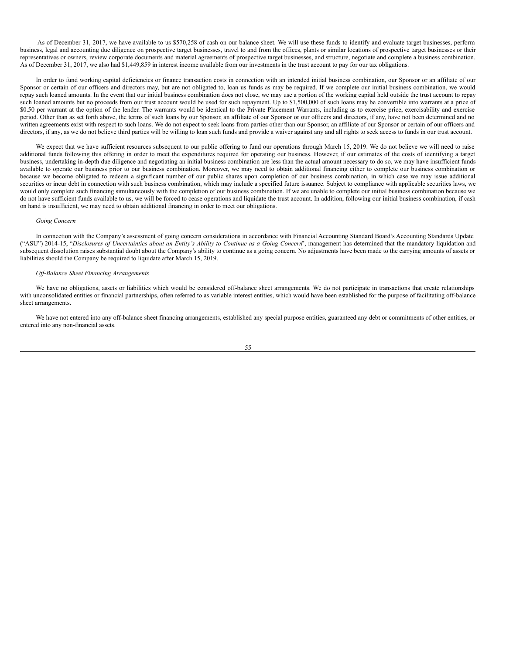As of December 31, 2017, we have available to us \$570,258 of cash on our balance sheet. We will use these funds to identify and evaluate target businesses, perform business, legal and accounting due diligence on prospective target businesses, travel to and from the offices, plants or similar locations of prospective target businesses or their representatives or owners, review corporate documents and material agreements of prospective target businesses, and structure, negotiate and complete a business combination. As of December 31, 2017, we also had \$1,449,859 in interest income available from our investments in the trust account to pay for our tax obligations.

In order to fund working capital deficiencies or finance transaction costs in connection with an intended initial business combination, our Sponsor or an affiliate of our Sponsor or certain of our officers and directors may, but are not obligated to, loan us funds as may be required. If we complete our initial business combination, we would repay such loaned amounts. In the event that our initial business combination does not close, we may use a portion of the working capital held outside the trust account to repay such loaned amounts but no proceeds from our trust account would be used for such repayment. Up to \$1,500,000 of such loans may be convertible into warrants at a price of \$0.50 per warrant at the option of the lender. The warrants would be identical to the Private Placement Warrants, including as to exercise price, exercisability and exercise period. Other than as set forth above, the terms of such loans by our Sponsor, an affiliate of our Sponsor or our officers and directors, if any, have not been determined and no written agreements exist with respect to such loans. We do not expect to seek loans from parties other than our Sponsor, an affiliate of our Sponsor or certain of our officers and directors, if any, as we do not believe third parties will be willing to loan such funds and provide a waiver against any and all rights to seek access to funds in our trust account.

We expect that we have sufficient resources subsequent to our public offering to fund our operations through March 15, 2019. We do not believe we will need to raise additional funds following this offering in order to meet the expenditures required for operating our business. However, if our estimates of the costs of identifying a target business, undertaking in-depth due diligence and negotiating an initial business combination are less than the actual amount necessary to do so, we may have insufficient funds available to operate our business prior to our business combination. Moreover, we may need to obtain additional financing either to complete our business combination or because we become obligated to redeem a significant number of our public shares upon completion of our business combination, in which case we may issue additional securities or incur debt in connection with such business combination, which may include a specified future issuance. Subject to compliance with applicable securities laws, we would only complete such financing simultaneously with the completion of our business combination. If we are unable to complete our initial business combination because we do not have sufficient funds available to us, we will be forced to cease operations and liquidate the trust account. In addition, following our initial business combination, if cash on hand is insufficient, we may need to obtain additional financing in order to meet our obligations.

#### *Going Concern*

In connection with the Company's assessment of going concern considerations in accordance with Financial Accounting Standard Board's Accounting Standards Update ("ASU") 2014-15, "Disclosures of Uncertainties about an Entity's Ability to Continue as a Going Concern", management has determined that the mandatory liquidation and subsequent dissolution raises substantial doubt about the Company's ability to continue as a going concern. No adjustments have been made to the carrying amounts of assets or liabilities should the Company be required to liquidate after March 15, 2019.

## *Of -Balance Sheet Financing Arrangements*

We have no obligations, assets or liabilities which would be considered off-balance sheet arrangements. We do not participate in transactions that create relationships with unconsolidated entities or financial partnerships, often referred to as variable interest entities, which would have been established for the purpose of facilitating off-balance sheet arrangements.

We have not entered into any off-balance sheet financing arrangements, established any special purpose entities, guaranteed any debt or commitments of other entities, or entered into any non-financial assets.

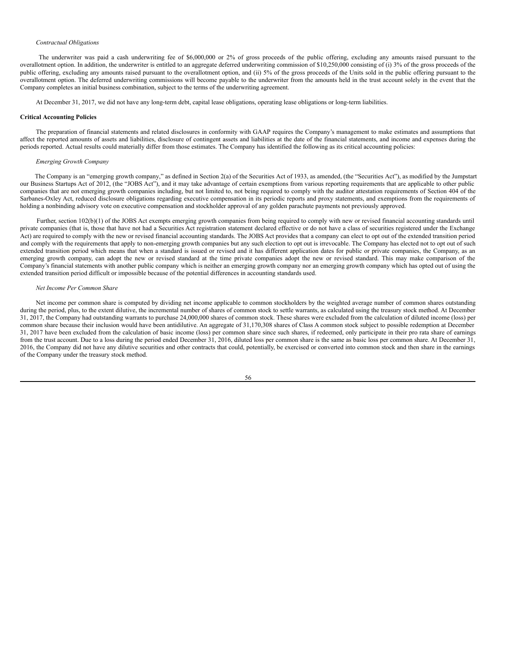#### *Contractual Obligations*

The underwriter was paid a cash underwriting fee of \$6,000,000 or 2% of gross proceeds of the public offering, excluding any amounts raised pursuant to the overallotment option. In addition, the underwriter is entitled to an aggregate deferred underwriting commission of \$10,250,000 consisting of (i) 3% of the gross proceeds of the public offering, excluding any amounts raised pursuant to the overallotment option, and (ii) 5% of the gross proceeds of the Units sold in the public offering pursuant to the overallotment option. The deferred underwriting commissions will become payable to the underwriter from the amounts held in the trust account solely in the event that the Company completes an initial business combination, subject to the terms of the underwriting agreement.

At December 31, 2017, we did not have any long-term debt, capital lease obligations, operating lease obligations or long-term liabilities.

#### **Critical Accounting Policies**

The preparation of financial statements and related disclosures in conformity with GAAP requires the Company's management to make estimates and assumptions that affect the reported amounts of assets and liabilities, disclosure of contingent assets and liabilities at the date of the financial statements, and income and expenses during the periods reported. Actual results could materially differ from those estimates. The Company has identified the following as its critical accounting policies:

### *Emerging Growth Company*

The Company is an "emerging growth company," as defined in Section 2(a) of the Securities Act of 1933, as amended, (the "Securities Act"), as modified by the Jumpstart our Business Startups Act of 2012, (the "JOBS Act"), and it may take advantage of certain exemptions from various reporting requirements that are applicable to other public companies that are not emerging growth companies including, but not limited to, not being required to comply with the auditor attestation requirements of Section 404 of the Sarbanes-Oxley Act, reduced disclosure obligations regarding executive compensation in its periodic reports and proxy statements, and exemptions from the requirements of holding a nonbinding advisory vote on executive compensation and stockholder approval of any golden parachute payments not previously approved.

Further, section 102(b)(1) of the JOBS Act exempts emerging growth companies from being required to comply with new or revised financial accounting standards until private companies (that is, those that have not had a Securities Act registration statement declared effective or do not have a class of securities registered under the Exchange Act) are required to comply with the new or revised financial accounting standards. The JOBS Act provides that a company can elect to opt out of the extended transition period and comply with the requirements that apply to non-emerging growth companies but any such election to opt out is irrevocable. The Company has elected not to opt out of such extended transition period which means that when a standard is issued or revised and it has different application dates for public or private companies, the Company, as an emerging growth company, can adopt the new or revised standard at the time private companies adopt the new or revised standard. This may make comparison of the Company's financial statements with another public company which is neither an emerging growth company nor an emerging growth company which has opted out of using the extended transition period difficult or impossible because of the potential differences in accounting standards used.

#### *Net Income Per Common Share*

Net income per common share is computed by dividing net income applicable to common stockholders by the weighted average number of common shares outstanding during the period, plus, to the extent dilutive, the incremental number of shares of common stock to settle warrants, as calculated using the treasury stock method. At December 31, 2017, the Company had outstanding warrants to purchase 24,000,000 shares of common stock. These shares were excluded from the calculation of diluted income (loss) per common share because their inclusion would have been antidilutive. An aggregate of 31,170,308 shares of Class A common stock subject to possible redemption at December 31, 2017 have been excluded from the calculation of basic income (loss) per common share since such shares, if redeemed, only participate in their pro rata share of earnings from the trust account. Due to a loss during the period ended December 31, 2016, diluted loss per common share is the same as basic loss per common share. At December 31, 2016, the Company did not have any dilutive securities and other contracts that could, potentially, be exercised or converted into common stock and then share in the earnings of the Company under the treasury stock method.

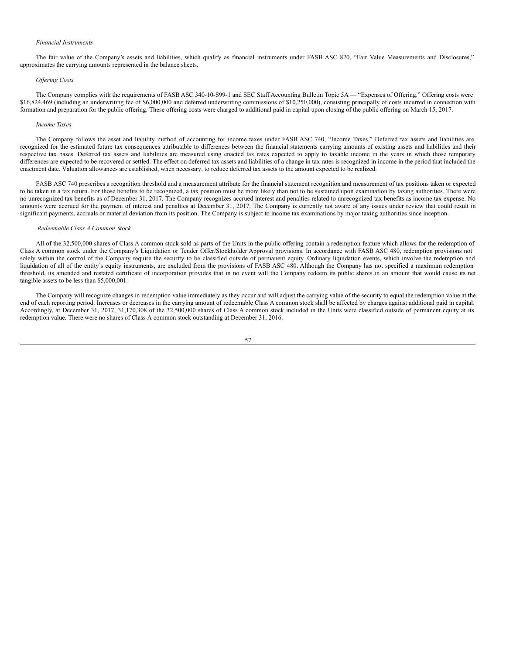### *Financial Instruments*

The fair value of the Company's assets and liabilities, which qualify as financial instruments under FASB ASC 820, "Fair Value Measurements and Disclosures," approximates the carrying amounts represented in the balance sheets.

### *Of ering Costs*

The Company complies with the requirements of FASB ASC 340-10-S99-1 and SEC Staff Accounting Bulletin Topic 5A — "Expenses of Offering." Offering costs were \$16,824,469 (including an underwriting fee of \$6,000,000 and deferred underwriting commissions of \$10,250,000), consisting principally of costs incurred in connection with formation and preparation for the public offering. These offering costs were charged to additional paid in capital upon closing of the public offering on March 15, 2017.

#### *Income Taxes*

The Company follows the asset and liability method of accounting for income taxes under FASB ASC 740, "Income Taxes." Deferred tax assets and liabilities are recognized for the estimated future tax consequences attributable to differences between the financial statements carrying amounts of existing assets and liabilities and their respective tax bases. Deferred tax assets and liabilities are measured using enacted tax rates expected to apply to taxable income in the years in which those temporary differences are expected to be recovered or settled. The effect on deferred tax assets and liabilities of a change in tax rates is recognized in income in the period that included the enactment date. Valuation allowances are established, when necessary, to reduce deferred tax assets to the amount expected to be realized.

FASB ASC 740 prescribes a recognition threshold and a measurement attribute for the financial statement recognition and measurement of tax positions taken or expected to be taken in a tax return. For those benefits to be recognized, a tax position must be more likely than not to be sustained upon examination by taxing authorities. There were no unrecognized tax benefits as of December 31, 2017. The Company recognizes accrued interest and penalties related to unrecognized tax benefits as income tax expense. No amounts were accrued for the payment of interest and penalties at December 31, 2017. The Company is currently not aware of any issues under review that could result in significant payments, accruals or material deviation from its position. The Company is subject to income tax examinations by major taxing authorities since inception.

#### *Redeemable Class A Common Stock*

All of the 32,500,000 shares of Class A common stock sold as parts of the Units in the public offering contain a redemption feature which allows for the redemption of Class A common stock under the Company's Liquidation or Tender Offer/Stockholder Approval provisions. In accordance with FASB ASC 480, redemption provisions not solely within the control of the Company require the security to be classified outside of permanent equity. Ordinary liquidation events, which involve the redemption and liquidation of all of the entity's equity instruments, are excluded from the provisions of FASB ASC 480. Although the Company has not specified a maximum redemption threshold, its amended and restated certificate of incorporation provides that in no event will the Company redeem its public shares in an amount that would cause its net tangible assets to be less than \$5,000,001.

The Company will recognize changes in redemption value immediately as they occur and will adjust the carrying value of the security to equal the redemption value at the end of each reporting period. Increases or decreases in the carrying amount of redeemable Class A common stock shall be affected by charges against additional paid in capital. Accordingly, at December 31, 2017, 31,170,308 of the 32,500,000 shares of Class A common stock included in the Units were classified outside of permanent equity at its redemption value. There were no shares of Class A common stock outstanding at December 31, 2016.

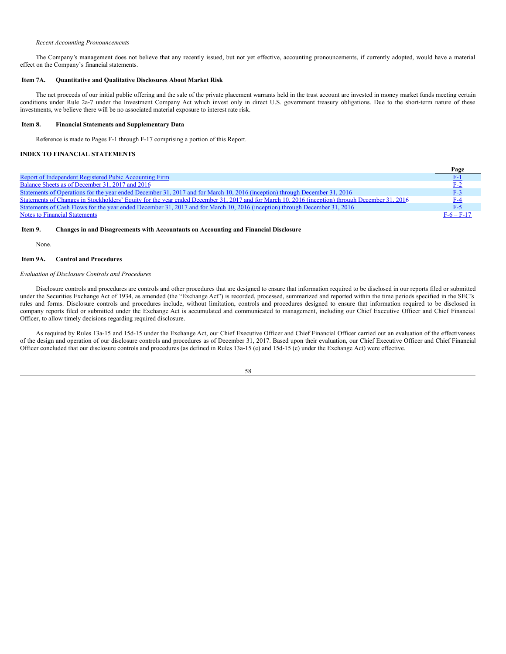#### *Recent Accounting Pronouncements*

The Company's management does not believe that any recently issued, but not yet effective, accounting pronouncements, if currently adopted, would have a material effect on the Company's financial statements.

### **Item 7A. Quantitative and Qualitative Disclosures About Market Risk**

The net proceeds of our initial public offering and the sale of the private placement warrants held in the trust account are invested in money market funds meeting certain conditions under Rule 2a-7 under the Investment Company Act which invest only in direct U.S. government treasury obligations. Due to the short-term nature of these investments, we believe there will be no associated material exposure to interest rate risk.

## **Item 8. Financial Statements and Supplementary Data**

Reference is made to Pages F-1 through F-17 comprising a portion of this Report.

## **INDEX TO FINANCIAL STATEMENTS**

|                                                                                                                                                 | Page       |
|-------------------------------------------------------------------------------------------------------------------------------------------------|------------|
| Report of Independent Registered Pubic Accounting Firm                                                                                          | -F-1       |
| Balance Sheets as of December 31, 2017 and 2016                                                                                                 | $F-2$      |
| Statements of Operations for the year ended December 31, 2017 and for March 10, 2016 (inception) through December 31, 2016                      | F-3        |
| Statements of Changes in Stockholders' Equity for the year ended December 31, 2017 and for March 10, 2016 (inception) through December 31, 2016 |            |
| Statements of Cash Flows for the year ended December 31, 2017 and for March 10, 2016 (inception) through December 31, 2016                      | F-5        |
| <b>Notes to Financial Statements</b>                                                                                                            | $F-6-F-17$ |

#### **Item 9. Changes in and Disagreements with Accountants on Accounting and Financial Disclosure**

None.

## **Item 9A. Control and Procedures**

#### *Evaluation of Disclosure Controls and Procedures*

Disclosure controls and procedures are controls and other procedures that are designed to ensure that information required to be disclosed in our reports filed or submitted under the Securities Exchange Act of 1934, as amended (the "Exchange Act") is recorded, processed, summarized and reported within the time periods specified in the SEC's rules and forms. Disclosure controls and procedures include, without limitation, controls and procedures designed to ensure that information required to be disclosed in company reports filed or submitted under the Exchange Act is accumulated and communicated to management, including our Chief Executive Officer and Chief Financial Officer, to allow timely decisions regarding required disclosure.

As required by Rules 13a-15 and 15d-15 under the Exchange Act, our Chief Executive Officer and Chief Financial Officer carried out an evaluation of the effectiveness of the design and operation of our disclosure controls and procedures as of December 31, 2017. Based upon their evaluation, our Chief Executive Officer and Chief Financial Officer concluded that our disclosure controls and procedures (as defined in Rules 13a-15 (e) and 15d-15 (e) under the Exchange Act) were effective.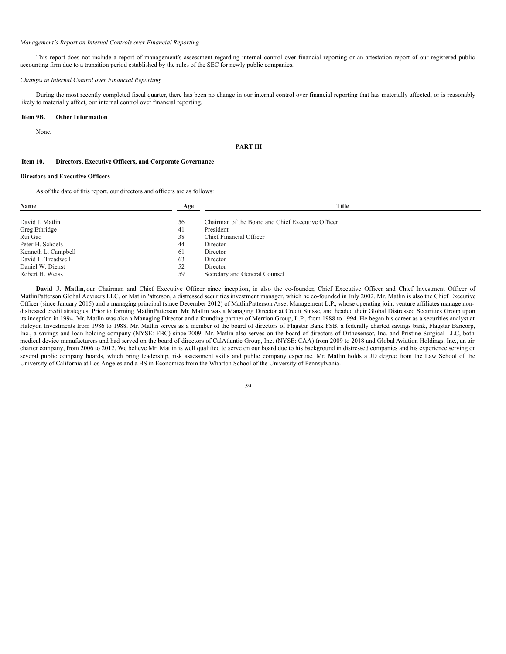#### *Management's Report on Internal Controls over Financial Reporting*

This report does not include a report of management's assessment regarding internal control over financial reporting or an attestation report of our registered public accounting firm due to a transition period established by the rules of the SEC for newly public companies.

### *Changes in Internal Control over Financial Reporting*

During the most recently completed fiscal quarter, there has been no change in our internal control over financial reporting that has materially affected, or is reasonably likely to materially affect, our internal control over financial reporting.

## **Item 9B. Other Information**

None.

## **PART III**

## **Item 10. Directors, Executive Officers, and Corporate Governance**

## **Directors and Executive Officers**

As of the date of this report, our directors and officers are as follows:

| Name                | Age | <b>Title</b>                                      |  |  |  |
|---------------------|-----|---------------------------------------------------|--|--|--|
|                     |     |                                                   |  |  |  |
| David J. Matlin     | 56  | Chairman of the Board and Chief Executive Officer |  |  |  |
| Greg Ethridge       | 41  | President                                         |  |  |  |
| Rui Gao             | 38  | Chief Financial Officer                           |  |  |  |
| Peter H. Schoels    | 44  | Director                                          |  |  |  |
| Kenneth L. Campbell | 61  | Director                                          |  |  |  |
| David L. Treadwell  | 63  | Director                                          |  |  |  |
| Daniel W. Dienst    | 52  | Director                                          |  |  |  |
| Robert H. Weiss     | 59  | Secretary and General Counsel                     |  |  |  |

David J. Matlin, our Chairman and Chief Executive Officer since inception, is also the co-founder, Chief Executive Officer and Chief Investment Officer of MatlinPatterson Global Advisers LLC, or MatlinPatterson, a distressed securities investment manager, which he co-founded in July 2002. Mr. Matlin is also the Chief Executive Officer (since January 2015) and a managing principal (since December 2012) of MatlinPatterson Asset Management L.P., whose operating joint venture affiliates manage nondistressed credit strategies. Prior to forming MatlinPatterson, Mr. Matlin was a Managing Director at Credit Suisse, and headed their Global Distressed Securities Group upon its inception in 1994. Mr. Matlin was also a Managing Director and a founding partner of Merrion Group, L.P., from 1988 to 1994. He began his career as a securities analyst at Halcyon Investments from 1986 to 1988. Mr. Matlin serves as a member of the board of directors of Flagstar Bank FSB, a federally charted savings bank, Flagstar Bancorp, Inc., a savings and loan holding company (NYSE: FBC) since 2009. Mr. Matlin also serves on the board of directors of Orthosensor, Inc. and Pristine Surgical LLC, both medical device manufacturers and had served on the board of directors of CalAtlantic Group, Inc. (NYSE: CAA) from 2009 to 2018 and Global Aviation Holdings, Inc., an air charter company, from 2006 to 2012. We believe Mr. Matlin is well qualified to serve on our board due to his background in distressed companies and his experience serving on several public company boards, which bring leadership, risk assessment skills and public company expertise. Mr. Matlin holds a JD degree from the Law School of the University of California at Los Angeles and a BS in Economics from the Wharton School of the University of Pennsylvania.

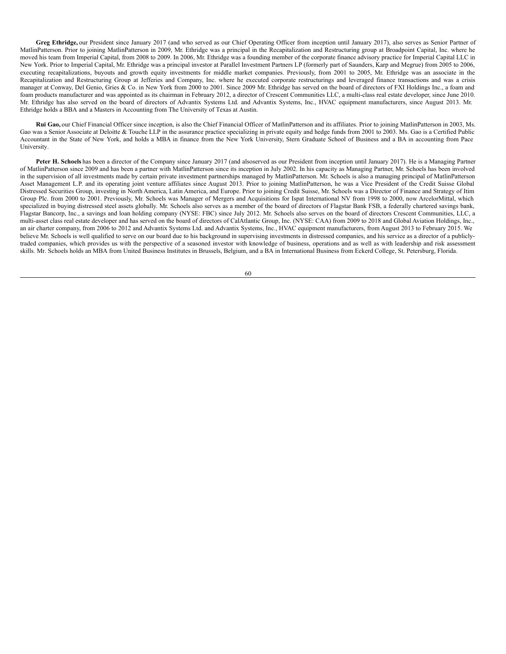**Greg Ethridge,** our President since January 2017 (and who served as our Chief Operating Officer from inception until January 2017), also serves as Senior Partner of MatlinPatterson. Prior to joining MatlinPatterson in 2009, Mr. Ethridge was a principal in the Recapitalization and Restructuring group at Broadpoint Capital, Inc. where he moved his team from Imperial Capital, from 2008 to 2009. In 2006, Mr. Ethridge was a founding member of the corporate finance advisory practice for Imperial Capital LLC in New York. Prior to Imperial Capital, Mr. Ethridge was a principal investor at Parallel Investment Partners LP (formerly part of Saunders, Karp and Megrue) from 2005 to 2006, executing recapitalizations, buyouts and growth equity investments for middle market companies. Previously, from 2001 to 2005, Mr. Ethridge was an associate in the Recapitalization and Restructuring Group at Jefferies and Company, Inc. where he executed corporate restructurings and leveraged finance transactions and was a crisis manager at Conway, Del Genio, Gries & Co. in New York from 2000 to 2001. Since 2009 Mr. Ethridge has served on the board of directors of FXI Holdings Inc., a foam and foam products manufacturer and was appointed as its chairman in February 2012, a director of Crescent Communities LLC, a multi-class real estate developer, since June 2010. Mr. Ethridge has also served on the board of directors of Advantix Systems Ltd. and Advantix Systems, Inc., HVAC equipment manufacturers, since August 2013. Mr. Ethridge holds a BBA and a Masters in Accounting from The University of Texas at Austin.

**Rui Gao,** our Chief Financial Officer since inception, is also the Chief Financial Officer of MatlinPatterson and its affiliates. Prior to joining MatlinPatterson in 2003, Ms. Gao was a Senior Associate at Deloitte & Touche LLP in the assurance practice specializing in private equity and hedge funds from 2001 to 2003. Ms. Gao is a Certified Public Accountant in the State of New York, and holds a MBA in finance from the New York University, Stern Graduate School of Business and a BA in accounting from Pace University.

**Peter H. Schoels** has been a director of the Company since January 2017 (and alsoserved as our President from inception until January 2017). He is a Managing Partner of MatlinPatterson since 2009 and has been a partner with MatlinPatterson since its inception in July 2002. In his capacity as Managing Partner, Mr. Schoels has been involved in the supervision of all investments made by certain private investment partnerships managed by MatlinPatterson. Mr. Schoels is also a managing principal of MatlinPatterson Asset Management L.P. and its operating joint venture affiliates since August 2013. Prior to joining MatlinPatterson, he was a Vice President of the Credit Suisse Global Distressed Securities Group, investing in North America, Latin America, and Europe. Prior to joining Credit Suisse, Mr. Schoels was a Director of Finance and Strategy of Itim Group Plc. from 2000 to 2001. Previously, Mr. Schoels was Manager of Mergers and Acquisitions for Ispat International NV from 1998 to 2000, now ArcelorMittal, which specialized in buying distressed steel assets globally. Mr. Schoels also serves as a member of the board of directors of Flagstar Bank FSB, a federally chartered savings bank, Flagstar Bancorp, Inc., a savings and loan holding company (NYSE: FBC) since July 2012. Mr. Schoels also serves on the board of directors Crescent Communities, LLC, a multi-asset class real estate developer and has served on the board of directors of CalAtlantic Group, Inc. (NYSE: CAA) from 2009 to 2018 and Global Aviation Holdings, Inc., an air charter company, from 2006 to 2012 and Advantix Systems Ltd. and Advantix Systems, Inc., HVAC equipment manufacturers, from August 2013 to February 2015. We believe Mr. Schoels is well qualified to serve on our board due to his background in supervising investments in distressed companies, and his service as a director of a publiclytraded companies, which provides us with the perspective of a seasoned investor with knowledge of business, operations and as well as with leadership and risk assessment skills. Mr. Schoels holds an MBA from United Business Institutes in Brussels, Belgium, and a BA in International Business from Eckerd College, St. Petersburg, Florida.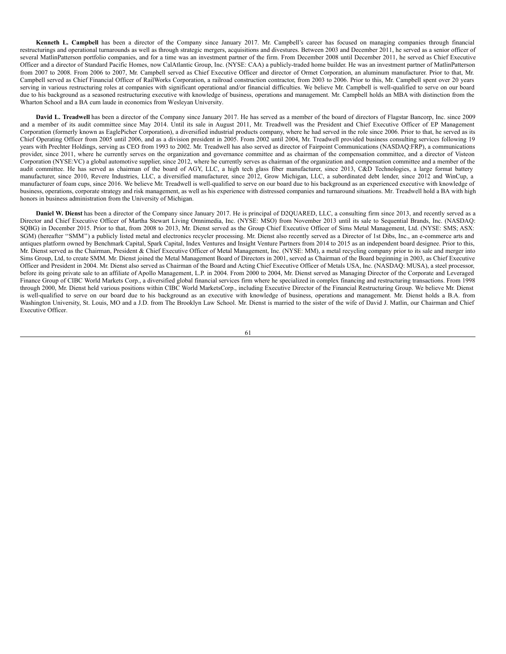**Kenneth L. Campbell** has been a director of the Company since January 2017. Mr. Campbell's career has focused on managing companies through financial restructurings and operational turnarounds as well as through strategic mergers, acquisitions and divestures. Between 2003 and December 2011, he served as a senior officer of several MatlinPatterson portfolio companies, and for a time was an investment partner of the firm. From December 2008 until December 2011, he served as Chief Executive Officer and a director of Standard Pacific Homes, now CalAtlantic Group, Inc. (NYSE: CAA) a publicly-traded home builder. He was an investment partner of MatlinPatterson from 2007 to 2008. From 2006 to 2007, Mr. Campbell served as Chief Executive Officer and director of Ormet Corporation, an aluminum manufacturer. Prior to that, Mr. Campbell served as Chief Financial Officer of RailWorks Corporation, a railroad construction contractor, from 2003 to 2006. Prior to this, Mr. Campbell spent over 20 years serving in various restructuring roles at companies with significant operational and/or financial difficulties. We believe Mr. Campbell is well-qualified to serve on our board due to his background as a seasoned restructuring executive with knowledge of business, operations and management. Mr. Campbell holds an MBA with distinction from the Wharton School and a BA cum laude in economics from Wesleyan University.

**David L. Treadwell** has been a director of the Company since January 2017. He has served as a member of the board of directors of Flagstar Bancorp, Inc. since 2009 and a member of its audit committee since May 2014. Until its sale in August 2011, Mr. Treadwell was the President and Chief Executive Officer of EP Management Corporation (formerly known as EaglePicher Corporation), a diversified industrial products company, where he had served in the role since 2006. Prior to that, he served as its Chief Operating Officer from 2005 until 2006, and as a division president in 2005. From 2002 until 2004, Mr. Treadwell provided business consulting services following 19 years with Prechter Holdings, serving as CEO from 1993 to 2002. Mr. Treadwell has also served as director of Fairpoint Communications (NASDAQ:FRP), a communications provider, since 2011, where he currently serves on the organization and governance committee and as chairman of the compensation committee, and a director of Visteon Corporation (NYSE:VC) a global automotive supplier, since 2012, where he currently serves as chairman of the organization and compensation committee and a member of the audit committee. He has served as chairman of the board of AGY, LLC, a high tech glass fiber manufacturer, since 2013, C&D Technologies, a large format battery manufacturer, since 2010, Revere Industries, LLC, a diversified manufacturer, since 2012, Grow Michigan, LLC, a subordinated debt lender, since 2012 and WinCup, a manufacturer of foam cups, since 2016. We believe Mr. Treadwell is well-qualified to serve on our board due to his background as an experienced executive with knowledge of business, operations, corporate strategy and risk management, as well as his experience with distressed companies and turnaround situations. Mr. Treadwell hold a BA with high honors in business administration from the University of Michigan.

**Daniel W. Dienst** has been a director of the Company since January 2017. He is principal of D2QUARED, LLC, a consulting firm since 2013, and recently served as a Director and Chief Executive Officer of Martha Stewart Living Omnimedia, Inc. (NYSE: MSO) from November 2013 until its sale to Sequential Brands, Inc. (NASDAQ: SQBG) in December 2015. Prior to that, from 2008 to 2013, Mr. Dienst served as the Group Chief Executive Officer of Sims Metal Management, Ltd. (NYSE: SMS; ASX: SGM) (hereafter ''SMM'') a publicly listed metal and electronics recycler processing. Mr. Dienst also recently served as a Director of 1st Dibs, Inc., an e-commerce arts and antiques platform owned by Benchmark Capital, Spark Capital, Index Ventures and Insight Venture Partners from 2014 to 2015 as an independent board designee. Prior to this, Mr. Dienst served as the Chairman, President & Chief Executive Officer of Metal Management, Inc. (NYSE: MM), a metal recycling company prior to its sale and merger into Sims Group, Ltd, to create SMM. Mr. Dienst joined the Metal Management Board of Directors in 2001, served as Chairman of the Board beginning in 2003, as Chief Executive Officer and President in 2004. Mr. Dienst also served as Chairman of the Board and Acting Chief Executive Officer of Metals USA, Inc. (NASDAQ: MUSA), a steel processor, before its going private sale to an affiliate of Apollo Management, L.P. in 2004. From 2000 to 2004, Mr. Dienst served as Managing Director of the Corporate and Leveraged Finance Group of CIBC World Markets Corp., a diversified global financial services firm where he specialized in complex financing and restructuring transactions. From 1998 through 2000, Mr. Dienst held various positions within CIBC World MarketsCorp., including Executive Director of the Financial Restructuring Group. We believe Mr. Dienst is well-qualified to serve on our board due to his background as an executive with knowledge of business, operations and management. Mr. Dienst holds a B.A. from Washington University, St. Louis, MO and a J.D. from The Brooklyn Law School. Mr. Dienst is married to the sister of the wife of David J. Matlin, our Chairman and Chief Executive Officer.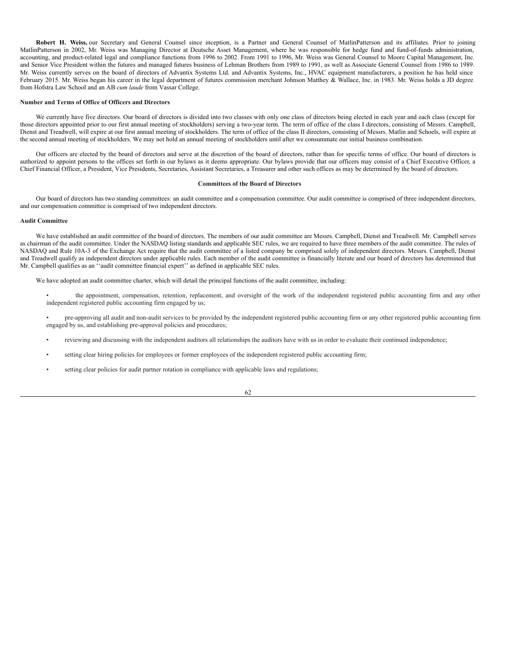**Robert H. Weiss,** our Secretary and General Counsel since inception, is a Partner and General Counsel of MatlinPatterson and its affiliates. Prior to joining MatlinPatterson in 2002, Mr. Weiss was Managing Director at Deutsche Asset Management, where he was responsible for hedge fund and fund-of-funds administration, accounting, and product-related legal and compliance functions from 1996 to 2002. From 1991 to 1996, Mr. Weiss was General Counsel to Moore Capital Management, Inc. and Senior Vice President within the futures and managed futures business of Lehman Brothers from 1989 to 1991, as well as Associate General Counsel from 1986 to 1989. Mr. Weiss currently serves on the board of directors of Advantix Systems Ltd. and Advantix Systems, Inc., HVAC equipment manufacturers, a position he has held since February 2015. Mr. Weiss began his career in the legal department of futures commission merchant Johnson Matthey & Wallace, Inc. in 1983. Mr. Weiss holds a JD degree from Hofstra Law School and an AB *cum laude* from Vassar College.

#### **Number and Terms of Office of Officers and Directors**

We currently have five directors. Our board of directors is divided into two classes with only one class of directors being elected in each year and each class (except for those directors appointed prior to our first annual meeting of stockholders) serving a two-year term. The term of office of the class I directors, consisting of Messrs. Campbell, Dienst and Treadwell, will expire at our first annual meeting of stockholders. The term of office of the class II directors, consisting of Messrs. Matlin and Schoels, will expire at the second annual meeting of stockholders. We may not hold an annual meeting of stockholders until after we consummate our initial business combination.

Our officers are elected by the board of directors and serve at the discretion of the board of directors, rather than for specific terms of office. Our board of directors is authorized to appoint persons to the offices set forth in our bylaws as it deems appropriate. Our bylaws provide that our officers may consist of a Chief Executive Officer, a Chief Financial Officer, a President, Vice Presidents, Secretaries, Assistant Secretaries, a Treasurer and other such offices as may be determined by the board of directors.

## **Committees of the Board of Directors**

Our board of directors has two standing committees: an audit committee and a compensation committee. Our audit committee is comprised of three independent directors, and our compensation committee is comprised of two independent directors.

## **Audit Committee**

We have established an audit committee of the board of directors. The members of our audit committee are Messrs. Campbell, Dienst and Treadwell. Mr. Campbell serves as chairman of the audit committee. Under the NASDAQ listing standards and applicable SEC rules, we are required to have three members of the audit committee. The rules of NASDAQ and Rule 10A-3 of the Exchange Act require that the audit committee of a listed company be comprised solely of independent directors. Messrs. Campbell, Dienst and Treadwell qualify as independent directors under applicable rules. Each member of the audit committee is financially literate and our board of directors has determined that Mr. Campbell qualifies as an ''audit committee financial expert'' as defined in applicable SEC rules.

We have adopted an audit committee charter, which will detail the principal functions of the audit committee, including:

- the appointment, compensation, retention, replacement, and oversight of the work of the independent registered public accounting firm and any other independent registered public accounting firm engaged by us;
- pre-approving all audit and non-audit services to be provided by the independent registered public accounting firm or any other registered public accounting firm engaged by us, and establishing pre-approval policies and procedures;
- reviewing and discussing with the independent auditors all relationships the auditors have with us in order to evaluate their continued independence;
- setting clear hiring policies for employees or former employees of the independent registered public accounting firm;
- setting clear policies for audit partner rotation in compliance with applicable laws and regulations;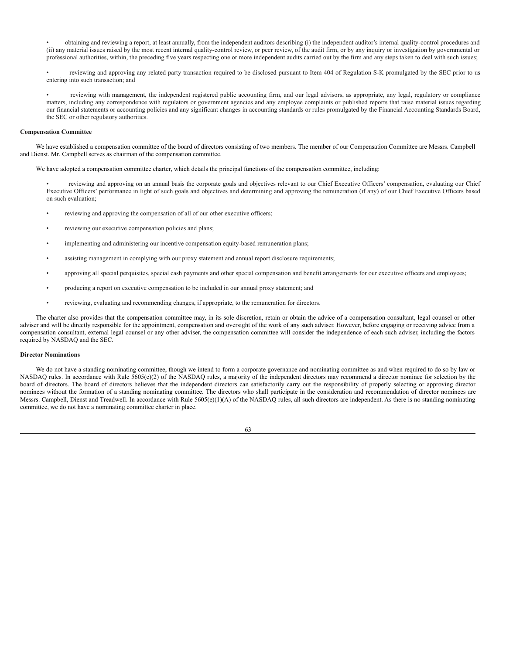• obtaining and reviewing a report, at least annually, from the independent auditors describing (i) the independent auditor's internal quality-control procedures and (ii) any material issues raised by the most recent internal quality-control review, or peer review, of the audit firm, or by any inquiry or investigation by governmental or professional authorities, within, the preceding five years respecting one or more independent audits carried out by the firm and any steps taken to deal with such issues;

• reviewing and approving any related party transaction required to be disclosed pursuant to Item 404 of Regulation S-K promulgated by the SEC prior to us entering into such transaction; and

• reviewing with management, the independent registered public accounting firm, and our legal advisors, as appropriate, any legal, regulatory or compliance matters, including any correspondence with regulators or government agencies and any employee complaints or published reports that raise material issues regarding our financial statements or accounting policies and any significant changes in accounting standards or rules promulgated by the Financial Accounting Standards Board, the SEC or other regulatory authorities.

## **Compensation Committee**

We have established a compensation committee of the board of directors consisting of two members. The member of our Compensation Committee are Messrs. Campbell and Dienst. Mr. Campbell serves as chairman of the compensation committee.

We have adopted a compensation committee charter, which details the principal functions of the compensation committee, including:

reviewing and approving on an annual basis the corporate goals and objectives relevant to our Chief Executive Officers' compensation, evaluating our Chief Executive Officers' performance in light of such goals and objectives and determining and approving the remuneration (if any) of our Chief Executive Officers based on such evaluation;

- reviewing and approving the compensation of all of our other executive officers;
- reviewing our executive compensation policies and plans;
- implementing and administering our incentive compensation equity-based remuneration plans;
- assisting management in complying with our proxy statement and annual report disclosure requirements;
- approving all special perquisites, special cash payments and other special compensation and benefit arrangements for our executive officers and employees;
- producing a report on executive compensation to be included in our annual proxy statement; and
- reviewing, evaluating and recommending changes, if appropriate, to the remuneration for directors.

The charter also provides that the compensation committee may, in its sole discretion, retain or obtain the advice of a compensation consultant, legal counsel or other adviser and will be directly responsible for the appointment, compensation and oversight of the work of any such adviser. However, before engaging or receiving advice from a compensation consultant, external legal counsel or any other adviser, the compensation committee will consider the independence of each such adviser, including the factors required by NASDAQ and the SEC.

## **Director Nominations**

We do not have a standing nominating committee, though we intend to form a corporate governance and nominating committee as and when required to do so by law or NASDAQ rules. In accordance with Rule 5605(e)(2) of the NASDAQ rules, a majority of the independent directors may recommend a director nominee for selection by the board of directors. The board of directors believes that the independent directors can satisfactorily carry out the responsibility of properly selecting or approving director nominees without the formation of a standing nominating committee. The directors who shall participate in the consideration and recommendation of director nominees are Messrs. Campbell, Dienst and Treadwell. In accordance with Rule  $5605(e)(1)(A)$  of the NASDAQ rules, all such directors are independent. As there is no standing nominating committee, we do not have a nominating committee charter in place.

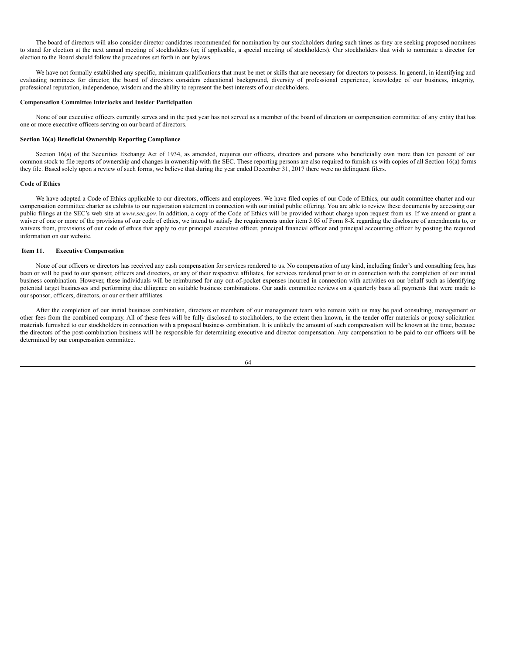The board of directors will also consider director candidates recommended for nomination by our stockholders during such times as they are seeking proposed nominees to stand for election at the next annual meeting of stockholders (or, if applicable, a special meeting of stockholders). Our stockholders that wish to nominate a director for election to the Board should follow the procedures set forth in our bylaws.

We have not formally established any specific, minimum qualifications that must be met or skills that are necessary for directors to possess. In general, in identifying and evaluating nominees for director, the board of directors considers educational background, diversity of professional experience, knowledge of our business, integrity, professional reputation, independence, wisdom and the ability to represent the best interests of our stockholders.

#### **Compensation Committee Interlocks and Insider Participation**

None of our executive officers currently serves and in the past year has not served as a member of the board of directors or compensation committee of any entity that has one or more executive officers serving on our board of directors.

### **Section 16(a) Beneficial Ownership Reporting Compliance**

Section 16(a) of the Securities Exchange Act of 1934, as amended, requires our officers, directors and persons who beneficially own more than ten percent of our common stock to file reports of ownership and changes in ownership with the SEC. These reporting persons are also required to furnish us with copies of all Section 16(a) forms they file. Based solely upon a review of such forms, we believe that during the year ended December 31, 2017 there were no delinquent filers.

## **Code of Ethics**

We have adopted a Code of Ethics applicable to our directors, officers and employees. We have filed copies of our Code of Ethics, our audit committee charter and our compensation committee charter as exhibits to our registration statement in connection with our initial public offering. You are able to review these documents by accessing our public filings at the SEC's web site at *www.sec.gov*. In addition, a copy of the Code of Ethics will be provided without charge upon request from us. If we amend or grant a waiver of one or more of the provisions of our code of ethics, we intend to satisfy the requirements under item 5.05 of Form 8-K regarding the disclosure of amendments to, or waivers from, provisions of our code of ethics that apply to our principal executive officer, principal financial officer and principal accounting officer by posting the required information on our website.

## **Item 11. Executive Compensation**

None of our officers or directors has received any cash compensation for services rendered to us. No compensation of any kind, including finder's and consulting fees, has been or will be paid to our sponsor, officers and directors, or any of their respective affiliates, for services rendered prior to or in connection with the completion of our initial business combination. However, these individuals will be reimbursed for any out-of-pocket expenses incurred in connection with activities on our behalf such as identifying potential target businesses and performing due diligence on suitable business combinations. Our audit committee reviews on a quarterly basis all payments that were made to our sponsor, officers, directors, or our or their affiliates.

After the completion of our initial business combination, directors or members of our management team who remain with us may be paid consulting, management or other fees from the combined company. All of these fees will be fully disclosed to stockholders, to the extent then known, in the tender offer materials or proxy solicitation materials furnished to our stockholders in connection with a proposed business combination. It is unlikely the amount of such compensation will be known at the time, because the directors of the post-combination business will be responsible for determining executive and director compensation. Any compensation to be paid to our officers will be determined by our compensation committee.

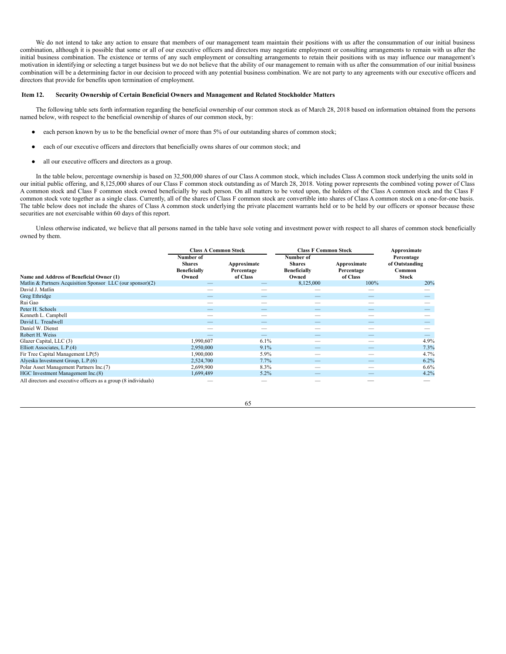We do not intend to take any action to ensure that members of our management team maintain their positions with us after the consummation of our initial business combination, although it is possible that some or all of our executive officers and directors may negotiate employment or consulting arrangements to remain with us after the initial business combination. The existence or terms of any such employment or consulting arrangements to retain their positions with us may influence our management's motivation in identifying or selecting a target business but we do not believe that the ability of our management to remain with us after the consummation of our initial business combination will be a determining factor in our decision to proceed with any potential business combination. We are not party to any agreements with our executive officers and directors that provide for benefits upon termination of employment.

# **Item 12. Security Ownership of Certain Beneficial Owners and Management and Related Stockholder Matters**

The following table sets forth information regarding the beneficial ownership of our common stock as of March 28, 2018 based on information obtained from the persons named below, with respect to the beneficial ownership of shares of our common stock, by:

- each person known by us to be the beneficial owner of more than 5% of our outstanding shares of common stock;
- each of our executive officers and directors that beneficially owns shares of our common stock; and
- all our executive officers and directors as a group.

In the table below, percentage ownership is based on 32,500,000 shares of our Class A common stock, which includes Class A common stock underlying the units sold in our initial public offering, and 8,125,000 shares of our Class F common stock outstanding as of March 28, 2018. Voting power represents the combined voting power of Class A common stock and Class F common stock owned beneficially by such person. On all matters to be voted upon, the holders of the Class A common stock and the Class F common stock vote together as a single class. Currently, all of the shares of Class F common stock are convertible into shares of Class A common stock on a one-for-one basis. The table below does not include the shares of Class A common stock underlying the private placement warrants held or to be held by our officers or sponsor because these securities are not exercisable within 60 days of this report.

Unless otherwise indicated, we believe that all persons named in the table have sole voting and investment power with respect to all shares of common stock beneficially owned by them.

|                                                                 | <b>Class A Common Stock</b>                                |                                       | <b>Class F Common Stock</b>                                |                                       | Approximate<br>Percentage<br>of Outstanding<br>Common<br><b>Stock</b> |  |
|-----------------------------------------------------------------|------------------------------------------------------------|---------------------------------------|------------------------------------------------------------|---------------------------------------|-----------------------------------------------------------------------|--|
| Name and Address of Beneficial Owner (1)                        | Number of<br><b>Shares</b><br><b>Beneficially</b><br>Owned | Approximate<br>Percentage<br>of Class | Number of<br><b>Shares</b><br><b>Beneficially</b><br>Owned | Approximate<br>Percentage<br>of Class |                                                                       |  |
| Matlin & Partners Acquisition Sponsor LLC (our sponsor)(2)      |                                                            |                                       | 8,125,000                                                  | 100%                                  | 20%                                                                   |  |
| David J. Matlin                                                 |                                                            |                                       | $\overline{\phantom{a}}$                                   |                                       |                                                                       |  |
| Greg Ethridge                                                   |                                                            |                                       |                                                            |                                       |                                                                       |  |
| Rui Gao                                                         | __                                                         | __                                    | __                                                         |                                       |                                                                       |  |
| Peter H. Schoels                                                |                                                            |                                       |                                                            |                                       |                                                                       |  |
| Kenneth L. Campbell                                             | __                                                         |                                       |                                                            |                                       |                                                                       |  |
| David L. Treadwell                                              |                                                            |                                       |                                                            |                                       |                                                                       |  |
| Daniel W. Dienst                                                |                                                            |                                       |                                                            |                                       |                                                                       |  |
| Robert H. Weiss                                                 |                                                            |                                       |                                                            |                                       |                                                                       |  |
| Glazer Capital, LLC (3)                                         | 1,990,607                                                  | 6.1%                                  |                                                            |                                       | 4.9%                                                                  |  |
| Elliott Associates, L.P.(4)                                     | 2,950,000                                                  | 9.1%                                  |                                                            |                                       | 7.3%                                                                  |  |
| Fir Tree Capital Management LP(5)                               | 1,900,000                                                  | 5.9%                                  | $\overline{\phantom{a}}$                                   |                                       | 4.7%                                                                  |  |
| Alyeska Investment Group, L.P.(6)                               | 2,524,700                                                  | 7.7%                                  |                                                            |                                       | 6.2%                                                                  |  |
| Polar Asset Management Partners Inc.(7)                         | 2,699,900                                                  | 8.3%                                  |                                                            |                                       | 6.6%                                                                  |  |
| HGC Investment Management Inc.(8)                               | 1,699,489                                                  | 5.2%                                  |                                                            |                                       | 4.2%                                                                  |  |
| All diverters and avecutive officers as a group (9 individuals) |                                                            |                                       |                                                            |                                       |                                                                       |  |

 $A$  are directors and executive officers as a group (8 individuals)

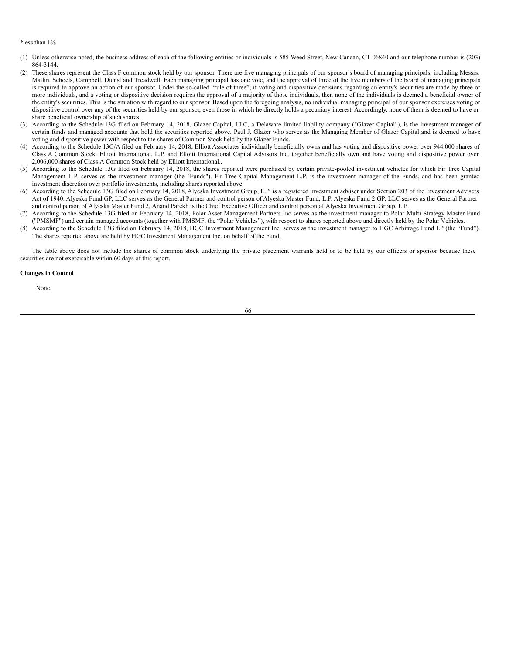#### \*less than 1%

- (1) Unless otherwise noted, the business address of each of the following entities or individuals is 585 Weed Street, New Canaan, CT 06840 and our telephone number is (203) 864-3144.
- (2) These shares represent the Class F common stock held by our sponsor. There are five managing principals of our sponsor's board of managing principals, including Messrs. Matlin, Schoels, Campbell, Dienst and Treadwell. Each managing principal has one vote, and the approval of three of the five members of the board of managing principals is required to approve an action of our sponsor. Under the so-called "rule of three", if voting and dispositive decisions regarding an entity's securities are made by three or more individuals, and a voting or dispositive decision requires the approval of a majority of those individuals, then none of the individuals is deemed a beneficial owner of the entity's securities. This is the situation with regard to our sponsor. Based upon the foregoing analysis, no individual managing principal of our sponsor exercises voting or dispositive control over any of the securities held by our sponsor, even those in which he directly holds a pecuniary interest. Accordingly, none of them is deemed to have or share beneficial ownership of such shares.
- (3) According to the Schedule 13G filed on February 14, 2018, Glazer Capital, LLC, a Delaware limited liability company ("Glazer Capital"), is the investment manager of certain funds and managed accounts that hold the securities reported above. Paul J. Glazer who serves as the Managing Member of Glazer Capital and is deemed to have voting and dispositive power with respect to the shares of Common Stock held by the Glazer Funds.
- (4) According to the Schedule 13G/A filed on February 14, 2018, Elliott Associates individually beneficially owns and has voting and dispositive power over 944,000 shares of Class A Common Stock. Elliott International, L.P. and Elloitt International Capital Advisors Inc. together beneficially own and have voting and dispositive power over 2,006,000 shares of Class A Common Stock held by Elliott International..
- (5) According to the Schedule 13G filed on February 14, 2018, the shares reported were purchased by certain private-pooled investment vehicles for which Fir Tree Capital Management L.P. serves as the investment manager (the "Funds"). Fir Tree Capital Management L.P. is the investment manager of the Funds, and has been granted investment discretion over portfolio investments, including shares reported above.
- (6) According to the Schedule 13G filed on February 14, 2018, Alyeska Investment Group, L.P. is a registered investment adviser under Section 203 of the Investment Advisers Act of 1940. Alyeska Fund GP, LLC serves as the General Partner and control person of Alyeska Master Fund, L.P. Alyeska Fund 2 GP, LLC serves as the General Partner and control person of Alyeska Master Fund 2, Anand Parekh is the Chief Executive Officer and control person of Alyeska Investment Group, L.P.
- (7) According to the Schedule 13G filed on February 14, 2018, Polar Asset Management Partners Inc serves as the investment manager to Polar Multi Strategy Master Fund ("PMSMF") and certain managed accounts (together with PMSMF, the "Polar Vehicles"), with respect to shares reported above and directly held by the Polar Vehicles.
- (8) According to the Schedule 13G filed on February 14, 2018, HGC Investment Management Inc. serves as the investment manager to HGC Arbitrage Fund LP (the "Fund"). The shares reported above are held by HGC Investment Management Inc. on behalf of the Fund.

The table above does not include the shares of common stock underlying the private placement warrants held or to be held by our officers or sponsor because these securities are not exercisable within 60 days of this report.

## **Changes in Control**

None.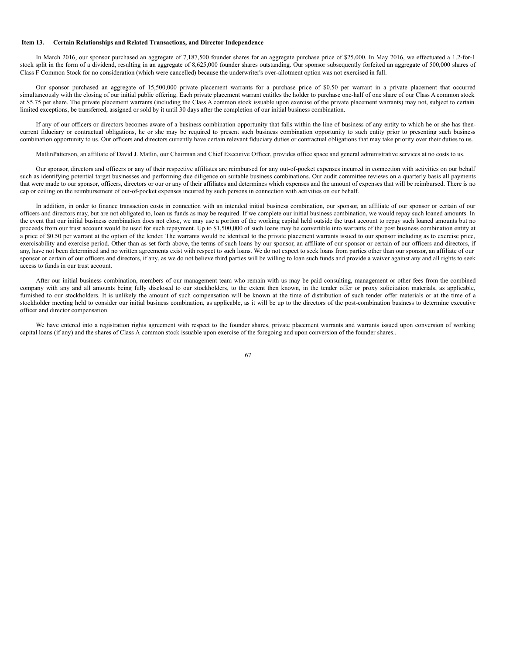#### **Item 13. Certain Relationships and Related Transactions, and Director Independence**

In March 2016, our sponsor purchased an aggregate of 7,187,500 founder shares for an aggregate purchase price of \$25,000. In May 2016, we effectuated a 1.2-for-1 stock split in the form of a dividend, resulting in an aggregate of 8,625,000 founder shares outstanding. Our sponsor subsequently forfeited an aggregate of 500,000 shares of Class F Common Stock for no consideration (which were cancelled) because the underwriter's over-allotment option was not exercised in full.

Our sponsor purchased an aggregate of 15,500,000 private placement warrants for a purchase price of \$0.50 per warrant in a private placement that occurred simultaneously with the closing of our initial public offering. Each private placement warrant entitles the holder to purchase one-half of one share of our Class A common stock at \$5.75 per share. The private placement warrants (including the Class A common stock issuable upon exercise of the private placement warrants) may not, subject to certain limited exceptions, be transferred, assigned or sold by it until 30 days after the completion of our initial business combination.

If any of our officers or directors becomes aware of a business combination opportunity that falls within the line of business of any entity to which he or she has thencurrent fiduciary or contractual obligations, he or she may be required to present such business combination opportunity to such entity prior to presenting such business combination opportunity to us. Our officers and directors currently have certain relevant fiduciary duties or contractual obligations that may take priority over their duties to us.

MatlinPatterson, an affiliate of David J. Matlin, our Chairman and Chief Executive Officer, provides office space and general administrative services at no costs to us.

Our sponsor, directors and officers or any of their respective affiliates are reimbursed for any out-of-pocket expenses incurred in connection with activities on our behalf such as identifying potential target businesses and performing due diligence on suitable business combinations. Our audit committee reviews on a quarterly basis all payments that were made to our sponsor, officers, directors or our or any of their affiliates and determines which expenses and the amount of expenses that will be reimbursed. There is no cap or ceiling on the reimbursement of out-of-pocket expenses incurred by such persons in connection with activities on our behalf.

In addition, in order to finance transaction costs in connection with an intended initial business combination, our sponsor, an affiliate of our sponsor or certain of our officers and directors may, but are not obligated to, loan us funds as may be required. If we complete our initial business combination, we would repay such loaned amounts. In the event that our initial business combination does not close, we may use a portion of the working capital held outside the trust account to repay such loaned amounts but no proceeds from our trust account would be used for such repayment. Up to \$1,500,000 of such loans may be convertible into warrants of the post business combination entity at a price of \$0.50 per warrant at the option of the lender. The warrants would be identical to the private placement warrants issued to our sponsor including as to exercise price, exercisability and exercise period. Other than as set forth above, the terms of such loans by our sponsor, an affiliate of our sponsor or certain of our officers and directors, if any, have not been determined and no written agreements exist with respect to such loans. We do not expect to seek loans from parties other than our sponsor, an affiliate of our sponsor or certain of our officers and directors, if any, as we do not believe third parties will be willing to loan such funds and provide a waiver against any and all rights to seek access to funds in our trust account.

After our initial business combination, members of our management team who remain with us may be paid consulting, management or other fees from the combined company with any and all amounts being fully disclosed to our stockholders, to the extent then known, in the tender offer or proxy solicitation materials, as applicable, furnished to our stockholders. It is unlikely the amount of such compensation will be known at the time of distribution of such tender offer materials or at the time of a stockholder meeting held to consider our initial business combination, as applicable, as it will be up to the directors of the post-combination business to determine executive officer and director compensation.

We have entered into a registration rights agreement with respect to the founder shares, private placement warrants and warrants issued upon conversion of working capital loans (if any) and the shares of Class A common stock issuable upon exercise of the foregoing and upon conversion of the founder shares..

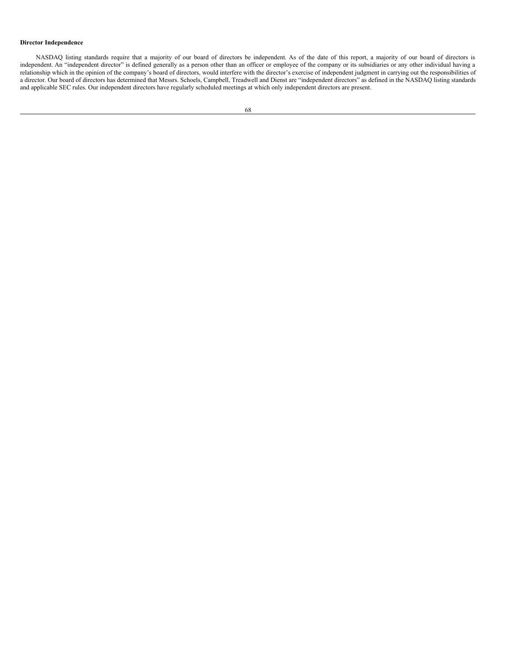## **Director Independence**

NASDAQ listing standards require that a majority of our board of directors be independent. As of the date of this report, a majority of our board of directors is independent. An "independent director" is defined generally as a person other than an officer or employee of the company or its subsidiaries or any other individual having a relationship which in the opinion of the company's board of directors, would interfere with the director's exercise of independent judgment in carrying out the responsibilities of a director. Our board of directors has determined that Messrs. Schoels, Campbell, Treadwell and Dienst are "independent directors" as defined in the NASDAQ listing standards are "independent directors" as defined in the NA and applicable SEC rules. Our independent directors have regularly scheduled meetings at which only independent directors are present.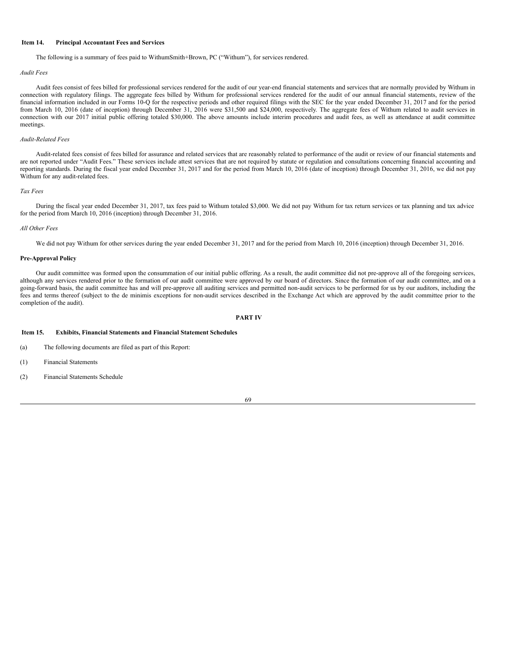#### **Item 14. Principal Accountant Fees and Services**

The following is a summary of fees paid to WithumSmith+Brown, PC ("Withum"), for services rendered.

### *Audit Fees*

Audit fees consist of fees billed for professional services rendered for the audit of our year-end financial statements and services that are normally provided by Withum in connection with regulatory filings. The aggregate fees billed by Withum for professional services rendered for the audit of our annual financial statements, review of the financial information included in our Forms 10-Q for the respective periods and other required filings with the SEC for the year ended December 31, 2017 and for the period from March 10, 2016 (date of inception) through December 31, 2016 were \$31,500 and \$24,000, respectively. The aggregate fees of Withum related to audit services in connection with our 2017 initial public offering totaled \$30,000. The above amounts include interim procedures and audit fees, as well as attendance at audit committee meetings.

#### *Audit-Related Fees*

Audit-related fees consist of fees billed for assurance and related services that are reasonably related to performance of the audit or review of our financial statements and are not reported under "Audit Fees." These services include attest services that are not required by statute or regulation and consultations concerning financial accounting and reporting standards. During the fiscal year ended December 31, 2017 and for the period from March 10, 2016 (date of inception) through December 31, 2016, we did not pay Withum for any audit-related fees.

#### *Tax Fees*

During the fiscal year ended December 31, 2017, tax fees paid to Withum totaled \$3,000. We did not pay Withum for tax return services or tax planning and tax advice for the period from March 10, 2016 (inception) through December 31, 2016.

#### *All Other Fees*

We did not pay Withum for other services during the year ended December 31, 2017 and for the period from March 10, 2016 (inception) through December 31, 2016.

### **Pre-Approval Policy**

Our audit committee was formed upon the consummation of our initial public offering. As a result, the audit committee did not pre-approve all of the foregoing services, although any services rendered prior to the formation of our audit committee were approved by our board of directors. Since the formation of our audit committee, and on a going-forward basis, the audit committee has and will pre-approve all auditing services and permitted non-audit services to be performed for us by our auditors, including the fees and terms thereof (subject to the de minimis exceptions for non-audit services described in the Exchange Act which are approved by the audit committee prior to the completion of the audit).

# **PART IV**

### **Item 15. Exhibits, Financial Statements and Financial Statement Schedules**

(a) The following documents are filed as part of this Report:

- (1) Financial Statements
- (2) Financial Statements Schedule

69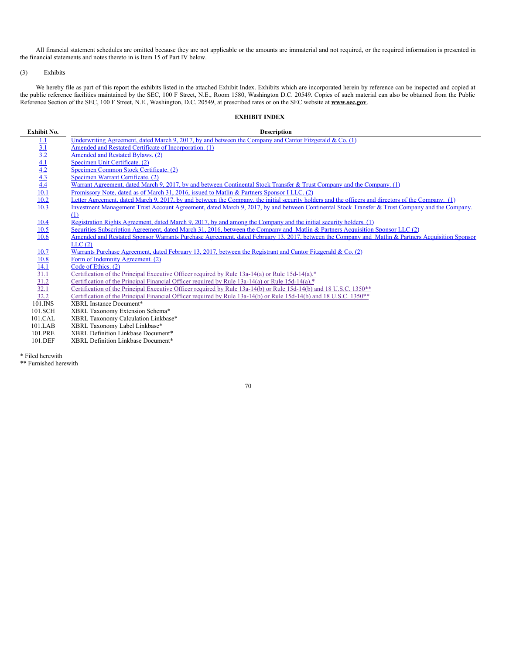All financial statement schedules are omitted because they are not applicable or the amounts are immaterial and not required, or the required information is presented in the financial statements and notes thereto in is Item 15 of Part IV below.

# (3) Exhibits

 $\overline{\phantom{0}}$ 

We hereby file as part of this report the exhibits listed in the attached Exhibit Index. Exhibits which are incorporated herein by reference can be inspected and copied at the public reference facilities maintained by the SEC, 100 F Street, N.E., Room 1580, Washington D.C. 20549. Copies of such material can also be obtained from the Public Reference Section of the SEC, 100 F Street, N.E., Washington, D.C. 20549, at prescribed rates or on the SEC website at **www.sec.gov**.

# **EXHIBIT INDEX**

| <b>Exhibit No.</b>                                                                                     | <b>Description</b>                                                                                                                                 |
|--------------------------------------------------------------------------------------------------------|----------------------------------------------------------------------------------------------------------------------------------------------------|
|                                                                                                        | Underwriting Agreement, dated March 9, 2017, by and between the Company and Cantor Fitzgerald & Co. $(1)$                                          |
| $\frac{1.1}{3.1}$<br>$\frac{3.2}{4.1}$<br>$\frac{4.1}{4.2}$<br>$\frac{4.3}{4.4}$<br>$\frac{4.4}{10.1}$ | Amended and Restated Certificate of Incorporation. (1)                                                                                             |
|                                                                                                        | <b>Amended and Restated Bylaws. (2)</b>                                                                                                            |
|                                                                                                        | Specimen Unit Certificate. (2)                                                                                                                     |
|                                                                                                        | Specimen Common Stock Certificate. (2)                                                                                                             |
|                                                                                                        | Specimen Warrant Certificate. (2)                                                                                                                  |
|                                                                                                        | Warrant Agreement, dated March 9, 2017, by and between Continental Stock Transfer & Trust Company and the Company, (1)                             |
|                                                                                                        | Promissory Note, dated as of March 31, 2016, issued to Matlin & Partners Sponsor I LLC. (2)                                                        |
| 10.2                                                                                                   | Letter Agreement, dated March 9, 2017, by and between the Company, the initial security holders and the officers and directors of the Company. (1) |
| 10.3                                                                                                   | Investment Management Trust Account Agreement, dated March 9, 2017, by and between Continental Stock Transfer & Trust Company and the Company.     |
|                                                                                                        | (1)                                                                                                                                                |
| 10.4                                                                                                   | Registration Rights Agreement, dated March 9, 2017, by and among the Company and the initial security holders. (1)                                 |
| 10.5                                                                                                   | Securities Subscription Agreement, dated March 31, 2016, between the Company and Matlin & Partners Acquisition Sponsor LLC (2)                     |
| 10.6                                                                                                   | Amended and Restated Sponsor Warrants Purchase Agreement, dated February 13, 2017, between the Company and Matlin & Partners Acquisition Sponsor   |
|                                                                                                        | LLC(2)                                                                                                                                             |
| 10.7                                                                                                   | Warrants Purchase Agreement, dated February 13, 2017, between the Registrant and Cantor Fitzgerald & Co. (2)                                       |
| 10.8                                                                                                   | Form of Indemnity Agreement. (2)                                                                                                                   |
|                                                                                                        | Code of Ethics. (2)                                                                                                                                |
|                                                                                                        | Certification of the Principal Executive Officer required by Rule 13a-14(a) or Rule 15d-14(a).*                                                    |
|                                                                                                        | Certification of the Principal Financial Officer required by Rule 13a-14(a) or Rule 15d-14(a).*                                                    |
| $\frac{14.1}{31.1}$<br>$\frac{31.1}{32.1}$<br>$\frac{32.1}{32.2}$                                      | Certification of the Principal Executive Officer required by Rule 13a-14(b) or Rule 15d-14(b) and 18 U.S.C. 1350**                                 |
|                                                                                                        | Certification of the Principal Financial Officer required by Rule 13a-14(b) or Rule 15d-14(b) and 18 U.S.C. 1350**                                 |
| 101.INS                                                                                                | XBRL Instance Document*                                                                                                                            |
| 101.SCH                                                                                                | XBRL Taxonomy Extension Schema*                                                                                                                    |
| 101.CAL                                                                                                | XBRL Taxonomy Calculation Linkbase*                                                                                                                |
| 101.LAB                                                                                                | XBRL Taxonomy Label Linkbase*                                                                                                                      |
| 101.PRE                                                                                                | XBRL Definition Linkbase Document*                                                                                                                 |
| 101.DEF                                                                                                | XBRL Definition Linkbase Document*                                                                                                                 |
|                                                                                                        |                                                                                                                                                    |

\* Filed herewith

\*\* Furnished herewith

70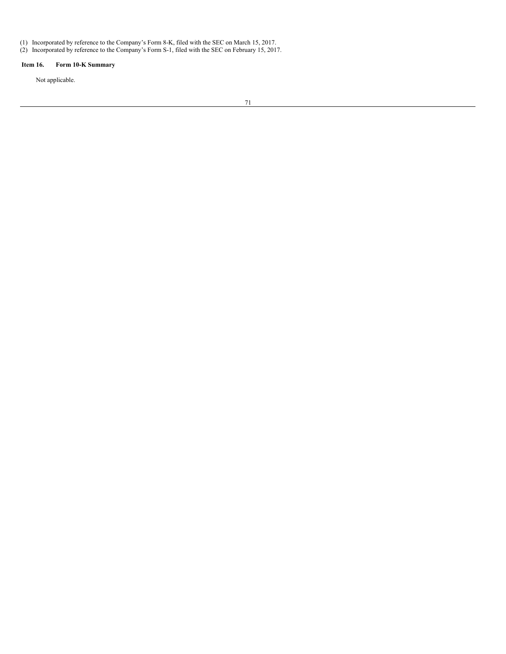- (1) Incorporated by reference to the Company's Form 8-K, filed with the SEC on March 15, 2017.
- (2) Incorporated by reference to the Company's Form S-1, filed with the SEC on February 15, 2017.

# **Item 16. Form 10-K Summary**

Not applicable.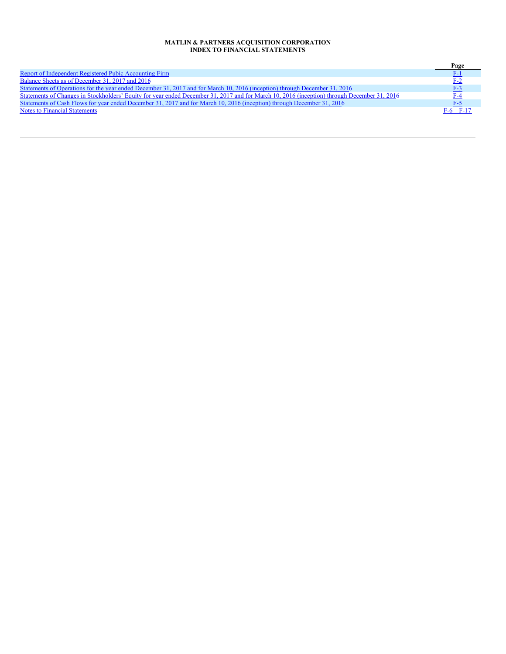### **MATLIN & PARTNERS ACQUISITION CORPORATION INDEX TO FINANCIAL STATEMENTS**

|                                                                                                                                             | Page         |
|---------------------------------------------------------------------------------------------------------------------------------------------|--------------|
| Report of Independent Registered Pubic Accounting Firm                                                                                      |              |
| Balance Sheets as of December 31, 2017 and 2016                                                                                             | F-2          |
| Statements of Operations for the year ended December 31, 2017 and for March 10, 2016 (inception) through December 31, 2016                  | F-3          |
| Statements of Changes in Stockholders' Equity for year ended December 31, 2017 and for March 10, 2016 (inception) through December 31, 2016 | F-4          |
| Statements of Cash Flows for year ended December 31, 2017 and for March 10, 2016 (inception) through December 31, 2016                      | F-5          |
| <b>Notes to Financial Statements</b>                                                                                                        | $F-6 - F-17$ |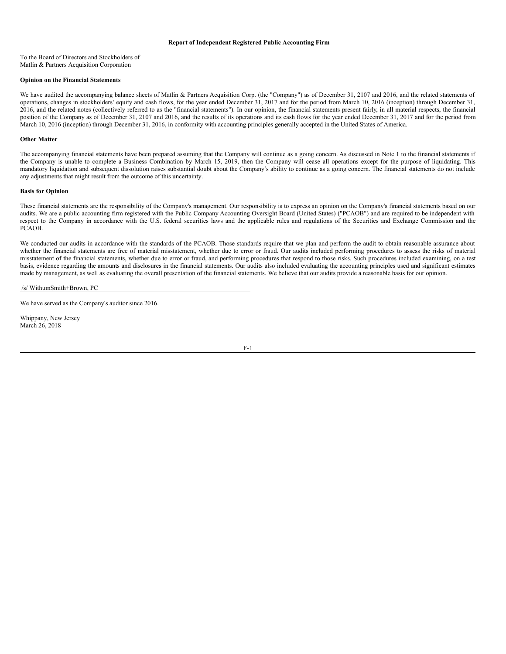#### <span id="page-76-0"></span>**Report of Independent Registered Public Accounting Firm**

To the Board of Directors and Stockholders of Matlin & Partners Acquisition Corporation

#### **Opinion on the Financial Statements**

We have audited the accompanying balance sheets of Matlin & Partners Acquisition Corp. (the "Company") as of December 31, 2107 and 2016, and the related statements of operations, changes in stockholders' equity and cash flows, for the year ended December 31, 2017 and for the period from March 10, 2016 (inception) through December 31, 2016, and the related notes (collectively referred to as the "financial statements"). In our opinion, the financial statements present fairly, in all material respects, the financial position of the Company as of December 31, 2107 and 2016, and the results of its operations and its cash flows for the year ended December 31, 2017 and for the period from March 10, 2016 (inception) through December 31, 2016, in conformity with accounting principles generally accepted in the United States of America.

#### **Other Matter**

The accompanying financial statements have been prepared assuming that the Company will continue as a going concern. As discussed in Note 1 to the financial statements if the Company is unable to complete a Business Combination by March 15, 2019, then the Company will cease all operations except for the purpose of liquidating. This mandatory liquidation and subsequent dissolution raises substantial doubt about the Company's ability to continue as a going concern. The financial statements do not include any adjustments that might result from the outcome of this uncertainty.

#### **Basis for Opinion**

These financial statements are the responsibility of the Company's management. Our responsibility is to express an opinion on the Company's financial statements based on our audits. We are a public accounting firm registered with the Public Company Accounting Oversight Board (United States) ("PCAOB") and are required to be independent with respect to the Company in accordance with the U.S. federal securities laws and the applicable rules and regulations of the Securities and Exchange Commission and the PCAOB.

We conducted our audits in accordance with the standards of the PCAOB. Those standards require that we plan and perform the audit to obtain reasonable assurance about whether the financial statements are free of material misstatement, whether due to error or fraud. Our audits included performing procedures to assess the risks of material misstatement of the financial statements, whether due to error or fraud, and performing procedures that respond to those risks. Such procedures included examining, on a test basis, evidence regarding the amounts and disclosures in the financial statements. Our audits also included evaluating the accounting principles used and significant estimates made by management, as well as evaluating the overall presentation of the financial statements. We believe that our audits provide a reasonable basis for our opinion.

/s/ WithumSmith+Brown, PC

We have served as the Company's auditor since 2016.

Whippany, New Jersey March 26, 2018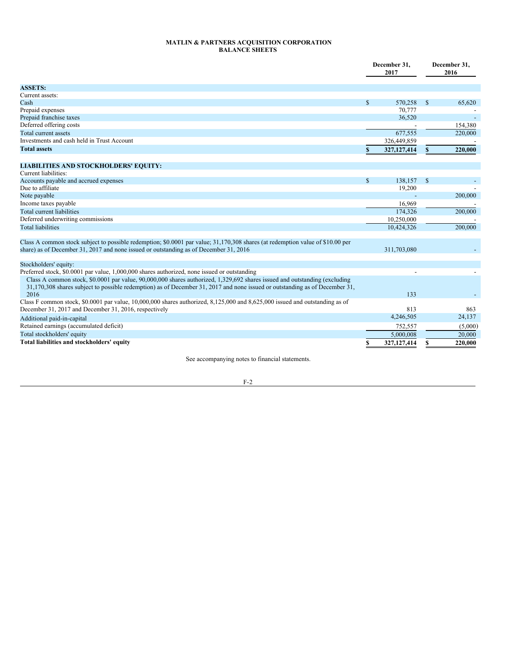## <span id="page-77-0"></span>**MATLIN & PARTNERS ACQUISITION CORPORATION BALANCE SHEETS**

|                                                                                                                                                                                             |              | December 31,<br>2017 |               | December 31,<br>2016 |
|---------------------------------------------------------------------------------------------------------------------------------------------------------------------------------------------|--------------|----------------------|---------------|----------------------|
| <b>ASSETS:</b>                                                                                                                                                                              |              |                      |               |                      |
| Current assets:                                                                                                                                                                             |              |                      |               |                      |
| Cash                                                                                                                                                                                        | $\mathbb{S}$ | 570,258              | <sup>\$</sup> | 65,620               |
| Prepaid expenses                                                                                                                                                                            |              | 70,777               |               |                      |
| Prepaid franchise taxes                                                                                                                                                                     |              | 36,520               |               |                      |
| Deferred offering costs                                                                                                                                                                     |              |                      |               | 154,380              |
| Total current assets                                                                                                                                                                        |              | 677,555              |               | 220,000              |
| Investments and cash held in Trust Account                                                                                                                                                  |              | 326,449,859          |               |                      |
| <b>Total assets</b>                                                                                                                                                                         | $\mathbf{s}$ | 327,127,414          | <sup>\$</sup> | 220,000              |
|                                                                                                                                                                                             |              |                      |               |                      |
| <b>LIABILITIES AND STOCKHOLDERS' EQUITY:</b>                                                                                                                                                |              |                      |               |                      |
| Current liabilities:                                                                                                                                                                        |              |                      |               |                      |
| Accounts payable and accrued expenses                                                                                                                                                       | $\mathbf S$  | 138.157              | $\mathbb{S}$  |                      |
| Due to affiliate                                                                                                                                                                            |              | 19,200               |               |                      |
| Note payable                                                                                                                                                                                |              |                      |               | 200,000              |
| Income taxes payable                                                                                                                                                                        |              | 16,969               |               |                      |
| Total current liabilities                                                                                                                                                                   |              | 174,326              |               | 200,000              |
| Deferred underwriting commissions                                                                                                                                                           |              | 10,250,000           |               |                      |
| <b>Total liabilities</b>                                                                                                                                                                    |              | 10,424,326           |               | 200,000              |
|                                                                                                                                                                                             |              |                      |               |                      |
| Class A common stock subject to possible redemption; \$0,0001 par value; 31,170,308 shares (at redemption value of \$10.00 per                                                              |              |                      |               |                      |
| share) as of December 31, 2017 and none issued or outstanding as of December 31, 2016                                                                                                       |              | 311,703,080          |               |                      |
|                                                                                                                                                                                             |              |                      |               |                      |
| Stockholders' equity:                                                                                                                                                                       |              |                      |               |                      |
| Preferred stock, \$0.0001 par value, 1,000,000 shares authorized, none issued or outstanding                                                                                                |              |                      |               |                      |
| Class A common stock, \$0.0001 par value, 90,000,000 shares authorized, 1,329,692 shares issued and outstanding (excluding                                                                  |              |                      |               |                      |
| 31,170,308 shares subject to possible redemption) as of December 31, 2017 and none issued or outstanding as of December 31,                                                                 |              |                      |               |                      |
| 2016                                                                                                                                                                                        |              | 133                  |               |                      |
| Class F common stock, \$0.0001 par value, $10,000,000$ shares authorized, $8,125,000$ and $8,625,000$ issued and outstanding as of<br>December 31, 2017 and December 31, 2016, respectively |              | 813                  |               | 863                  |
|                                                                                                                                                                                             |              | 4,246,505            |               | 24,137               |
| Additional paid-in-capital                                                                                                                                                                  |              |                      |               |                      |
| Retained earnings (accumulated deficit)                                                                                                                                                     |              | 752,557              |               | (5,000)              |
| Total stockholders' equity                                                                                                                                                                  |              | 5,000,008            |               | 20,000               |
| Total liabilities and stockholders' equity                                                                                                                                                  | \$           | 327,127,414          | \$            | 220,000              |

See accompanying notes to financial statements.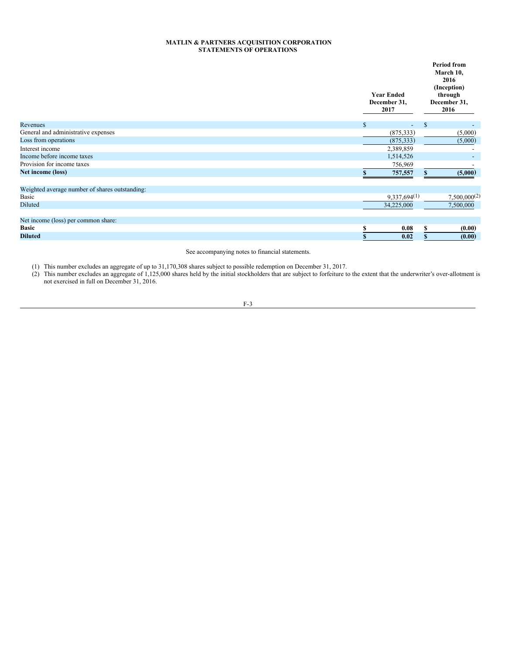### <span id="page-78-0"></span>**MATLIN & PARTNERS ACQUISITION CORPORATION STATEMENTS OF OPERATIONS**

|                                                | <b>Year Ended</b><br>December 31,<br>2017 |              | <b>Period from</b><br>March 10,<br>2016<br>(Inception)<br>through<br>December 31,<br>2016 |
|------------------------------------------------|-------------------------------------------|--------------|-------------------------------------------------------------------------------------------|
| Revenues                                       | $\mathbf S$<br>$\overline{\phantom{a}}$   | $\mathbb{S}$ | $\overline{\phantom{a}}$                                                                  |
| General and administrative expenses            | (875, 333)                                |              | (5,000)                                                                                   |
| Loss from operations                           | (875, 333)                                |              | (5,000)                                                                                   |
| Interest income                                | 2,389,859                                 |              |                                                                                           |
| Income before income taxes                     | 1,514,526                                 |              | $\overline{\phantom{a}}$                                                                  |
| Provision for income taxes                     | 756,969                                   |              |                                                                                           |
| Net income (loss)                              | 757,557                                   |              | (5,000)                                                                                   |
| Weighted average number of shares outstanding: |                                           |              |                                                                                           |
| Basic                                          | 9,337,694(1)                              |              | $7,500,000^{(2)}$                                                                         |
| Diluted                                        | 34,225,000                                |              | 7,500,000                                                                                 |
| Net income (loss) per common share:            |                                           |              |                                                                                           |
| <b>Basic</b>                                   | 0.08<br>\$                                | S            | (0.00)                                                                                    |
| <b>Diluted</b>                                 | \$<br>0.02                                | S            | (0.00)                                                                                    |

See accompanying notes to financial statements.

(1) This number excludes an aggregate of up to 31,170,308 shares subject to possible redemption on December 31, 2017.

(2) This number excludes an aggregate of 1,125,000 shares held by the initial stockholders that are subject to forfeiture to the extent that the underwriter's over-allotment is not exercised in full on December 31, 2016.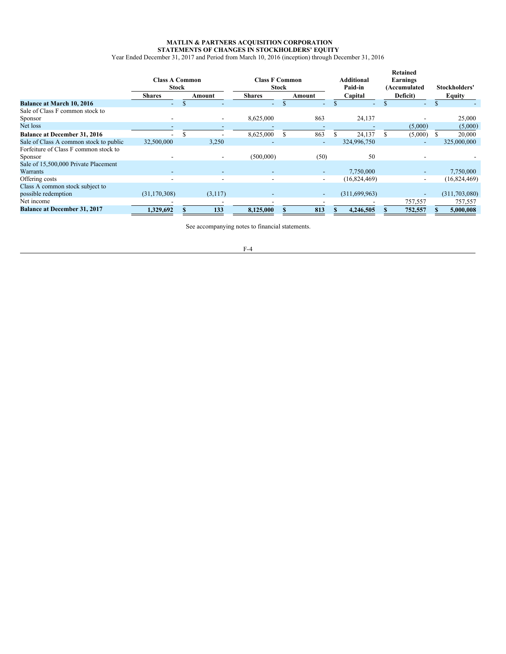### <span id="page-79-0"></span>**MATLIN & PARTNERS ACQUISITION CORPORATION STATEMENTS OF CHANGES IN STOCKHOLDERS' EQUITY**

Year Ended December 31, 2017 and Period from March 10, 2016 (inception) through December 31, 2016

|                                        | <b>Class A Common</b><br>Stock |  | <b>Class F Common</b><br><b>Stock</b> |               |  | <b>Additional</b><br>Paid-in |  | <b>Retained</b><br>Earnings<br>(Accumulated |  | Stockholders'            |  |               |
|----------------------------------------|--------------------------------|--|---------------------------------------|---------------|--|------------------------------|--|---------------------------------------------|--|--------------------------|--|---------------|
|                                        | <b>Shares</b>                  |  | Amount                                | <b>Shares</b> |  | Amount                       |  | Capital                                     |  | Deficit)                 |  | <b>Equity</b> |
| <b>Balance at March 10, 2016</b>       |                                |  |                                       | ۰.            |  |                              |  |                                             |  |                          |  |               |
| Sale of Class F common stock to        |                                |  |                                       |               |  |                              |  |                                             |  |                          |  |               |
| Sponsor                                |                                |  |                                       | 8,625,000     |  | 863                          |  | 24,137                                      |  |                          |  | 25,000        |
| Net loss                               |                                |  |                                       |               |  |                              |  |                                             |  | (5,000)                  |  | (5,000)       |
| <b>Balance at December 31, 2016</b>    |                                |  |                                       | 8,625,000     |  | 863                          |  | 24,137                                      |  | (5,000)                  |  | 20,000        |
| Sale of Class A common stock to public | 32,500,000                     |  | 3,250                                 |               |  | $\overline{\phantom{a}}$     |  | 324,996,750                                 |  | ٠                        |  | 325,000,000   |
| Forfeiture of Class F common stock to  |                                |  |                                       |               |  |                              |  |                                             |  |                          |  |               |
| Sponsor                                |                                |  |                                       | (500,000)     |  | (50)                         |  | 50                                          |  |                          |  |               |
| Sale of 15,500,000 Private Placement   |                                |  |                                       |               |  |                              |  |                                             |  |                          |  |               |
| <b>Warrants</b>                        |                                |  |                                       |               |  | $\overline{\phantom{a}}$     |  | 7,750,000                                   |  |                          |  | 7,750,000     |
| Offering costs                         |                                |  |                                       |               |  | $\overline{\phantom{a}}$     |  | (16,824,469)                                |  | $\overline{\phantom{a}}$ |  | (16,824,469)  |
| Class A common stock subject to        |                                |  |                                       |               |  |                              |  |                                             |  |                          |  |               |
| possible redemption                    | (31, 170, 308)                 |  | (3,117)                               |               |  | $\overline{\phantom{a}}$     |  | (311,699,963)                               |  |                          |  | (311,703,080) |
| Net income                             |                                |  |                                       |               |  |                              |  |                                             |  | 757,557                  |  | 757,557       |
| <b>Balance at December 31, 2017</b>    | 1,329,692                      |  | 133                                   | 8,125,000     |  | 813                          |  | 4,246,505                                   |  | 752,557                  |  | 5,000,008     |

See accompanying notes to financial statements.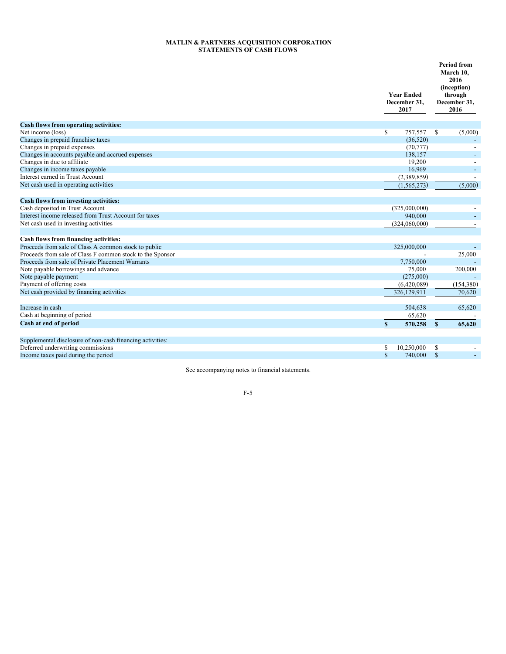### <span id="page-80-0"></span>**MATLIN & PARTNERS ACQUISITION CORPORATION STATEMENTS OF CASH FLOWS**

|                                                           | <b>Year Ended</b><br>December 31.<br>2017 | <b>Period from</b><br>March 10,<br>2016<br>(inception)<br>through<br>December 31,<br>2016 |
|-----------------------------------------------------------|-------------------------------------------|-------------------------------------------------------------------------------------------|
| Cash flows from operating activities:                     |                                           |                                                                                           |
| Net income (loss)                                         | \$<br>757,557                             | -S<br>(5,000)                                                                             |
| Changes in prepaid franchise taxes                        | (36,520)                                  |                                                                                           |
| Changes in prepaid expenses                               | (70, 777)                                 |                                                                                           |
| Changes in accounts payable and accrued expenses          | 138,157                                   |                                                                                           |
| Changes in due to affiliate                               | 19,200                                    |                                                                                           |
| Changes in income taxes payable                           | 16,969                                    |                                                                                           |
| Interest earned in Trust Account                          | (2,389,859)                               |                                                                                           |
| Net cash used in operating activities                     | (1, 565, 273)                             | (5,000)                                                                                   |
| <b>Cash flows from investing activities:</b>              |                                           |                                                                                           |
| Cash deposited in Trust Account                           | (325,000,000)                             |                                                                                           |
| Interest income released from Trust Account for taxes     | 940,000                                   |                                                                                           |
| Net cash used in investing activities                     | (324,060,000)                             |                                                                                           |
| Cash flows from financing activities:                     |                                           |                                                                                           |
| Proceeds from sale of Class A common stock to public      | 325,000,000                               |                                                                                           |
| Proceeds from sale of Class F common stock to the Sponsor |                                           | 25,000                                                                                    |
| Proceeds from sale of Private Placement Warrants          | 7.750,000                                 |                                                                                           |
| Note payable borrowings and advance                       | 75,000                                    | 200,000                                                                                   |
| Note payable payment                                      | (275,000)                                 |                                                                                           |
| Payment of offering costs                                 | (6,420,089)                               | (154,380)                                                                                 |
| Net cash provided by financing activities                 | 326,129,911                               | 70,620                                                                                    |
| Increase in cash                                          | 504,638                                   | 65,620                                                                                    |
| Cash at beginning of period                               | 65,620                                    |                                                                                           |
| Cash at end of period                                     | \$<br>570,258                             | <b>S</b><br>65,620                                                                        |
| Supplemental disclosure of non-cash financing activities: |                                           |                                                                                           |
| Deferred underwriting commissions                         | \$<br>10,250,000                          | S                                                                                         |
| Income taxes paid during the period                       | \$<br>740,000                             | $\mathbb{S}$                                                                              |
|                                                           |                                           |                                                                                           |

See accompanying notes to financial statements.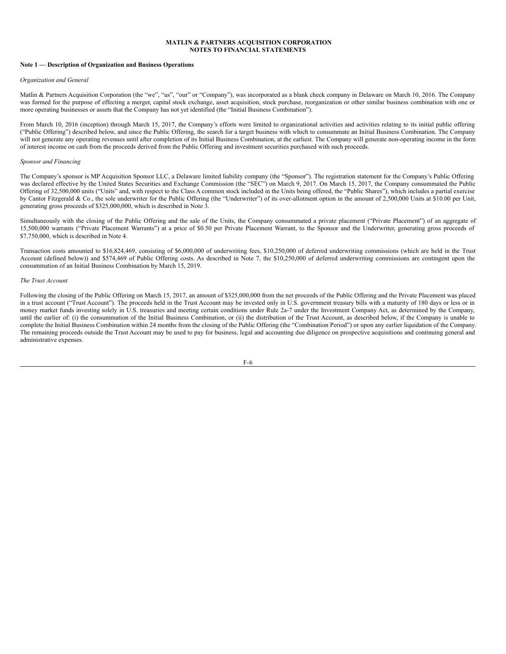# <span id="page-81-0"></span>**MATLIN & PARTNERS ACQUISITION CORPORATION NOTES TO FINANCIAL STATEMENTS**

### **Note 1 — Description of Organization and Business Operations**

#### *Organization and General*

Matlin & Partners Acquisition Corporation (the "we", "us", "our" or "Company"), was incorporated as a blank check company in Delaware on March 10, 2016. The Company was formed for the purpose of effecting a merger, capital stock exchange, asset acquisition, stock purchase, reorganization or other similar business combination with one or more operating businesses or assets that the Company has not yet identified (the "Initial Business Combination").

From March 10, 2016 (inception) through March 15, 2017, the Company's efforts were limited to organizational activities and activities relating to its initial public offering ("Public Offering") described below, and since the Public Offering, the search for a target business with which to consummate an Initial Business Combination. The Company will not generate any operating revenues until after completion of its Initial Business Combination, at the earliest. The Company will generate non-operating income in the form of interest income on cash from the proceeds derived from the Public Offering and investment securities purchased with such proceeds.

#### *Sponsor and Financing*

The Company's sponsor is MP Acquisition Sponsor LLC, a Delaware limited liability company (the "Sponsor"). The registration statement for the Company's Public Offering was declared effective by the United States Securities and Exchange Commission (the "SEC") on March 9, 2017. On March 15, 2017, the Company consummated the Public Offering of 32,500,000 units ("Units" and, with respect to the Class A common stock included in the Units being offered, the "Public Shares"), which includes a partial exercise by Cantor Fitzgerald & Co., the sole underwriter for the Public Offering (the "Underwriter") of its over-allotment option in the amount of 2,500,000 Units at \$10.00 per Unit, generating gross proceeds of \$325,000,000, which is described in Note 3.

Simultaneously with the closing of the Public Offering and the sale of the Units, the Company consummated a private placement ("Private Placement") of an aggregate of 15,500,000 warrants ("Private Placement Warrants") at a price of \$0.50 per Private Placement Warrant, to the Sponsor and the Underwriter, generating gross proceeds of \$7,750,000, which is described in Note 4.

Transaction costs amounted to \$16,824,469, consisting of \$6,000,000 of underwriting fees, \$10,250,000 of deferred underwriting commissions (which are held in the Trust Account (defined below)) and \$574,469 of Public Offering costs. As described in Note 7, the \$10,250,000 of deferred underwriting commissions are contingent upon the consummation of an Initial Business Combination by March 15, 2019.

#### *The Trust Account*

Following the closing of the Public Offering on March 15, 2017, an amount of \$325,000,000 from the net proceeds of the Public Offering and the Private Placement was placed in a trust account ("Trust Account"). The proceeds held in the Trust Account may be invested only in U.S. government treasury bills with a maturity of 180 days or less or in money market funds investing solely in U.S. treasuries and meeting certain conditions under Rule 2a-7 under the Investment Company Act, as determined by the Company, until the earlier of: (i) the consummation of the Initial Business Combination, or (ii) the distribution of the Trust Account, as described below, if the Company is unable to complete the Initial Business Combination within 24 months from the closing of the Public Offering (the "Combination Period") or upon any earlier liquidation of the Company. The remaining proceeds outside the Trust Account may be used to pay for business, legal and accounting due diligence on prospective acquisitions and continuing general and administrative expenses.

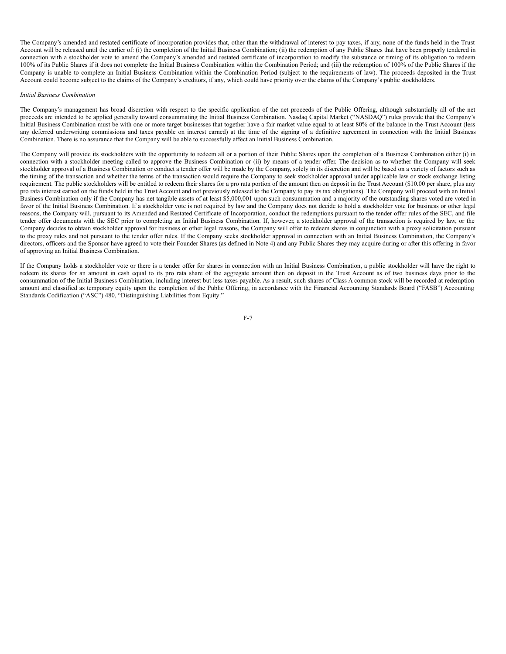The Company's amended and restated certificate of incorporation provides that, other than the withdrawal of interest to pay taxes, if any, none of the funds held in the Trust Account will be released until the earlier of: (i) the completion of the Initial Business Combination; (ii) the redemption of any Public Shares that have been properly tendered in connection with a stockholder vote to amend the Company's amended and restated certificate of incorporation to modify the substance or timing of its obligation to redeem 100% of its Public Shares if it does not complete the Initial Business Combination within the Combination Period; and (iii) the redemption of 100% of the Public Shares if the Company is unable to complete an Initial Business Combination within the Combination Period (subject to the requirements of law). The proceeds deposited in the Trust Account could become subject to the claims of the Company's creditors, if any, which could have priority over the claims of the Company's public stockholders.

### *Initial Business Combination*

The Company's management has broad discretion with respect to the specific application of the net proceeds of the Public Offering, although substantially all of the net proceeds are intended to be applied generally toward consummating the Initial Business Combination. Nasdaq Capital Market ("NASDAQ") rules provide that the Company's Initial Business Combination must be with one or more target businesses that together have a fair market value equal to at least 80% of the balance in the Trust Account (less any deferred underwriting commissions and taxes payable on interest earned) at the time of the signing of a definitive agreement in connection with the Initial Business Combination. There is no assurance that the Company will be able to successfully affect an Initial Business Combination.

The Company will provide its stockholders with the opportunity to redeem all or a portion of their Public Shares upon the completion of a Business Combination either (i) in connection with a stockholder meeting called to approve the Business Combination or (ii) by means of a tender offer. The decision as to whether the Company will seek stockholder approval of a Business Combination or conduct a tender offer will be made by the Company, solely in its discretion and will be based on a variety of factors such as the timing of the transaction and whether the terms of the transaction would require the Company to seek stockholder approval under applicable law or stock exchange listing requirement. The public stockholders will be entitled to redeem their shares for a pro rata portion of the amount then on deposit in the Trust Account (\$10.00 per share, plus any pro rata interest earned on the funds held in the Trust Account and not previously released to the Company to pay its tax obligations). The Company will proceed with an Initial Business Combination only if the Company has net tangible assets of at least \$5,000,001 upon such consummation and a majority of the outstanding shares voted are voted in favor of the Initial Business Combination. If a stockholder vote is not required by law and the Company does not decide to hold a stockholder vote for business or other legal reasons, the Company will, pursuant to its Amended and Restated Certificate of Incorporation, conduct the redemptions pursuant to the tender offer rules of the SEC, and file tender offer documents with the SEC prior to completing an Initial Business Combination. If, however, a stockholder approval of the transaction is required by law, or the Company decides to obtain stockholder approval for business or other legal reasons, the Company will offer to redeem shares in conjunction with a proxy solicitation pursuant to the proxy rules and not pursuant to the tender offer rules. If the Company seeks stockholder approval in connection with an Initial Business Combination, the Company's directors, officers and the Sponsor have agreed to vote their Founder Shares (as defined in Note 4) and any Public Shares they may acquire during or after this offering in favor of approving an Initial Business Combination.

If the Company holds a stockholder vote or there is a tender offer for shares in connection with an Initial Business Combination, a public stockholder will have the right to redeem its shares for an amount in cash equal to its pro rata share of the aggregate amount then on deposit in the Trust Account as of two business days prior to the consummation of the Initial Business Combination, including interest but less taxes payable. As a result, such shares of Class A common stock will be recorded at redemption amount and classified as temporary equity upon the completion of the Public Offering, in accordance with the Financial Accounting Standards Board ("FASB") Accounting Standards Codification ("ASC") 480, "Distinguishing Liabilities from Equity."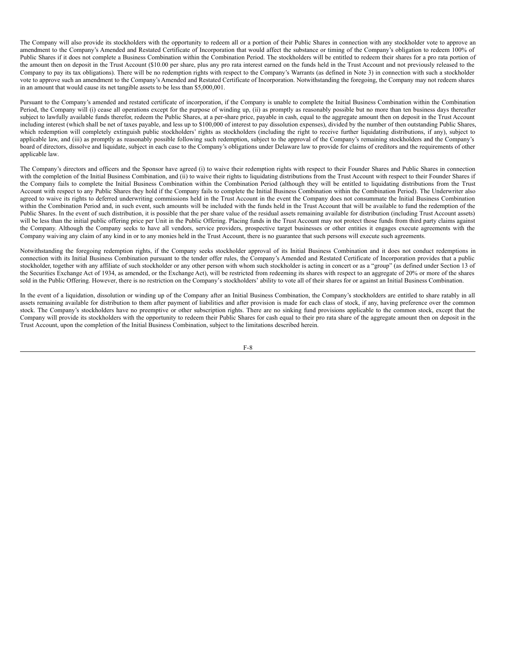The Company will also provide its stockholders with the opportunity to redeem all or a portion of their Public Shares in connection with any stockholder vote to approve an amendment to the Company's Amended and Restated Certificate of Incorporation that would affect the substance or timing of the Company's obligation to redeem 100% of Public Shares if it does not complete a Business Combination within the Combination Period. The stockholders will be entitled to redeem their shares for a pro rata portion of the amount then on deposit in the Trust Account (\$10.00 per share, plus any pro rata interest earned on the funds held in the Trust Account and not previously released to the Company to pay its tax obligations). There will be no redemption rights with respect to the Company's Warrants (as defined in Note 3) in connection with such a stockholder vote to approve such an amendment to the Company's Amended and Restated Certificate of Incorporation. Notwithstanding the foregoing, the Company may not redeem shares in an amount that would cause its net tangible assets to be less than \$5,000,001.

Pursuant to the Company's amended and restated certificate of incorporation, if the Company is unable to complete the Initial Business Combination within the Combination Period, the Company will (i) cease all operations except for the purpose of winding up, (ii) as promptly as reasonably possible but no more than ten business days thereafter subject to lawfully available funds therefor, redeem the Public Shares, at a per-share price, payable in cash, equal to the aggregate amount then on deposit in the Trust Account including interest (which shall be net of taxes payable, and less up to \$100,000 of interest to pay dissolution expenses), divided by the number of then outstanding Public Shares, which redemption will completely extinguish public stockholders' rights as stockholders (including the right to receive further liquidating distributions, if any), subject to applicable law, and (iii) as promptly as reasonably possible following such redemption, subject to the approval of the Company's remaining stockholders and the Company's board of directors, dissolve and liquidate, subject in each case to the Company's obligations under Delaware law to provide for claims of creditors and the requirements of other applicable law.

The Company's directors and officers and the Sponsor have agreed (i) to waive their redemption rights with respect to their Founder Shares and Public Shares in connection with the completion of the Initial Business Combination, and (ii) to waive their rights to liquidating distributions from the Trust Account with respect to their Founder Shares if the Company fails to complete the Initial Business Combination within the Combination Period (although they will be entitled to liquidating distributions from the Trust Account with respect to any Public Shares they hold if the Company fails to complete the Initial Business Combination within the Combination Period). The Underwriter also agreed to waive its rights to deferred underwriting commissions held in the Trust Account in the event the Company does not consummate the Initial Business Combination within the Combination Period and, in such event, such amounts will be included with the funds held in the Trust Account that will be available to fund the redemption of the Public Shares. In the event of such distribution, it is possible that the per share value of the residual assets remaining available for distribution (including Trust Account assets) will be less than the initial public offering price per Unit in the Public Offering. Placing funds in the Trust Account may not protect those funds from third party claims against the Company. Although the Company seeks to have all vendors, service providers, prospective target businesses or other entities it engages execute agreements with the Company waiving any claim of any kind in or to any monies held in the Trust Account, there is no guarantee that such persons will execute such agreements.

Notwithstanding the foregoing redemption rights, if the Company seeks stockholder approval of its Initial Business Combination and it does not conduct redemptions in connection with its Initial Business Combination pursuant to the tender offer rules, the Company's Amended and Restated Certificate of Incorporation provides that a public stockholder, together with any affiliate of such stockholder or any other person with whom such stockholder is acting in concert or as a "group" (as defined under Section 13 of the Securities Exchange Act of 1934, as amended, or the Exchange Act), will be restricted from redeeming its shares with respect to an aggregate of 20% or more of the shares sold in the Public Offering. However, there is no restriction on the Company's stockholders' ability to vote all of their shares for or against an Initial Business Combination.

In the event of a liquidation, dissolution or winding up of the Company after an Initial Business Combination, the Company's stockholders are entitled to share ratably in all assets remaining available for distribution to them after payment of liabilities and after provision is made for each class of stock, if any, having preference over the common stock. The Company's stockholders have no preemptive or other subscription rights. There are no sinking fund provisions applicable to the common stock, except that the Company will provide its stockholders with the opportunity to redeem their Public Shares for cash equal to their pro rata share of the aggregate amount then on deposit in the Trust Account, upon the completion of the Initial Business Combination, subject to the limitations described herein.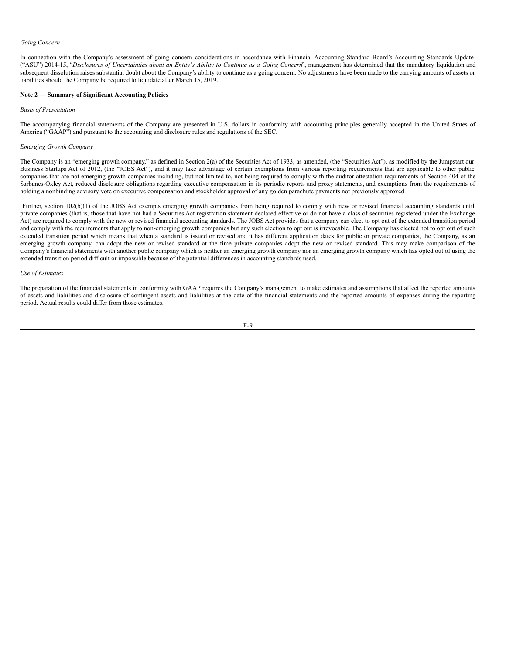#### *Going Concern*

In connection with the Company's assessment of going concern considerations in accordance with Financial Accounting Standard Board's Accounting Standards Update ("ASU") 2014-15, "Disclosures of Uncertainties about an Entity's Ability to Continue as a Going Concern', management has determined that the mandatory liquidation and subsequent dissolution raises substantial doubt about the Company's ability to continue as a going concern. No adjustments have been made to the carrying amounts of assets or liabilities should the Company be required to liquidate after March 15, 2019.

### **Note 2 — Summary of Significant Accounting Policies**

### *Basis of Presentation*

The accompanying financial statements of the Company are presented in U.S. dollars in conformity with accounting principles generally accepted in the United States of America ("GAAP") and pursuant to the accounting and disclosure rules and regulations of the SEC.

### *Emerging Growth Company*

The Company is an "emerging growth company," as defined in Section 2(a) of the Securities Act of 1933, as amended, (the "Securities Act"), as modified by the Jumpstart our Business Startups Act of 2012, (the "JOBS Act"), and it may take advantage of certain exemptions from various reporting requirements that are applicable to other public companies that are not emerging growth companies including, but not limited to, not being required to comply with the auditor attestation requirements of Section 404 of the Sarbanes-Oxley Act, reduced disclosure obligations regarding executive compensation in its periodic reports and proxy statements, and exemptions from the requirements of holding a nonbinding advisory vote on executive compensation and stockholder approval of any golden parachute payments not previously approved.

Further, section 102(b)(1) of the JOBS Act exempts emerging growth companies from being required to comply with new or revised financial accounting standards until private companies (that is, those that have not had a Securities Act registration statement declared effective or do not have a class of securities registered under the Exchange Act) are required to comply with the new or revised financial accounting standards. The JOBS Act provides that a company can elect to opt out of the extended transition period and comply with the requirements that apply to non-emerging growth companies but any such election to opt out is irrevocable. The Company has elected not to opt out of such extended transition period which means that when a standard is issued or revised and it has different application dates for public or private companies, the Company, as an emerging growth company, can adopt the new or revised standard at the time private companies adopt the new or revised standard. This may make comparison of the Company's financial statements with another public company which is neither an emerging growth company nor an emerging growth company which has opted out of using the extended transition period difficult or impossible because of the potential differences in accounting standards used.

### *Use of Estimates*

The preparation of the financial statements in conformity with GAAP requires the Company's management to make estimates and assumptions that affect the reported amounts of assets and liabilities and disclosure of contingent assets and liabilities at the date of the financial statements and the reported amounts of expenses during the reporting period. Actual results could differ from those estimates.

$$
F\text{-}9
$$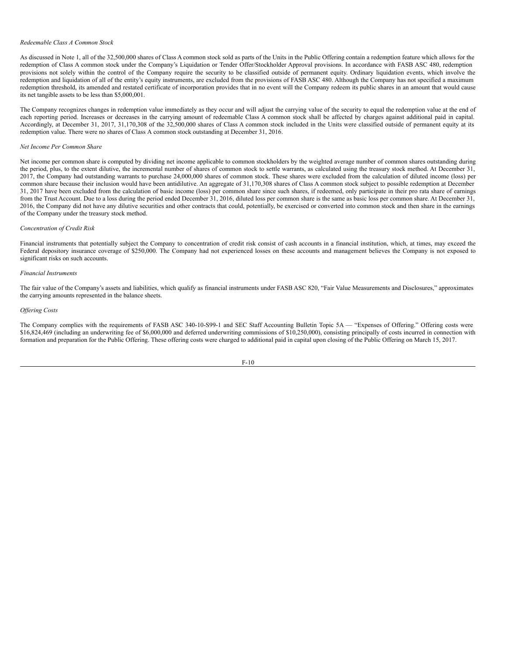#### *Redeemable Class A Common Stock*

As discussed in Note 1, all of the 32,500,000 shares of Class A common stock sold as parts of the Units in the Public Offering contain a redemption feature which allows for the redemption of Class A common stock under the Company's Liquidation or Tender Offer/Stockholder Approval provisions. In accordance with FASB ASC 480, redemption provisions not solely within the control of the Company require the security to be classified outside of permanent equity. Ordinary liquidation events, which involve the redemption and liquidation of all of the entity's equity instruments, are excluded from the provisions of FASB ASC 480. Although the Company has not specified a maximum redemption threshold, its amended and restated certificate of incorporation provides that in no event will the Company redeem its public shares in an amount that would cause its net tangible assets to be less than \$5,000,001.

The Company recognizes changes in redemption value immediately as they occur and will adjust the carrying value of the security to equal the redemption value at the end of each reporting period. Increases or decreases in the carrying amount of redeemable Class A common stock shall be affected by charges against additional paid in capital. Accordingly, at December 31, 2017, 31,170,308 of the 32,500,000 shares of Class A common stock included in the Units were classified outside of permanent equity at its redemption value. There were no shares of Class A common stock outstanding at December 31, 2016.

### *Net Income Per Common Share*

Net income per common share is computed by dividing net income applicable to common stockholders by the weighted average number of common shares outstanding during the period, plus, to the extent dilutive, the incremental number of shares of common stock to settle warrants, as calculated using the treasury stock method. At December 31, 2017, the Company had outstanding warrants to purchase 24,000,000 shares of common stock. These shares were excluded from the calculation of diluted income (loss) per common share because their inclusion would have been antidilutive. An aggregate of 31,170,308 shares of Class A common stock subject to possible redemption at December 31, 2017 have been excluded from the calculation of basic income (loss) per common share since such shares, if redeemed, only participate in their pro rata share of earnings from the Trust Account. Due to a loss during the period ended December 31, 2016, diluted loss per common share is the same as basic loss per common share. At December 31, 2016, the Company did not have any dilutive securities and other contracts that could, potentially, be exercised or converted into common stock and then share in the earnings of the Company under the treasury stock method.

#### *Concentration of Credit Risk*

Financial instruments that potentially subject the Company to concentration of credit risk consist of cash accounts in a financial institution, which, at times, may exceed the Federal depository insurance coverage of \$250,000. The Company had not experienced losses on these accounts and management believes the Company is not exposed to significant risks on such accounts.

### *Financial Instruments*

The fair value of the Company's assets and liabilities, which qualify as financial instruments under FASB ASC 820, "Fair Value Measurements and Disclosures," approximates the carrying amounts represented in the balance sheets.

#### *Of ering Costs*

The Company complies with the requirements of FASB ASC 340-10-S99-1 and SEC Staff Accounting Bulletin Topic 5A — "Expenses of Offering." Offering costs were \$16,824,469 (including an underwriting fee of \$6,000,000 and deferred underwriting commissions of \$10,250,000), consisting principally of costs incurred in connection with formation and preparation for the Public Offering. These offering costs were charged to additional paid in capital upon closing of the Public Offering on March 15, 2017.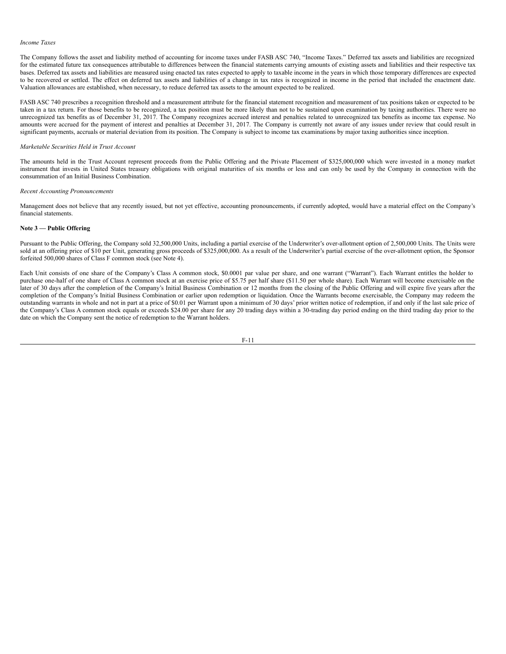#### *Income Taxes*

The Company follows the asset and liability method of accounting for income taxes under FASB ASC 740, "Income Taxes." Deferred tax assets and liabilities are recognized for the estimated future tax consequences attributable to differences between the financial statements carrying amounts of existing assets and liabilities and their respective tax bases. Deferred tax assets and liabilities are measured using enacted tax rates expected to apply to taxable income in the years in which those temporary differences are expected to be recovered or settled. The effect on deferred tax assets and liabilities of a change in tax rates is recognized in income in the period that included the enactment date. Valuation allowances are established, when necessary, to reduce deferred tax assets to the amount expected to be realized.

FASB ASC 740 prescribes a recognition threshold and a measurement attribute for the financial statement recognition and measurement of tax positions taken or expected to be taken in a tax return. For those benefits to be recognized, a tax position must be more likely than not to be sustained upon examination by taxing authorities. There were no unrecognized tax benefits as of December 31, 2017. The Company recognizes accrued interest and penalties related to unrecognized tax benefits as income tax expense. No amounts were accrued for the payment of interest and penalties at December 31, 2017. The Company is currently not aware of any issues under review that could result in significant payments, accruals or material deviation from its position. The Company is subject to income tax examinations by major taxing authorities since inception.

### *Marketable Securities Held in Trust Account*

The amounts held in the Trust Account represent proceeds from the Public Offering and the Private Placement of \$325,000,000 which were invested in a money market instrument that invests in United States treasury obligations with original maturities of six months or less and can only be used by the Company in connection with the consummation of an Initial Business Combination.

#### *Recent Accounting Pronouncements*

Management does not believe that any recently issued, but not yet effective, accounting pronouncements, if currently adopted, would have a material effect on the Company's financial statements.

#### **Note 3 — Public Offering**

Pursuant to the Public Offering, the Company sold 32,500,000 Units, including a partial exercise of the Underwriter's over-allotment option of 2,500,000 Units. The Units were sold at an offering price of \$10 per Unit, generating gross proceeds of \$325,000,000. As a result of the Underwriter's partial exercise of the over-allotment option, the Sponsor forfeited 500,000 shares of Class F common stock (see Note 4).

Each Unit consists of one share of the Company's Class A common stock, \$0.0001 par value per share, and one warrant ("Warrant"). Each Warrant entitles the holder to purchase one-half of one share of Class A common stock at an exercise price of \$5.75 per half share (\$11.50 per whole share). Each Warrant will become exercisable on the later of 30 days after the completion of the Company's Initial Business Combination or 12 months from the closing of the Public Offering and will expire five years after the completion of the Company's Initial Business Combination or earlier upon redemption or liquidation. Once the Warrants become exercisable, the Company may redeem the outstanding warrants in whole and not in part at a price of \$0.01 per Warrant upon a minimum of 30 days' prior written notice of redemption, if and only if the last sale price of the Company's Class A common stock equals or exceeds \$24.00 per share for any 20 trading days within a 30-trading day period ending on the third trading day prior to the date on which the Company sent the notice of redemption to the Warrant holders.

$$
F-11
$$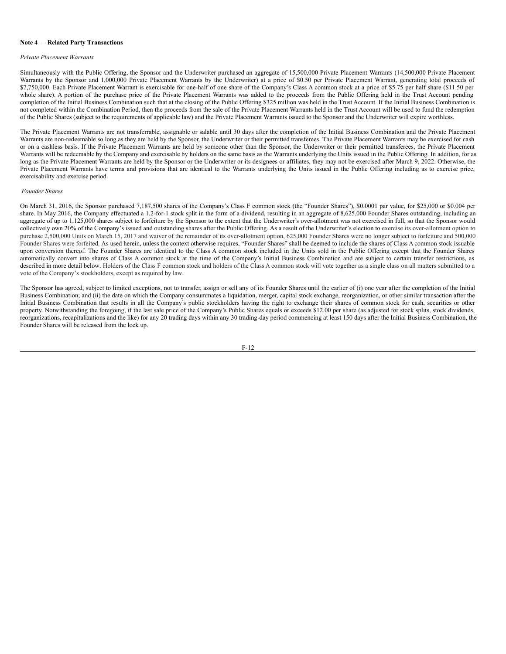#### **Note 4 — Related Party Transactions**

### *Private Placement Warrants*

Simultaneously with the Public Offering, the Sponsor and the Underwriter purchased an aggregate of 15,500,000 Private Placement Warrants (14,500,000 Private Placement Warrants by the Sponsor and 1,000,000 Private Placement Warrants by the Underwriter) at a price of \$0.50 per Private Placement Warrant, generating total proceeds of \$7,750,000. Each Private Placement Warrant is exercisable for one-half of one share of the Company's Class A common stock at a price of \$5.75 per half share (\$11.50 per whole share). A portion of the purchase price of the Private Placement Warrants was added to the proceeds from the Public Offering held in the Trust Account pending completion of the Initial Business Combination such that at the closing of the Public Offering \$325 million was held in the Trust Account. If the Initial Business Combination is not completed within the Combination Period, then the proceeds from the sale of the Private Placement Warrants held in the Trust Account will be used to fund the redemption of the Public Shares (subject to the requirements of applicable law) and the Private Placement Warrants issued to the Sponsor and the Underwriter will expire worthless.

The Private Placement Warrants are not transferrable, assignable or salable until 30 days after the completion of the Initial Business Combination and the Private Placement Warrants are non-redeemable so long as they are held by the Sponsor, the Underwriter or their permitted transferees. The Private Placement Warrants may be exercised for cash or on a cashless basis. If the Private Placement Warrants are held by someone other than the Sponsor, the Underwriter or their permitted transferees, the Private Placement Warrants will be redeemable by the Company and exercisable by holders on the same basis as the Warrants underlying the Units issued in the Public Offering. In addition, for as long as the Private Placement Warrants are held by the Sponsor or the Underwriter or its designees or affiliates, they may not be exercised after March 9, 2022. Otherwise, the Private Placement Warrants have terms and provisions that are identical to the Warrants underlying the Units issued in the Public Offering including as to exercise price, exercisability and exercise period.

#### *Founder Shares*

On March 31, 2016, the Sponsor purchased 7,187,500 shares of the Company's Class F common stock (the "Founder Shares"), \$0,0001 par value, for \$25,000 or \$0.004 per share. In May 2016, the Company effectuated a 1.2-for-1 stock split in the form of a dividend, resulting in an aggregate of 8,625,000 Founder Shares outstanding, including an aggregate of up to 1,125,000 shares subject to forfeiture by the Sponsor to the extent that the Underwriter's over-allotment was not exercised in full, so that the Sponsor would collectively own 20% of the Company's issued and outstanding shares after the Public Offering. As a result of the Underwriter's election to exercise its over-allotment option to purchase 2,500,000 Units on March 15, 2017 and waiver of the remainder of its over-allotment option, 625,000 Founder Shares were no longer subject to forfeiture and 500,000 Founder Shares were forfeited. As used herein, unless the context otherwise requires, "Founder Shares" shall be deemed to include the shares of Class A common stock issuable upon conversion thereof. The Founder Shares are identical to the Class A common stock included in the Units sold in the Public Offering except that the Founder Shares automatically convert into shares of Class A common stock at the time of the Company's Initial Business Combination and are subject to certain transfer restrictions, as described in more detail below. Holders of the Class F common stock and holders of the Class A common stock will vote together as a single class on all matters submitted to a vote of the Company's stockholders, except as required by law.

The Sponsor has agreed, subject to limited exceptions, not to transfer, assign or sell any of its Founder Shares until the earlier of (i) one year after the completion of the Initial Business Combination; and (ii) the date on which the Company consummates a liquidation, merger, capital stock exchange, reorganization, or other similar transaction after the Initial Business Combination that results in all the Company's public stockholders having the right to exchange their shares of common stock for cash, securities or other property. Notwithstanding the foregoing, if the last sale price of the Company's Public Shares equals or exceeds \$12.00 per share (as adjusted for stock splits, stock dividends, reorganizations, recapitalizations and the like) for any 20 trading days within any 30 trading-day period commencing at least 150 days after the Initial Business Combination, the Founder Shares will be released from the lock up.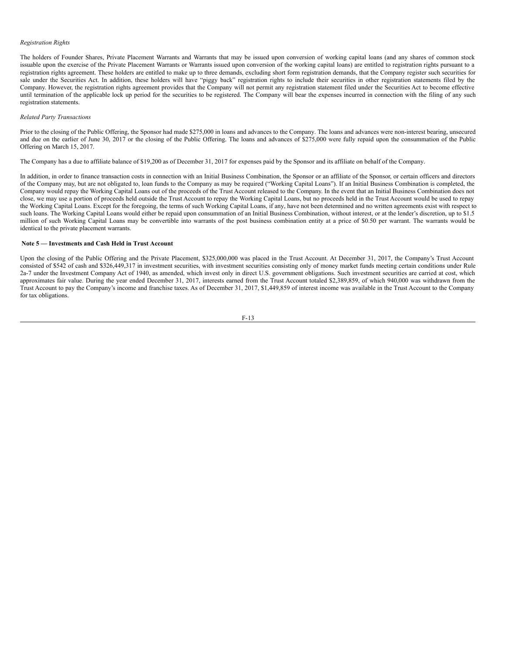#### *Registration Rights*

The holders of Founder Shares, Private Placement Warrants and Warrants that may be issued upon conversion of working capital loans (and any shares of common stock issuable upon the exercise of the Private Placement Warrants or Warrants issued upon conversion of the working capital loans) are entitled to registration rights pursuant to a registration rights agreement. These holders are entitled to make up to three demands, excluding short form registration demands, that the Company register such securities for sale under the Securities Act. In addition, these holders will have "piggy back" registration rights to include their securities in other registration statements filed by the Company. However, the registration rights agreement provides that the Company will not permit any registration statement filed under the Securities Act to become effective until termination of the applicable lock up period for the securities to be registered. The Company will bear the expenses incurred in connection with the filing of any such registration statements.

### *Related Party Transactions*

Prior to the closing of the Public Offering, the Sponsor had made \$275,000 in loans and advances to the Company. The loans and advances were non-interest bearing, unsecured and due on the earlier of June 30, 2017 or the closing of the Public Offering. The loans and advances of \$275,000 were fully repaid upon the consummation of the Public Offering on March 15, 2017.

The Company has a due to affiliate balance of \$19,200 as of December 31, 2017 for expenses paid by the Sponsor and its affiliate on behalf of the Company.

In addition, in order to finance transaction costs in connection with an Initial Business Combination, the Sponsor or an affiliate of the Sponsor, or certain officers and directors of the Company may, but are not obligated to, loan funds to the Company as may be required ("Working Capital Loans"). If an Initial Business Combination is completed, the Company would repay the Working Capital Loans out of the proceeds of the Trust Account released to the Company. In the event that an Initial Business Combination does not close, we may use a portion of proceeds held outside the Trust Account to repay the Working Capital Loans, but no proceeds held in the Trust Account would be used to repay the Working Capital Loans. Except for the foregoing, the terms of such Working Capital Loans, if any, have not been determined and no written agreements exist with respect to such loans. The Working Capital Loans would either be repaid upon consummation of an Initial Business Combination, without interest, or at the lender's discretion, up to \$1.5 million of such Working Capital Loans may be convertible into warrants of the post business combination entity at a price of \$0.50 per warrant. The warrants would be identical to the private placement warrants.

### **Note 5 — Investments and Cash Held in Trust Account**

Upon the closing of the Public Offering and the Private Placement, \$325,000,000 was placed in the Trust Account. At December 31, 2017, the Company's Trust Account consisted of \$542 of cash and \$326,449,317 in investment securities, with investment securities consisting only of money market funds meeting certain conditions under Rule 2a-7 under the Investment Company Act of 1940, as amended, which invest only in direct U.S. government obligations. Such investment securities are carried at cost, which approximates fair value. During the year ended December 31, 2017, interests earned from the Trust Account totaled \$2,389,859, of which 940,000 was withdrawn from the Trust Account to pay the Company's income and franchise taxes. As of December 31, 2017, \$1,449,859 of interest income was available in the Trust Account to the Company for tax obligations.

$$
F-13
$$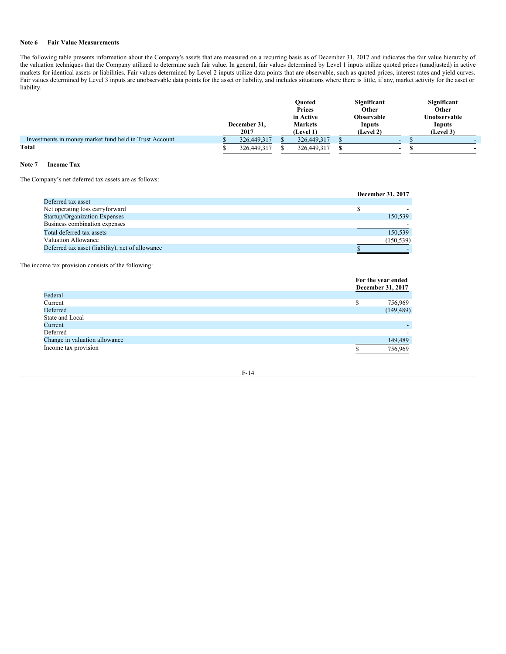# **Note 6 — Fair Value Measurements**

The following table presents information about the Company's assets that are measured on a recurring basis as of December 31, 2017 and indicates the fair value hierarchy of the valuation techniques that the Company utilized to determine such fair value. In general, fair values determined by Level 1 inputs utilize quoted prices (unadjusted) in active markets for identical assets or liabilities. Fair values determined by Level 2 inputs utilize data points that are observable, such as quoted prices, interest rates and yield curves. Fair values determined by Level 3 inputs are unobservable data points for the asset or liability, and includes situations where there is little, if any, market activity for the asset or liability. liability.

|                                                        |              | Ouoted<br>Prices | Significant<br>Other     | Significant<br>Other |
|--------------------------------------------------------|--------------|------------------|--------------------------|----------------------|
|                                                        |              | in Active        | <b>Observable</b>        | Unobservable         |
|                                                        | December 31, | <b>Markets</b>   | Inputs                   | Inputs               |
|                                                        | 2017         | (Level 1)        | (Level 2)                | (Level 3)            |
| Investments in money market fund held in Trust Account | 326,449,317  | 326,449,317      |                          |                      |
| Total                                                  | 326,449,317  | 326,449,317      | $\overline{\phantom{a}}$ |                      |

# **Note 7 — Income Tax**

The Company's net deferred tax assets are as follows:

|                                                  | December 31, 2017 |
|--------------------------------------------------|-------------------|
| Deferred tax asset                               |                   |
| Net operating loss carryforward                  |                   |
| Startup/Organization Expenses                    | 150,539           |
| Business combination expenses                    |                   |
| Total deferred tax assets                        | 150,539           |
| Valuation Allowance                              | (150, 539)        |
| Deferred tax asset (liability), net of allowance |                   |

The income tax provision consists of the following:

|                               |   | For the year ended<br>December 31, 2017 |
|-------------------------------|---|-----------------------------------------|
| Federal                       |   |                                         |
| Current                       | S | 756,969                                 |
| Deferred                      |   | (149, 489)                              |
| State and Local               |   |                                         |
| Current                       |   |                                         |
| Deferred                      |   |                                         |
| Change in valuation allowance |   | 149,489                                 |
| Income tax provision          |   | 756,969                                 |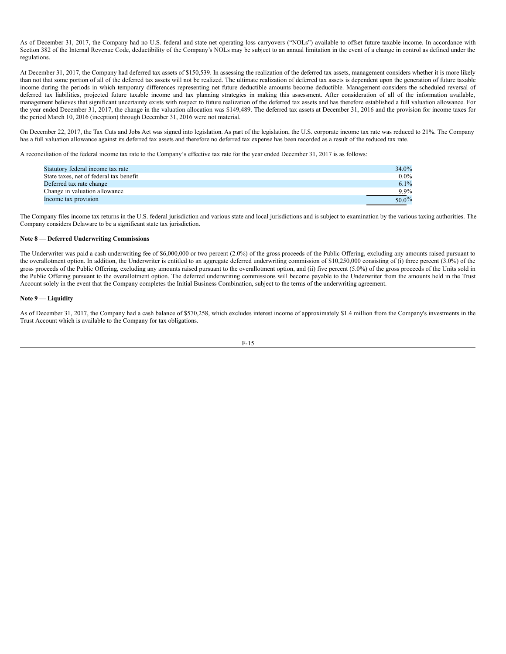As of December 31, 2017, the Company had no U.S. federal and state net operating loss carryovers ("NOLs") available to offset future taxable income. In accordance with Section 382 of the Internal Revenue Code, deductibility of the Company's NOLs may be subject to an annual limitation in the event of a change in control as defined under the regulations.

At December 31, 2017, the Company had deferred tax assets of \$150,539. In assessing the realization of the deferred tax assets, management considers whether it is more likely than not that some portion of all of the deferred tax assets will not be realized. The ultimate realization of deferred tax assets is dependent upon the generation of future taxable income during the periods in which temporary differences representing net future deductible amounts become deductible. Management considers the scheduled reversal of deferred tax liabilities, projected future taxable income and tax planning strategies in making this assessment. After consideration of all of the information available, management believes that significant uncertainty exists with respect to future realization of the deferred tax assets and has therefore established a full valuation allowance. For the year ended December 31, 2017, the change in the valuation allocation was \$149,489. The deferred tax assets at December 31, 2016 and the provision for income taxes for the period March 10, 2016 (inception) through December 31, 2016 were not material.

On December 22, 2017, the Tax Cuts and Jobs Act was signed into legislation. As part of the legislation, the U.S. corporate income tax rate was reduced to 21%. The Company has a full valuation allowance against its deferred tax assets and therefore no deferred tax expense has been recorded as a result of the reduced tax rate.

A reconciliation of the federal income tax rate to the Company's effective tax rate for the year ended December 31, 2017 is as follows:

| Statutory federal income tax rate       | 34.0%    |
|-----------------------------------------|----------|
| State taxes, net of federal tax benefit | $0.0\%$  |
| Deferred tax rate change                | 6.1%     |
| Change in valuation allowance           | $9.9\%$  |
| Income tax provision                    | $50.0\%$ |

The Company files income tax returns in the U.S. federal jurisdiction and various state and local jurisdictions and is subject to examination by the various taxing authorities. The Company considers Delaware to be a significant state tax jurisdiction.

### **Note 8 — Deferred Underwriting Commissions**

The Underwriter was paid a cash underwriting fee of \$6,000,000 or two percent (2.0%) of the gross proceeds of the Public Offering, excluding any amounts raised pursuant to the overallotment option. In addition, the Underwriter is entitled to an aggregate deferred underwriting commission of \$10,250,000 consisting of (i) three percent (3.0%) of the gross proceeds of the Public Offering, excluding any amounts raised pursuant to the overallotment option, and (ii) five percent (5.0%) of the gross proceeds of the Units sold in the Public Offering pursuant to the overallotment option. The deferred underwriting commissions will become payable to the Underwriter from the amounts held in the Trust Account solely in the event that the Company completes the Initial Business Combination, subject to the terms of the underwriting agreement.

### **Note 9 — Liquidity**

As of December 31, 2017, the Company had a cash balance of \$570,258, which excludes interest income of approximately \$1.4 million from the Company's investments in the Trust Account which is available to the Company for tax obligations.

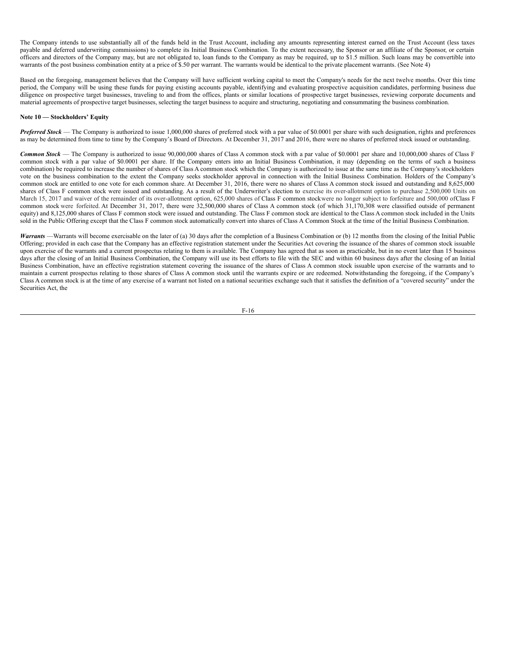The Company intends to use substantially all of the funds held in the Trust Account, including any amounts representing interest earned on the Trust Account (less taxes payable and deferred underwriting commissions) to complete its Initial Business Combination. To the extent necessary, the Sponsor or an affiliate of the Sponsor, or certain officers and directors of the Company may, but are not obligated to, loan funds to the Company as may be required, up to \$1.5 million. Such loans may be convertible into warrants of the post business combination entity at a price of \$.50 per warrant. The warrants would be identical to the private placement warrants. (See Note 4)

Based on the foregoing, management believes that the Company will have sufficient working capital to meet the Company's needs for the next twelve months. Over this time period, the Company will be using these funds for paying existing accounts payable, identifying and evaluating prospective acquisition candidates, performing business due diligence on prospective target businesses, traveling to and from the offices, plants or similar locations of prospective target businesses, reviewing corporate documents and material agreements of prospective target businesses, selecting the target business to acquire and structuring, negotiating and consummating the business combination.

### **Note 10 — Stockholders' Equity**

*Preferred Stock* — The Company is authorized to issue 1,000,000 shares of preferred stock with a par value of \$0,0001 per share with such designation, rights and preferences as may be determined from time to time by the Company's Board of Directors. At December 31, 2017 and 2016, there were no shares of preferred stock issued or outstanding.

*Common Stock* — The Company is authorized to issue 90,000,000 shares of Class A common stock with a par value of \$0.0001 per share and 10,000,000 shares of Class F common stock with a par value of \$0.0001 per share. If the Company enters into an Initial Business Combination, it may (depending on the terms of such a business combination) be required to increase the number of shares of Class A common stock which the Company is authorized to issue at the same time as the Company's stockholders vote on the business combination to the extent the Company seeks stockholder approval in connection with the Initial Business Combination. Holders of the Company's common stock are entitled to one vote for each common share. At December 31, 2016, there were no shares of Class A common stock issued and outstanding and 8,625,000 shares of Class F common stock were issued and outstanding. As a result of the Underwriter's election to exercise its over-allotment option to purchase 2,500,000 Units on March 15, 2017 and waiver of the remainder of its over-allotment option, 625,000 shares of Class F common stockwere no longer subject to forfeiture and 500,000 ofClass F common stock were forfeited. At December 31, 2017, there were 32,500,000 shares of Class A common stock (of which 31,170,308 were classified outside of permanent equity) and 8,125,000 shares of Class F common stock were issued and outstanding. The Class F common stock are identical to the Class A common stock included in the Units sold in the Public Offering except that the Class F common stock automatically convert into shares of Class A Common Stock at the time of the Initial Business Combination.

*Warrants* —Warrants will become exercisable on the later of (a) 30 days after the completion of a Business Combination or (b) 12 months from the closing of the Initial Public Offering; provided in each case that the Company has an effective registration statement under the Securities Act covering the issuance of the shares of common stock issuable upon exercise of the warrants and a current prospectus relating to them is available. The Company has agreed that as soon as practicable, but in no event later than 15 business days after the closing of an Initial Business Combination, the Company will use its best efforts to file with the SEC and within 60 business days after the closing of an Initial Business Combination, have an effective registration statement covering the issuance of the shares of Class A common stock issuable upon exercise of the warrants and to maintain a current prospectus relating to those shares of Class A common stock until the warrants expire or are redeemed. Notwithstanding the foregoing, if the Company's Class A common stock is at the time of any exercise of a warrant not listed on a national securities exchange such that it satisfies the definition of a "covered security" under the Securities Act, the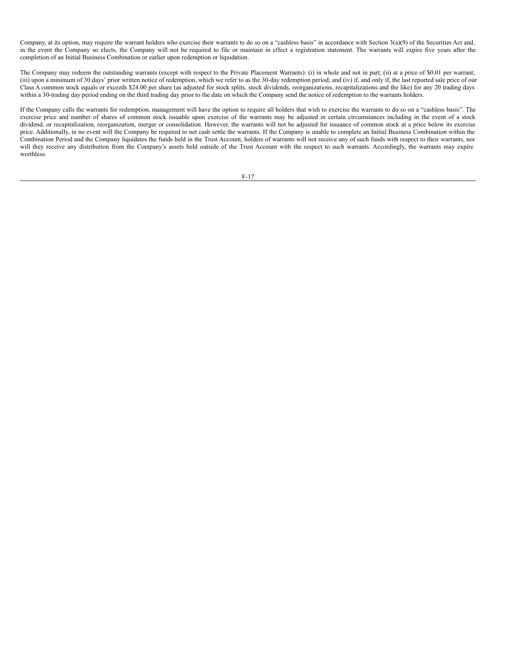Company, at its option, may require the warrant holders who exercise their warrants to do so on a "cashless basis" in accordance with Section  $3(a)(9)$  of the Securities Act and, in the event the Company so elects, the Company will not be required to file or maintain in effect a registration statement. The warrants will expire five years after the completion of an Initial Business Combination or earlier upon redemption or liquidation.

The Company may redeem the outstanding warrants (except with respect to the Private Placement Warrants): (i) in whole and not in part; (ii) at a price of \$0.01 per warrant; (iii) upon a minimum of 30 days' prior written notice of redemption, which we refer to as the 30-day redemption period; and (iv) if, and only if, the last reported sale price of our Class A common stock equals or exceeds \$24.00 per share (as adjusted for stock splits, stock dividends, reorganizations, recapitalizations and the like) for any 20 trading days within a 30-trading day period ending on the third trading day prior to the date on which the Company send the notice of redemption to the warrants holders.

If the Company calls the warrants for redemption, management will have the option to require all holders that wish to exercise the warrants to do so on a "cashless basis". The exercise price and number of shares of common stock issuable upon exercise of the warrants may be adjusted in certain circumstances including in the event of a stock dividend, or recapitalization, reorganization, merger or consolidation. However, the warrants will not be adjusted for issuance of common stock at a price below its exercise price. Additionally, in no event will the Company be required to net cash settle the warrants. If the Company is unable to complete an Initial Business Combination within the Combination Period and the Company liquidates the funds held in the Trust Account, holders of warrants will not receive any of such funds with respect to their warrants, nor will they receive any distribution from the Company's assets held outside of the Trust Account with the respect to such warrants. Accordingly, the warrants may expire worthless.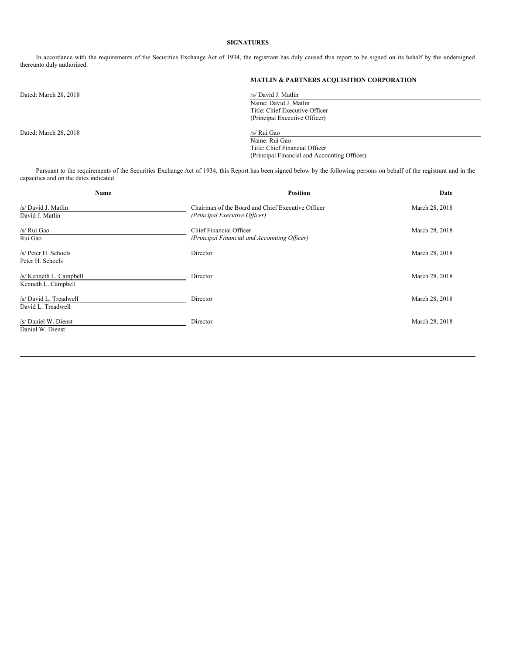# **SIGNATURES**

In accordance with the requirements of the Securities Exchange Act of 1934, the registrant has duly caused this report to be signed on its behalf by the undersigned thereunto duly authorized.

**MATLIN & PARTNERS ACQUISITION CORPORATION**

| Dated: March 28, 2018 | /s/ David J. Matlin            |  |
|-----------------------|--------------------------------|--|
|                       | Name: David J. Matlin          |  |
|                       | Title: Chief Executive Officer |  |
|                       | (Principal Executive Officer)  |  |
| Dated: March 28, 2018 | /s/ Rui Gao                    |  |
|                       | Name: Rui Gao                  |  |
|                       | Title: Chief Financial Officer |  |

(Principal Financial and Accounting Officer) Pursuant to the requirements of the Securities Exchange Act of 1934, this Report has been signed below by the following persons on behalf of the registrant and in the capacities and on the dates indicated.

| Name                                           | <b>Position</b>                                                                    | Date           |
|------------------------------------------------|------------------------------------------------------------------------------------|----------------|
| /s/ David J. Matlin<br>David J. Matlin         | Chairman of the Board and Chief Executive Officer<br>(Principal Executive Officer) | March 28, 2018 |
| /s/ Rui Gao<br>Rui Gao                         | Chief Financial Officer<br>(Principal Financial and Accounting Officer)            | March 28, 2018 |
| /s/ Peter H. Schoels<br>Peter H. Schoels       | Director                                                                           | March 28, 2018 |
| /s/ Kenneth L. Campbell<br>Kenneth L. Campbell | Director                                                                           | March 28, 2018 |
| /s/ David L. Treadwell<br>David L. Treadwell   | Director                                                                           | March 28, 2018 |
| /s/ Daniel W. Dienst<br>Daniel W. Dienst       | Director                                                                           | March 28, 2018 |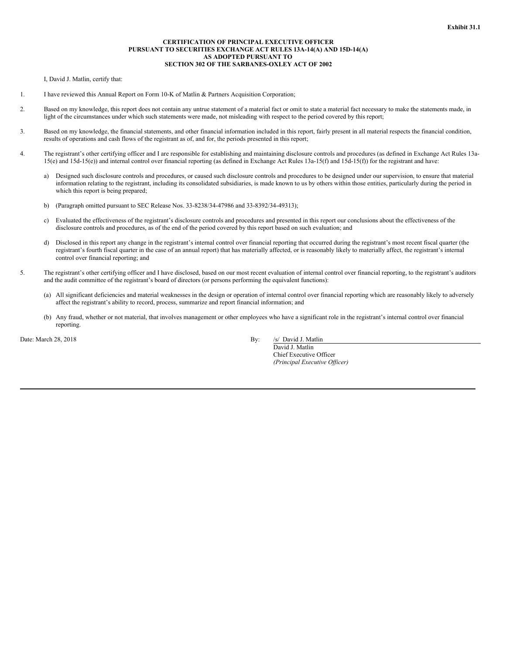## **CERTIFICATION OF PRINCIPAL EXECUTIVE OFFICER PURSUANT TO SECURITIES EXCHANGE ACT RULES 13A-14(A) AND 15D-14(A) AS ADOPTED PURSUANT TO SECTION 302 OF THE SARBANES-OXLEY ACT OF 2002**

<span id="page-94-0"></span>I, David J. Matlin, certify that:

- 1. I have reviewed this Annual Report on Form 10-K of Matlin & Partners Acquisition Corporation;
- 2. Based on my knowledge, this report does not contain any untrue statement of a material fact or omit to state a material fact necessary to make the statements made, in light of the circumstances under which such statements were made, not misleading with respect to the period covered by this report;
- 3. Based on my knowledge, the financial statements, and other financial information included in this report, fairly present in all material respects the financial condition, results of operations and cash flows of the registrant as of, and for, the periods presented in this report;
- 4. The registrant's other certifying officer and I are responsible for establishing and maintaining disclosure controls and procedures (as defined in Exchange Act Rules 13a-15(e) and 15d-15(e)) and internal control over financial reporting (as defined in Exchange Act Rules 13a-15(f) and 15d-15(f)) for the registrant and have:
	- a) Designed such disclosure controls and procedures, or caused such disclosure controls and procedures to be designed under our supervision, to ensure that material information relating to the registrant, including its consolidated subsidiaries, is made known to us by others within those entities, particularly during the period in which this report is being prepared;
	- b) (Paragraph omitted pursuant to SEC Release Nos. 33-8238/34-47986 and 33-8392/34-49313);
	- c) Evaluated the effectiveness of the registrant's disclosure controls and procedures and presented in this report our conclusions about the effectiveness of the disclosure controls and procedures, as of the end of the period covered by this report based on such evaluation; and
	- d) Disclosed in this report any change in the registrant's internal control over financial reporting that occurred during the registrant's most recent fiscal quarter (the registrant's fourth fiscal quarter in the case of an annual report) that has materially affected, or is reasonably likely to materially affect, the registrant's internal control over financial reporting; and
- 5. The registrant's other certifying officer and I have disclosed, based on our most recent evaluation of internal control over financial reporting, to the registrant's auditors and the audit committee of the registrant's board of directors (or persons performing the equivalent functions):
	- (a) All significant deficiencies and material weaknesses in the design or operation of internal control over financial reporting which are reasonably likely to adversely affect the registrant's ability to record, process, summarize and report financial information; and
	- (b) Any fraud, whether or not material, that involves management or other employees who have a significant role in the registrant's internal control over financial reporting.

Date: March 28, 2018 By: /s/ David J. Matlin

David J. Matlin Chief Executive Officer *(Principal Executive Of icer)*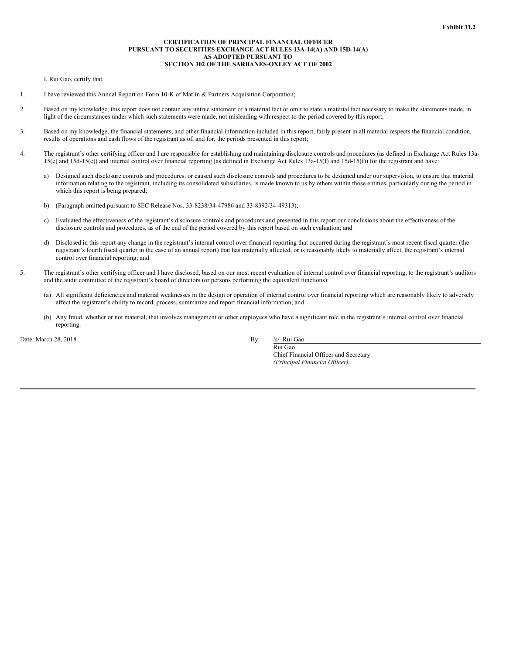# **CERTIFICATION OF PRINCIPAL FINANCIAL OFFICER PURSUANT TO SECURITIES EXCHANGE ACT RULES 13A-14(A) AND 15D-14(A) AS ADOPTED PURSUANT TO SECTION 302 OF THE SARBANES-OXLEY ACT OF 2002**

<span id="page-95-0"></span>I, Rui Gao, certify that:

- 1. I have reviewed this Annual Report on Form 10-K of Matlin & Partners Acquisition Corporation;
- 2. Based on my knowledge, this report does not contain any untrue statement of a material fact or omit to state a material fact necessary to make the statements made, in light of the circumstances under which such statements were made, not misleading with respect to the period covered by this report;
- 3. Based on my knowledge, the financial statements, and other financial information included in this report, fairly present in all material respects the financial condition, results of operations and cash flows of the registrant as of, and for, the periods presented in this report;
- 4. The registrant's other certifying officer and I are responsible for establishing and maintaining disclosure controls and procedures (as defined in Exchange Act Rules 13a-15(e) and 15d-15(e)) and internal control over financial reporting (as defined in Exchange Act Rules 13a-15(f) and 15d-15(f)) for the registrant and have:
	- a) Designed such disclosure controls and procedures, or caused such disclosure controls and procedures to be designed under our supervision, to ensure that material information relating to the registrant, including its consolidated subsidiaries, is made known to us by others within those entities, particularly during the period in which this report is being prepared;
	- b) (Paragraph omitted pursuant to SEC Release Nos. 33-8238/34-47986 and 33-8392/34-49313);
	- c) Evaluated the effectiveness of the registrant's disclosure controls and procedures and presented in this report our conclusions about the effectiveness of the disclosure controls and procedures, as of the end of the period covered by this report based on such evaluation; and
	- d) Disclosed in this report any change in the registrant's internal control over financial reporting that occurred during the registrant's most recent fiscal quarter (the registrant's fourth fiscal quarter in the case of an annual report) that has materially affected, or is reasonably likely to materially affect, the registrant's internal control over financial reporting; and
- 5. The registrant's other certifying officer and I have disclosed, based on our most recent evaluation of internal control over financial reporting, to the registrant's auditors and the audit committee of the registrant's board of directors (or persons performing the equivalent functions):
	- (a) All significant deficiencies and material weaknesses in the design or operation of internal control over financial reporting which are reasonably likely to adversely affect the registrant's ability to record, process, summarize and report financial information; and
	- (b) Any fraud, whether or not material, that involves management or other employees who have a significant role in the registrant's internal control over financial reporting.

Date: March 28, 2018 By: /s/ Rui Gao

Rui Gao Chief Financial Officer and Secretary *(Principal Financial Of icer)*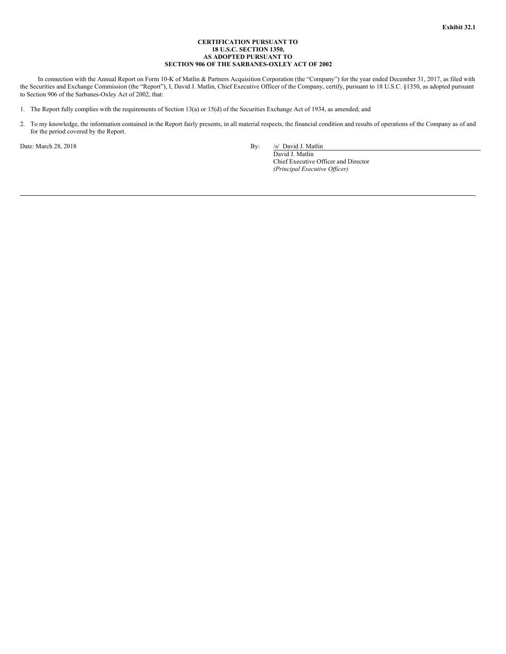### **CERTIFICATION PURSUANT TO 18 U.S.C. SECTION 1350, AS ADOPTED PURSUANT TO SECTION 906 OF THE SARBANES-OXLEY ACT OF 2002**

<span id="page-96-0"></span>In connection with the Annual Report on Form 10-K of Matlin & Partners Acquisition Corporation (the "Company") for the year ended December 31, 2017, as filed with the Securities and Exchange Commission (the "Report"), I, David J. Matlin, Chief Executive Officer of the Company, certify, pursuant to 18 U.S.C. §1350, as adopted pursuant to Section 906 of the Sarbanes-Oxley Act of 2002, that:

1. The Report fully complies with the requirements of Section 13(a) or 15(d) of the Securities Exchange Act of 1934, as amended; and

2. To my knowledge, the information contained in the Report fairly presents, in all material respects, the financial condition and results of operations of the Company as of and for the period covered by the Report.

Date: March 28, 2018 By: /s/ David J. Matlin By: /s/ David J. Matlin

David J. Matlin Chief Executive Officer and Director *(Principal Executive Of icer)*